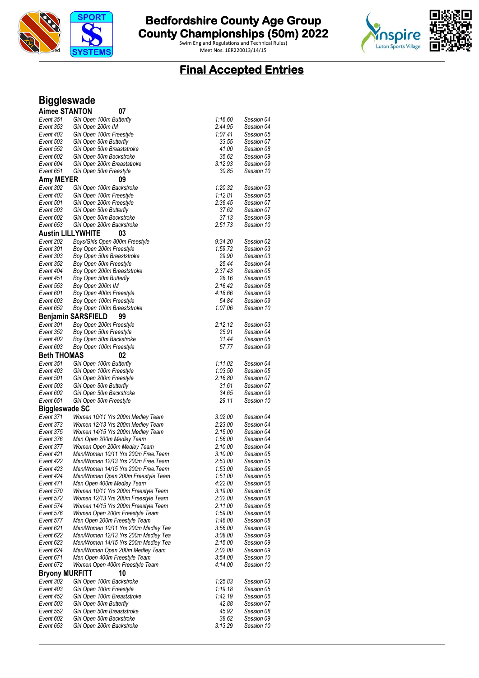

Swim England Regulations and Technical Rules)



# **Final Accepted Entries**

# **Biggleswade**

| <b>Aimee STANTON</b>     | 07                                                                  |                    |                          |
|--------------------------|---------------------------------------------------------------------|--------------------|--------------------------|
| Event 351                | Girl Open 100m Butterfly                                            | 1:16.60            | Session 04               |
| Event 353                | Girl Open 200m IM                                                   | 2:44.95            | Session 04               |
| Event 403                | Girl Open 100m Freestyle                                            | 1:07.41            | Session 05               |
| Event 503                | Girl Open 50m Butterfly                                             | 33.55              | Session 07               |
| Event 552                | Girl Open 50m Breaststroke                                          | 41.00              | Session 08               |
| Event 602                | Girl Open 50m Backstroke                                            | 35.62              | Session 09               |
| Event 604                | Girl Open 200m Breaststroke                                         | 3:12.93            | Session 09               |
| Event 651                | Girl Open 50m Freestyle                                             | 30.85              | Session 10               |
| Amy MEYER                | 09                                                                  |                    |                          |
| Event 302                | Girl Open 100m Backstroke                                           | 1:20.32            | Session 03               |
| Event 403                | Girl Open 100m Freestyle                                            | 1:12.81            | Session 05               |
| Event 501                | Girl Open 200m Freestyle                                            | 2:36.45            | Session 07               |
| Event 503                | Girl Open 50m Butterfly                                             | 37.62              | Session 07               |
| Event 602                | Girl Open 50m Backstroke                                            | 37.13              | Session 09               |
| Event 653                | Girl Open 200m Backstroke                                           | 2:51.73            | Session 10               |
| <b>Austin LILLYWHITE</b> | 03                                                                  |                    |                          |
| Event 202                | Boys/Girls Open 800m Freestyle                                      | 9:34.20            | Session 02               |
| Event 301                | Boy Open 200m Freestyle                                             | 1:59.72            | Session 03               |
| Event 303                | Boy Open 50m Breaststroke                                           | 29.90              | Session 03               |
| Event 352                | Boy Open 50m Freestyle                                              | 25.44              | Session 04               |
| Event 404                | Boy Open 200m Breaststroke                                          | 2:37.43            | Session 05               |
| Event 451                | Boy Open 50m Butterfly                                              | 28.16              | Session 06               |
| Event 553                | Boy Open 200m IM                                                    | 2:16.42            | Session 08               |
| Event 601                | Boy Open 400m Freestyle                                             | 4:18.66            | Session 09               |
| Event 603                | Boy Open 100m Freestyle                                             | 54.84              | Session 09               |
| Event 652                | Boy Open 100m Breaststroke                                          | 1:07.06            | Session 10               |
|                          | <b>Benjamin SARSFIELD</b><br>99                                     |                    |                          |
| Event 301                | Boy Open 200m Freestyle                                             | 2:12.12            | Session 03               |
| Event 352                | Boy Open 50m Freestyle                                              | 25.91              | Session 04               |
| Event 402                | Boy Open 50m Backstroke                                             | 31.44              | Session 05               |
| Event 603                | Boy Open 100m Freestyle                                             | 57.77              | Session 09               |
| <b>Beth THOMAS</b>       | 02                                                                  |                    |                          |
| Event 351                | Girl Open 100m Butterfly                                            | 1:11.02            | Session 04               |
| Event 403                |                                                                     |                    |                          |
|                          | Girl Open 100m Freestyle                                            | 1:03.50            | Session 05               |
| Event 501                | Girl Open 200m Freestyle                                            | 2:16.80            | Session 07               |
| Event 503                | Girl Open 50m Butterfly                                             | 31.61              | Session 07               |
| Event 602                | Girl Open 50m Backstroke                                            | 34.65              | Session 09               |
| Event 651                | Girl Open 50m Freestyle                                             | 29.11              | Session 10               |
| <b>Biggleswade SC</b>    |                                                                     |                    |                          |
| Event 371                | Women 10/11 Yrs 200m Medley Team                                    | 3:02.00            | Session 04               |
| Event 373                | Women 12/13 Yrs 200m Medley Team                                    | 2:23.00            | Session 04               |
| Event 375                | Women 14/15 Yrs 200m Medley Team                                    | 2:15.00            | Session 04               |
| Event 376                | Men Open 200m Medley Team                                           | 1:56.00            | Session 04               |
| Event 377                | Women Open 200m Medley Team                                         | 2:10.00            | Session 04               |
| Event 421                | Men/Women 10/11 Yrs 200m Free.Team                                  | 3:10.00            | Session 05               |
| Event 422                | Men/Women 12/13 Yrs 200m Free. Team                                 | 2:53.00            | Session 05               |
| Event 423                | Men/Women 14/15 Yrs 200m Free. Team                                 | 1:53.00            | Session 05               |
| Event 424                | Men/Women Open 200m Freestyle Team                                  | 1:51.00            | Session 05               |
| Event 471                | Men Open 400m Medley Team                                           | 4:22.00            | Session 06               |
| Event 570                | Women 10/11 Yrs 200m Freestyle Team                                 | 3:19.00            | Session 08               |
| Event 572                | Women 12/13 Yrs 200m Freestyle Team                                 | 2:32.00            | Session 08               |
| Event 574                | Women 14/15 Yrs 200m Freestyle Team                                 | 2:11.00            | Session 08               |
| Event 576<br>Event 577   | Women Open 200m Freestyle Team                                      | 1:59.00<br>1:46.00 | Session 08               |
| Event 621                | Men Open 200m Freestyle Team<br>Men/Women 10/11 Yrs 200m Medley Tea | 3:56.00            | Session 08<br>Session 09 |
| Event 622                | Men/Women 12/13 Yrs 200m Medley Tea                                 | 3:08.00            | Session 09               |
| Event 623                | Men/Women 14/15 Yrs 200m Medley Tea                                 | 2:15.00            | Session 09               |
| Event 624                | Men/Women Open 200m Medley Team                                     | 2:02.00            | Session 09               |
| Event 671                | Men Open 400m Freestyle Team                                        | 3:54.00            | Session 10               |
| Event 672                | Women Open 400m Freestyle Team                                      | 4:14.00            | Session 10               |
| <b>Bryony MURFITT</b>    | 10                                                                  |                    |                          |
| Event 302                | Girl Open 100m Backstroke                                           | 1:25.83            | Session 03               |
| Event 403                | Girl Open 100m Freestyle                                            | 1:19.18            | Session 05               |
| Event 452                | Girl Open 100m Breaststroke                                         | 1:42.19            | Session 06               |
| Event 503                | Girl Open 50m Butterfly                                             | 42.88              | Session 07               |
| Event 552                | Girl Open 50m Breaststroke                                          | 45.92              | Session 08               |
| Event 602<br>Event 653   | Girl Open 50m Backstroke<br>Girl Open 200m Backstroke               | 38.62<br>3:13.29   | Session 09<br>Session 10 |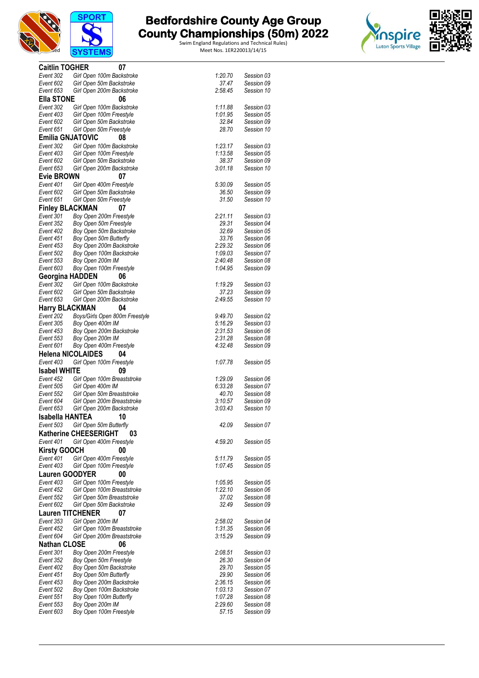



| <b>Caitlin TOGHER</b>    | 07                                 |         |            |
|--------------------------|------------------------------------|---------|------------|
|                          |                                    |         |            |
| Event 302                | Girl Open 100m Backstroke          | 1:20.70 | Session 03 |
| Event 602                | Girl Open 50m Backstroke           | 37.47   | Session 09 |
| Event 653                | Girl Open 200m Backstroke          | 2:58.45 | Session 10 |
| <b>Ella STONE</b>        | 06                                 |         |            |
| Event 302                | Girl Open 100m Backstroke          | 1:11.88 | Session 03 |
| Event 403                | Girl Open 100m Freestyle           | 1:01.95 | Session 05 |
|                          |                                    |         |            |
| Event 602                | Girl Open 50m Backstroke           | 32.84   | Session 09 |
| Event 651                | Girl Open 50m Freestyle            | 28.70   | Session 10 |
| <b>Emilia GNJATOVIC</b>  | 08                                 |         |            |
| Event 302                | Girl Open 100m Backstroke          | 1:23.17 | Session 03 |
| Event 403                | Girl Open 100m Freestyle           | 1:13.58 | Session 05 |
| Event 602                | Girl Open 50m Backstroke           | 38.37   | Session 09 |
| Event 653                |                                    | 3:01.18 | Session 10 |
|                          | Girl Open 200m Backstroke          |         |            |
| <b>Evie BROWN</b>        | 07                                 |         |            |
| Event 401                | Girl Open 400m Freestyle           | 5:30.09 | Session 05 |
| Event 602                | Girl Open 50m Backstroke           | 36.50   | Session 09 |
| Event 651                | Girl Open 50m Freestyle            | 31.50   | Session 10 |
| <b>Finley BLACKMAN</b>   | 07                                 |         |            |
|                          |                                    |         |            |
| Event 301                | Boy Open 200m Freestyle            | 2:21.11 | Session 03 |
| Event 352                | Boy Open 50m Freestyle             | 29.31   | Session 04 |
| Event 402                | Boy Open 50m Backstroke            | 32.69   | Session 05 |
| Event 451                | Boy Open 50m Butterfly             | 33.76   | Session 06 |
| Event 453                | Boy Open 200m Backstroke           | 2:29.32 | Session 06 |
| Event 502                | Boy Open 100m Backstroke           | 1:09.03 | Session 07 |
| Event 553                | Boy Open 200m IM                   | 2:40.48 | Session 08 |
| Event 603                | Boy Open 100m Freestyle            | 1:04.95 | Session 09 |
|                          |                                    |         |            |
| <b>Georgina HADDEN</b>   | 06                                 |         |            |
| Event 302                | Girl Open 100m Backstroke          | 1:19.29 | Session 03 |
| Event 602                | Girl Open 50m Backstroke           | 37.23   | Session 09 |
| Event 653                | Girl Open 200m Backstroke          | 2:49.55 | Session 10 |
| <b>Harry BLACKMAN</b>    | 04                                 |         |            |
|                          |                                    |         |            |
| Event 202                | Boys/Girls Open 800m Freestyle     | 9:49.70 | Session 02 |
| Event 305                | Boy Open 400m IM                   | 5:16.29 | Session 03 |
| Event 453                | Boy Open 200m Backstroke           | 2:31.53 | Session 06 |
| Event 553                | Boy Open 200m IM                   | 2:31.28 | Session 08 |
| Event 601                | Boy Open 400m Freestyle            | 4:32.48 | Session 09 |
| <b>Helena NICOLAIDES</b> | 04                                 |         |            |
|                          |                                    |         |            |
| Event 403                | Girl Open 100m Freestyle           | 1:07.78 | Session 05 |
| <b>Isabel WHITE</b>      | 09                                 |         |            |
| Event 452                | Girl Open 100m Breaststroke        | 1:29.09 | Session 06 |
| Event 505                | Girl Open 400m IM                  | 6:33.28 | Session 07 |
| Event 552                | Girl Open 50m Breaststroke         | 40.70   | Session 08 |
| Event 604                | Girl Open 200m Breaststroke        | 3:10.57 | Session 09 |
|                          |                                    |         |            |
| Event 653                | Girl Open 200m Backstroke          | 3:03.43 | Session 10 |
| Isabella HANTEA          | 10                                 |         |            |
| Event 503                | Girl Open 50m Butterfly            | 42.09   | Session 07 |
|                          | <b>Katherine CHEESERIGHT</b><br>03 |         |            |
| Event 401                | Girl Open 400m Freestyle           | 4:59.20 | Session 05 |
|                          |                                    |         |            |
| <b>Kirsty GOOCH</b>      | 00                                 |         |            |
| Event 401                | Girl Open 400m Freestyle           | 5.11.79 | Session 05 |
| Event 403                | Girl Open 100m Freestyle           | 1:07.45 | Session 05 |
| <b>Lauren GOODYER</b>    | 00                                 |         |            |
|                          |                                    |         |            |
| Event 403                | Girl Open 100m Freestyle           | 1:05.95 | Session 05 |
| Event 452                | Girl Open 100m Breaststroke        | 1:22.10 | Session 06 |
| Event 552                | Girl Open 50m Breaststroke         | 37.02   | Session 08 |
| Event 602                | Girl Open 50m Backstroke           | 32.49   | Session 09 |
| <b>Lauren TITCHENER</b>  | 07                                 |         |            |
| Event 353                | Girl Open 200m IM                  | 2:58.02 | Session 04 |
|                          |                                    |         | Session 06 |
| Event 452                | Girl Open 100m Breaststroke        | 1:31.35 |            |
| Event 604                | Girl Open 200m Breaststroke        | 3:15.29 | Session 09 |
| <b>Nathan CLOSE</b>      | 06                                 |         |            |
| Event 301                | Boy Open 200m Freestyle            | 2:08.51 | Session 03 |
| Event 352                | Boy Open 50m Freestyle             | 26.30   | Session 04 |
| Event 402                | Boy Open 50m Backstroke            | 29.70   | Session 05 |
| Event 451                | Boy Open 50m Butterfly             | 29.90   | Session 06 |
|                          |                                    |         |            |
| Event 453                | Boy Open 200m Backstroke           | 2:36.15 | Session 06 |
| Event 502                | Boy Open 100m Backstroke           | 1:03.13 | Session 07 |
| Event 551                | Boy Open 100m Butterfly            | 1:07.28 | Session 08 |
| Event 553                | Boy Open 200m IM                   | 2:29.60 | Session 08 |
| Event 603                | Boy Open 100m Freestyle            | 57.15   | Session 09 |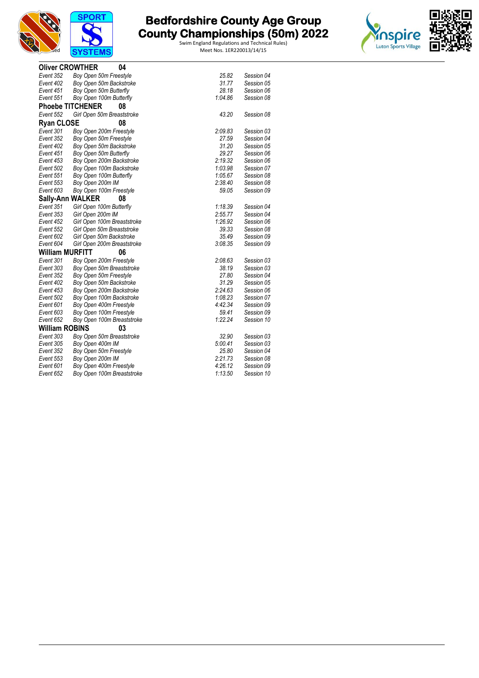



|                        | <b>Oliver CROWTHER</b><br>04  |         |            |
|------------------------|-------------------------------|---------|------------|
| Event 352              | Boy Open 50m Freestyle        | 25.82   | Session 04 |
| Event 402              | Boy Open 50m Backstroke       | 31.77   | Session 05 |
| Event 451              | Boy Open 50m Butterfly        | 28.18   | Session 06 |
| Event 551              | Boy Open 100m Butterfly       | 1:04.86 | Session 08 |
|                        | <b>Phoebe TITCHENER</b><br>08 |         |            |
| Event 552              | Girl Open 50m Breaststroke    | 43.20   | Session 08 |
| <b>Ryan CLOSE</b>      | 08                            |         |            |
| Event 301              | Boy Open 200m Freestyle       | 2:09.83 | Session 03 |
| Event 352              | Boy Open 50m Freestyle        | 27.59   | Session 04 |
| Event 402              | Boy Open 50m Backstroke       | 31.20   | Session 05 |
| Event 451              | Boy Open 50m Butterfly        | 29.27   | Session 06 |
| Event 453              | Boy Open 200m Backstroke      | 2:19.32 | Session 06 |
| Event 502              | Boy Open 100m Backstroke      | 1:03.98 | Session 07 |
| Event 551              | Boy Open 100m Butterfly       | 1:05.67 | Session 08 |
| Event 553              | Boy Open 200m IM              | 2:38.40 | Session 08 |
| Event 603              | Boy Open 100m Freestyle       | 59.05   | Session 09 |
|                        | <b>Sally-Ann WALKER</b><br>08 |         |            |
| Event 351              | Girl Open 100m Butterfly      | 1:18.39 | Session 04 |
| Event 353              | Girl Open 200m IM             | 2:55.77 | Session 04 |
| Event 452              | Girl Open 100m Breaststroke   | 1:26.92 | Session 06 |
| Event 552              | Girl Open 50m Breaststroke    | 39.33   | Session 08 |
| Event 602              | Girl Open 50m Backstroke      | 35.49   | Session 09 |
| Event 604              | Girl Open 200m Breaststroke   | 3:08.35 | Session 09 |
| <b>William MURFITT</b> | 06                            |         |            |
| Event 301              | Boy Open 200m Freestyle       | 2:08.63 | Session 03 |
| Event 303              | Boy Open 50m Breaststroke     | 38.19   | Session 03 |
| Event 352              | Boy Open 50m Freestyle        | 27.80   | Session 04 |
| Event 402              | Boy Open 50m Backstroke       | 31.29   | Session 05 |
| Event 453              | Boy Open 200m Backstroke      | 2:24.63 | Session 06 |
| Event 502              | Boy Open 100m Backstroke      | 1:08.23 | Session 07 |
| Event 601              | Boy Open 400m Freestyle       | 4:42.34 | Session 09 |
| Event 603              | Boy Open 100m Freestyle       | 59.41   | Session 09 |
| Event 652              | Boy Open 100m Breaststroke    | 1:22.24 | Session 10 |
| <b>William ROBINS</b>  | 03                            |         |            |
| Event 303              | Boy Open 50m Breaststroke     | 32.90   | Session 03 |
| Event 305              | Boy Open 400m IM              | 5:00.41 | Session 03 |
| Event 352              | Boy Open 50m Freestyle        | 25.80   | Session 04 |
| Event 553              | Boy Open 200m IM              | 2:21.73 | Session 08 |
| Event 601              | Boy Open 400m Freestyle       | 4:26.12 | Session 09 |
| Event 652              | Boy Open 100m Breaststroke    | 1:13.50 | Session 10 |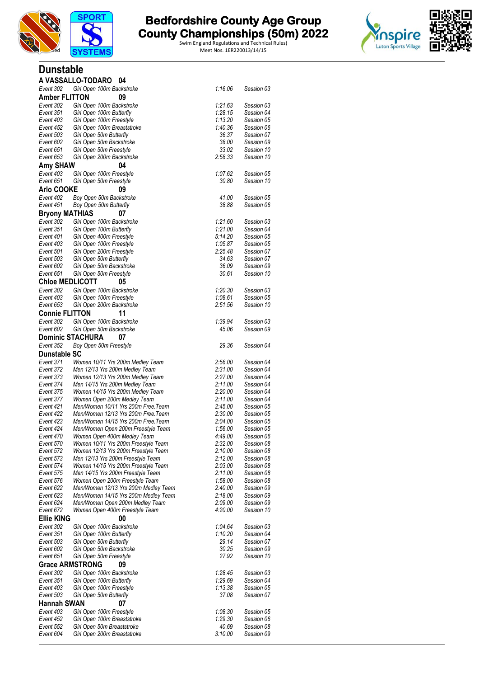

Swim England Regulations and Technical Rules)



#### **Dunstable A VASSALLO-TODARO 04**

| Event 302               | Girl Open 100m Backstroke                            | 1:16.06 | Session 03 |
|-------------------------|------------------------------------------------------|---------|------------|
| <b>Amber FLITTON</b>    | 09                                                   |         |            |
| Event 302               | Girl Open 100m Backstroke                            | 1:21.63 | Session 03 |
| Event 351               | Girl Open 100m Butterfly                             | 1:28.15 | Session 04 |
| Event 403               | Girl Open 100m Freestyle                             | 1:13.20 | Session 05 |
| Event 452               | Girl Open 100m Breaststroke                          | 1:40.36 | Session 06 |
| Event 503               | Girl Open 50m Butterfly                              | 36.37   | Session 07 |
| Event 602               | Girl Open 50m Backstroke                             | 38.00   | Session 09 |
| Event 651               |                                                      | 33.02   | Session 10 |
| Event 653               | Girl Open 50m Freestyle<br>Girl Open 200m Backstroke | 2:58.33 | Session 10 |
|                         |                                                      |         |            |
| <b>Amy SHAW</b>         | 04                                                   |         |            |
| Event 403               | Girl Open 100m Freestyle                             | 1:07.62 | Session 05 |
| Event 651               | Girl Open 50m Freestyle                              | 30.80   | Session 10 |
| <b>Arlo COOKE</b>       | 09                                                   |         |            |
| Event 402               | Boy Open 50m Backstroke                              | 41.00   | Session 05 |
| Event 451               | Boy Open 50m Butterfly                               | 38.88   | Session 06 |
| <b>Bryony MATHIAS</b>   | 07                                                   |         |            |
| Event 302               | Girl Open 100m Backstroke                            | 1:21.60 | Session 03 |
| Event 351               | Girl Open 100m Butterfly                             | 1:21.00 | Session 04 |
| Event 401               | Girl Open 400m Freestyle                             | 5:14.20 | Session 05 |
| Event 403               | Girl Open 100m Freestyle                             | 1:05.87 | Session 05 |
| Event 501               | Girl Open 200m Freestyle                             | 2:25.48 | Session 07 |
| Event 503               | Girl Open 50m Butterfly                              | 34.63   | Session 07 |
| Event 602               | Girl Open 50m Backstroke                             | 36.09   | Session 09 |
| Event 651               | Girl Open 50m Freestyle                              | 30.61   | Session 10 |
| <b>Chloe MEDLICOTT</b>  | 05                                                   |         |            |
| Event 302               | Girl Open 100m Backstroke                            | 1:20.30 | Session 03 |
| Event 403               | Girl Open 100m Freestyle                             | 1:08.61 | Session 05 |
| Event 653               | Girl Open 200m Backstroke                            | 2:51.56 | Session 10 |
|                         |                                                      |         |            |
| <b>Connie FLITTON</b>   | 11                                                   |         |            |
| Event 302               | Girl Open 100m Backstroke                            | 1:39.94 | Session 03 |
| Event 602               | Girl Open 50m Backstroke                             | 45.06   | Session 09 |
| <b>Dominic STACHURA</b> | 07                                                   |         |            |
| Event 352               | Boy Open 50m Freestyle                               | 29.36   | Session 04 |
| Dunstable SC            |                                                      |         |            |
| Event 371               | Women 10/11 Yrs 200m Medley Team                     | 2:56.00 | Session 04 |
| Event 372               | Men 12/13 Yrs 200m Medley Team                       | 2:31.00 | Session 04 |
| Event 373               | Women 12/13 Yrs 200m Medley Team                     | 2:27.00 | Session 04 |
| Event 374               | Men 14/15 Yrs 200m Medley Team                       | 2:11.00 | Session 04 |
| Event 375               | Women 14/15 Yrs 200m Medley Team                     | 2:20.00 | Session 04 |
| Event 377               | Women Open 200m Medley Team                          | 2:11.00 | Session 04 |
| Event 421               | Men/Women 10/11 Yrs 200m Free. Team                  | 2:45.00 | Session 05 |
| Event 422               | Men/Women 12/13 Yrs 200m Free. Team                  | 2:30.00 | Session 05 |
| Event 423               | Men/Women 14/15 Yrs 200m Free. Team                  | 2:04.00 | Session 05 |
| Event 424               | Men/Women Open 200m Freestyle Team                   | 1:56.00 | Session 05 |
| Event 470               | Women Open 400m Medley Team                          | 4:49.00 | Session 06 |
| Event 570               | Women 10/11 Yrs 200m Freestyle Team                  | 2:32.00 | Session 08 |
| Event 572               | Women 12/13 Yrs 200m Freestyle Team                  | 2:10.00 | Session 08 |
| Event 573               | Men 12/13 Yrs 200m Freestyle Team                    | 2:12.00 | Session 08 |
| Event 574               | Women 14/15 Yrs 200m Freestyle Team                  | 2:03.00 | Session 08 |
| Event 575               | Men 14/15 Yrs 200m Freestyle Team                    | 2:11.00 | Session 08 |
| Event 576               | Women Open 200m Freestyle Team                       | 1:58.00 | Session 08 |
| Event 622               | Men/Women 12/13 Yrs 200m Medley Team                 | 2:40.00 | Session 09 |
| Event 623               | Men/Women 14/15 Yrs 200m Medley Team                 | 2:18.00 | Session 09 |
| Event 624               | Men/Women Open 200m Medley Team                      | 2:09.00 | Session 09 |
| Event 672               | Women Open 400m Freestyle Team                       | 4:20.00 | Session 10 |
| <b>Ellie KING</b>       | 00                                                   |         |            |
| Event 302               | Girl Open 100m Backstroke                            | 1:04.64 | Session 03 |
| Event 351               | Girl Open 100m Butterfly                             | 1:10.20 | Session 04 |
| Event 503               | Girl Open 50m Butterfly                              | 29.14   | Session 07 |
| Event 602               | Girl Open 50m Backstroke                             | 30.25   | Session 09 |
| Event 651               | Girl Open 50m Freestyle                              | 27.92   | Session 10 |
| <b>Grace ARMSTRONG</b>  | 09                                                   |         |            |
| Event 302               | Girl Open 100m Backstroke                            | 1:28.45 | Session 03 |
| Event 351               | Girl Open 100m Butterfly                             | 1:29.69 | Session 04 |
| Event 403               | Girl Open 100m Freestyle                             | 1:13.38 | Session 05 |
| Event 503               | Girl Open 50m Butterfly                              | 37.08   | Session 07 |
| <b>Hannah SWAN</b>      | 07                                                   |         |            |
|                         |                                                      |         |            |
| Event 403               | Girl Open 100m Freestyle                             | 1:08.30 | Session 05 |
| Event 452               | Girl Open 100m Breaststroke                          | 1:29.30 | Session 06 |
| Event 552               | Girl Open 50m Breaststroke                           | 40.69   | Session 08 |
| Event 604               | Girl Open 200m Breaststroke                          | 3:10.00 | Session 09 |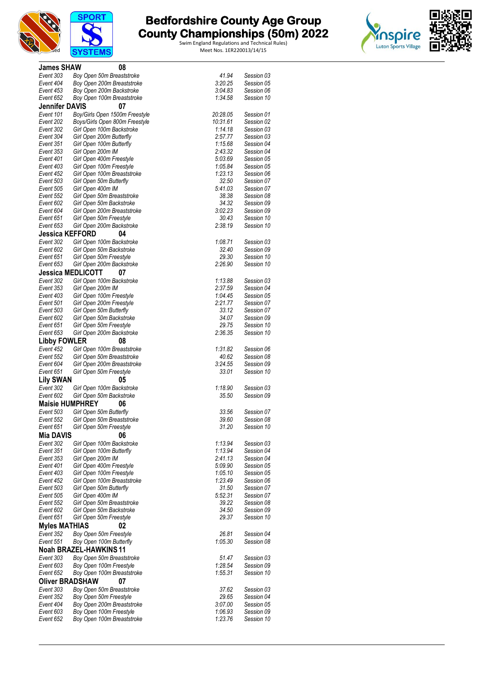



| <b>James SHAW</b>            |                   | 08                             |                                                |  |
|------------------------------|-------------------|--------------------------------|------------------------------------------------|--|
| Event 303                    |                   | Boy Open 50m Breaststroke      | 41.94<br>Session 03                            |  |
| Event 404                    |                   | Boy Open 200m Breaststroke     | 3:20.25<br>Session 05                          |  |
| Event 453                    |                   | Boy Open 200m Backstroke       | 3:04.83<br>Session 06                          |  |
| Event 652                    |                   | Boy Open 100m Breaststroke     | 1:34.58<br>Session 10                          |  |
| <b>Jennifer DAVIS</b>        |                   | 07                             |                                                |  |
| Event 101                    |                   | Boy/Girls Open 1500m Freestyle | 20:28.05<br>Session 01                         |  |
| Event 202                    |                   | Boys/Girls Open 800m Freestyle | 10:31.61<br>Session 02                         |  |
| Event 302                    |                   | Girl Open 100m Backstroke      | 1:14.18<br>Session 03                          |  |
| Event 304                    |                   | Girl Open 200m Butterfly       | 2:57.77<br>Session 03                          |  |
| Event 351                    |                   | Girl Open 100m Butterfly       | 1:15.68<br>Session 04                          |  |
| Event 353                    | Girl Open 200m IM |                                | 2:43.32<br>Session 04                          |  |
| Event 401                    |                   | Girl Open 400m Freestyle       | 5:03.69<br>Session 05                          |  |
| Event 403                    |                   | Girl Open 100m Freestyle       | 1:05.84<br>Session 05                          |  |
| Event 452                    |                   | Girl Open 100m Breaststroke    | 1:23.13<br>Session 06                          |  |
| Event 503<br>Event 505       |                   | Girl Open 50m Butterfly        | 32.50<br>Session 07<br>5:41.03<br>Session 07   |  |
| Event 552                    | Girl Open 400m IM | Girl Open 50m Breaststroke     | 38.38<br>Session 08                            |  |
| Event 602                    |                   | Girl Open 50m Backstroke       | 34.32<br>Session 09                            |  |
| Event 604                    |                   | Girl Open 200m Breaststroke    | 3:02.23<br>Session 09                          |  |
| Event 651                    |                   | Girl Open 50m Freestyle        | 30.43<br>Session 10                            |  |
| Event 653                    |                   | Girl Open 200m Backstroke      | 2:38.19<br>Session 10                          |  |
| <b>Jessica KEFFORD</b>       |                   | 04                             |                                                |  |
| Event 302                    |                   | Girl Open 100m Backstroke      | 1:08.71<br>Session 03                          |  |
| Event 602                    |                   | Girl Open 50m Backstroke       | 32.40<br>Session 09                            |  |
| Event 651                    |                   | Girl Open 50m Freestyle        | 29.30<br>Session 10                            |  |
| Event 653                    |                   | Girl Open 200m Backstroke      | 2:26.90<br>Session 10                          |  |
| <b>Jessica MEDLICOTT</b>     |                   | 07                             |                                                |  |
| Event 302                    |                   | Girl Open 100m Backstroke      | 1:13.88<br>Session 03                          |  |
| Event 353                    | Girl Open 200m IM |                                | 2:37.59<br>Session 04                          |  |
| Event 403                    |                   | Girl Open 100m Freestyle       | 1:04.45<br>Session 05                          |  |
| Event 501                    |                   | Girl Open 200m Freestyle       | 2:21.77<br>Session 07                          |  |
| Event 503                    |                   | Girl Open 50m Butterfly        | 33.12<br>Session 07                            |  |
| Event 602                    |                   | Girl Open 50m Backstroke       | 34.07<br>Session 09                            |  |
| Event 651                    |                   | Girl Open 50m Freestyle        | 29.75<br>Session 10                            |  |
| Event 653                    |                   | Girl Open 200m Backstroke      | 2:36.35<br>Session 10                          |  |
| <b>Libby FOWLER</b>          |                   | 08                             |                                                |  |
| Event 452                    |                   | Girl Open 100m Breaststroke    | 1:31.82<br>Session 06                          |  |
| Event 552                    |                   | Girl Open 50m Breaststroke     | 40.62<br>Session 08                            |  |
| Event 604                    |                   | Girl Open 200m Breaststroke    | 3:24.55<br>Session 09                          |  |
| Event 651                    |                   | Girl Open 50m Freestyle        | 33.01<br>Session 10                            |  |
| <b>Lily SWAN</b>             |                   | 05                             |                                                |  |
| Event 302                    |                   | Girl Open 100m Backstroke      | 1:18.90<br>Session 03                          |  |
| Event 602                    |                   | Girl Open 50m Backstroke       | 35.50<br>Session 09                            |  |
| <b>Maisie HUMPHREY</b>       |                   | 06                             |                                                |  |
| Event 503                    |                   | Girl Open 50m Butterfly        | 33.56<br>Session 07                            |  |
| Event 552                    |                   | Girl Open 50m Breaststroke     | 39.60<br>Session 08                            |  |
| Event 651                    |                   | Girl Open 50m Freestyle        | 31.20<br>Session 10                            |  |
| <b>Mia DAVIS</b>             |                   | 06                             |                                                |  |
| Event 302                    |                   | Girl Open 100m Backstroke      | 1:13.94<br>Session 03                          |  |
| Event 351                    |                   | Girl Open 100m Butterfly       | 1:13.94<br>Session 04                          |  |
| Event 353<br>Event 401       | Girl Open 200m IM | Girl Open 400m Freestyle       | 2:41.13<br>Session 04<br>5:09.90<br>Session 05 |  |
| Event 403                    |                   | Girl Open 100m Freestyle       | 1:05.10<br>Session 05                          |  |
| Event 452                    |                   | Girl Open 100m Breaststroke    | 1:23.49<br>Session 06                          |  |
| Event 503                    |                   | Girl Open 50m Butterfly        | 31.50<br>Session 07                            |  |
| Event 505                    | Girl Open 400m IM |                                | 5:52.31<br>Session 07                          |  |
| Event 552                    |                   | Girl Open 50m Breaststroke     | 39.22<br>Session 08                            |  |
| Event 602                    |                   | Girl Open 50m Backstroke       | 34.50<br>Session 09                            |  |
| Event 651                    |                   | Girl Open 50m Freestyle        | 29.37<br>Session 10                            |  |
| <b>Myles MATHIAS</b>         |                   | 02                             |                                                |  |
| Event 352                    |                   | Boy Open 50m Freestyle         | Session 04<br>26.81                            |  |
| Event 551                    |                   | Boy Open 100m Butterfly        | 1:05.30<br>Session 08                          |  |
| <b>Noah BRAZEL-HAWKINS11</b> |                   |                                |                                                |  |
| Event 303                    |                   | Boy Open 50m Breaststroke      | 51.47<br>Session 03                            |  |
| Event 603                    |                   | Boy Open 100m Freestyle        | 1:28.54<br>Session 09                          |  |
| Event 652                    |                   | Boy Open 100m Breaststroke     | 1:55.31<br>Session 10                          |  |
| <b>Oliver BRADSHAW</b>       |                   | 07                             |                                                |  |
| Event 303                    |                   | Boy Open 50m Breaststroke      | 37.62<br>Session 03                            |  |
| Event 352                    |                   | Boy Open 50m Freestyle         | 29.65<br>Session 04                            |  |
| Event 404                    |                   | Boy Open 200m Breaststroke     | 3:07.00<br>Session 05                          |  |
| Event 603                    |                   | Boy Open 100m Freestyle        | 1:06.93<br>Session 09                          |  |
| Event 652                    |                   | Boy Open 100m Breaststroke     | Session 10<br>1:23.76                          |  |
|                              |                   |                                |                                                |  |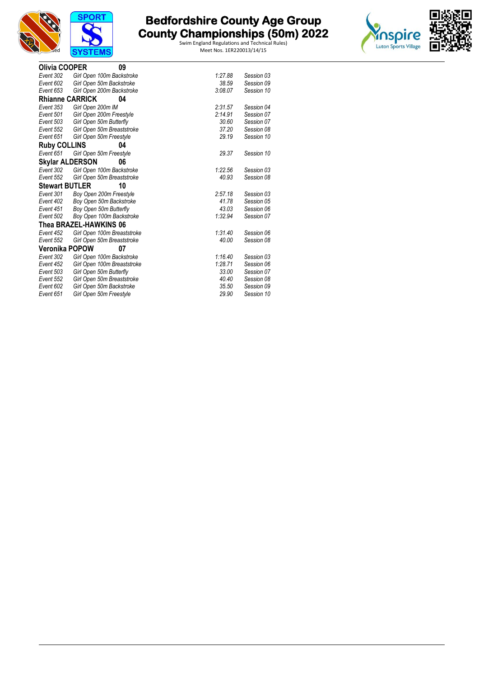





| Olivia COOPER          | 09                                                  |                |                          |
|------------------------|-----------------------------------------------------|----------------|--------------------------|
| Event 302              | Girl Open 100m Backstroke                           | 1:27.88        | Session 03               |
| Event 602              | Girl Open 50m Backstroke                            | 38.59          | Session 09               |
| Event 653              | Girl Open 200m Backstroke                           | 3:08.07        | Session 10               |
| <b>Rhianne CARRICK</b> | 04                                                  |                |                          |
| Event 353              | Girl Open 200m IM                                   | 2:31.57        | Session 04               |
| Event 501              | Girl Open 200m Freestyle                            | 2:14.91        | Session 07               |
| Event 503              | Girl Open 50m Butterfly                             | 30.60          | Session 07               |
| Event 552              | Girl Open 50m Breaststroke                          | 37.20          | Session 08               |
| Event 651              | Girl Open 50m Freestyle                             | 29.19          | Session 10               |
| <b>Ruby COLLINS</b>    | 04                                                  |                |                          |
| Event 651              | Girl Open 50m Freestyle                             | 29.37          | Session 10               |
| <b>Skylar ALDERSON</b> | 06                                                  |                |                          |
| Event 302              | Girl Open 100m Backstroke                           | 1:22.56        | Session 03               |
| Event 552              | Girl Open 50m Breaststroke                          | 40.93          | Session 08               |
|                        |                                                     |                |                          |
| <b>Stewart BUTLER</b>  | 10                                                  |                |                          |
| Event 301              | Boy Open 200m Freestyle                             | 2:57.18        | Session 03               |
| Event 402              | Boy Open 50m Backstroke                             | 41.78          | Session 05               |
| Event 451              | Boy Open 50m Butterfly                              | 43.03          | Session 06               |
| Event 502              | Boy Open 100m Backstroke                            | 1:32.94        | Session 07               |
|                        | Thea BRAZEL-HAWKINS 06                              |                |                          |
| Event 452              | Girl Open 100m Breaststroke                         | 1:31.40        | Session 06               |
| Event 552              | Girl Open 50m Breaststroke                          | 40.00          | Session 08               |
| Veronika POPOW         | 07                                                  |                |                          |
| Event 302              | Girl Open 100m Backstroke                           | 1:16.40        | Session 03               |
| Event 452              | Girl Open 100m Breaststroke                         | 1:28.71        | Session 06               |
| Event 503              | Girl Open 50m Butterfly                             | 33.00          | Session 07               |
| Event 552              | Girl Open 50m Breaststroke                          | 40.40          | Session 08               |
| Event 602<br>Event 651 | Girl Open 50m Backstroke<br>Girl Open 50m Freestyle | 35.50<br>29.90 | Session 09<br>Session 10 |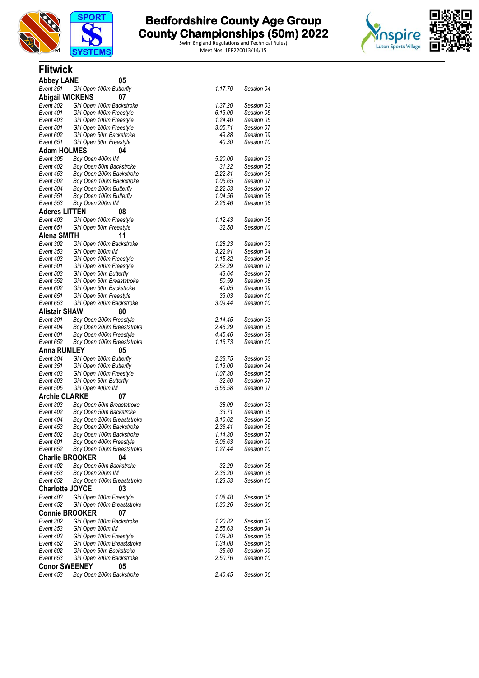

**Flitwick**

# **The Bedfordshire County Age Group and County Championships (50m) 2022**

Swim England Regulations and Technical Rules) TEMS Meet Nos. 1ER220013/14/15



| <b>Abbey LANE</b>      | 05                                             |                    |            |
|------------------------|------------------------------------------------|--------------------|------------|
| Event 351              | Girl Open 100m Butterfly                       | 1:17.70            | Session 04 |
| <b>Abigail WICKENS</b> | 07                                             |                    |            |
| Event 302              | Girl Open 100m Backstroke                      | 1:37.20            | Session 03 |
| Event 401              | Girl Open 400m Freestyle                       | 6:13.00            | Session 05 |
| Event 403              | Girl Open 100m Freestyle                       | 1:24.40            | Session 05 |
| Event 501              | Girl Open 200m Freestyle                       | 3:05.71            | Session 07 |
| Event 602              | Girl Open 50m Backstroke                       | 49.88              | Session 09 |
| Event 651              | Girl Open 50m Freestyle                        | 40.30              | Session 10 |
| <b>Adam HOLMES</b>     | 04                                             |                    |            |
| Event 305              | Boy Open 400m IM                               | 5:20.00            | Session 03 |
| Event 402              | Boy Open 50m Backstroke                        | 31.22              | Session 05 |
| Event 453              | Boy Open 200m Backstroke                       | 2:22.81            | Session 06 |
| Event 502              | Boy Open 100m Backstroke                       | 1:05.65            | Session 07 |
| Event 504              | Boy Open 200m Butterfly                        | 2:22.53            | Session 07 |
| Event 551              | Boy Open 100m Butterfly                        | 1:04.56            | Session 08 |
| Event 553              | Boy Open 200m IM                               | 2:26.46            | Session 08 |
| <b>Aderes LITTEN</b>   | 08                                             |                    |            |
| Event 403              | Girl Open 100m Freestyle                       | 1:12.43            | Session 05 |
| Event 651              | Girl Open 50m Freestyle                        | 32.58              | Session 10 |
| Alena SMITH            | 11                                             |                    |            |
| Event 302              | Girl Open 100m Backstroke                      | 1:28.23            | Session 03 |
| Event 353              | Girl Open 200m IM                              | 3:22.91            | Session 04 |
| Event 403              | Girl Open 100m Freestyle                       | 1:15.82            | Session 05 |
| Event 501              | Girl Open 200m Freestyle                       | 2:52.29            | Session 07 |
| Event 503              | Girl Open 50m Butterfly                        | 43.64              | Session 07 |
| Event 552              | Girl Open 50m Breaststroke                     | 50.59              | Session 08 |
| Event 602              | Girl Open 50m Backstroke                       | 40.05              | Session 09 |
| Event 651              | Girl Open 50m Freestyle                        | 33.03              | Session 10 |
| Event 653              | Girl Open 200m Backstroke                      | 3:09.44            | Session 10 |
| <b>Alistair SHAW</b>   | 80                                             |                    |            |
| Event 301              | Boy Open 200m Freestyle                        | 2:14.45            | Session 03 |
| Event 404              | Boy Open 200m Breaststroke                     | 2:46.29            | Session 05 |
| Event 601              | Boy Open 400m Freestyle                        | 4:45.46            | Session 09 |
| Event 652              | Boy Open 100m Breaststroke                     | 1:16.73            | Session 10 |
| <b>Anna RUMLEY</b>     | 05                                             |                    |            |
| Event 304              | Girl Open 200m Butterfly                       | 2:38.75            | Session 03 |
| Event 351              | Girl Open 100m Butterfly                       | 1:13.00            | Session 04 |
| Event 403              | Girl Open 100m Freestyle                       | 1:07.30            | Session 05 |
| Event 503              | Girl Open 50m Butterfly                        | 32.60              | Session 07 |
| Event 505              | Girl Open 400m IM                              | 5:56.58            | Session 07 |
| <b>Archie CLARKE</b>   | 07                                             |                    |            |
| Event 303              | Boy Open 50m Breaststroke                      | 38.09              | Session 03 |
| Event 402              | Boy Open 50m Backstroke                        | 33.71              | Session 05 |
| Event 404              | Boy Open 200m Breaststroke                     | 3:10.62            | Session 05 |
| Event 453              | Boy Open 200m Backstroke                       | 2:36.41            | Session 06 |
| Event 502              | Boy Open 100m Backstroke                       | 1:14.30            | Session 07 |
| Event 601              | Boy Open 400m Freestyle                        | 5:06.63            | Session 09 |
| Event 652              | Boy Open 100m Breaststroke                     | 1:27.44            | Session 10 |
|                        | <b>Charlie BROOKER</b><br>04                   |                    |            |
| Event 402              | Boy Open 50m Backstroke                        | 32.29              | Session 05 |
| Event 553              | Boy Open 200m IM                               | 2:36.20            | Session 08 |
| Event 652              | Boy Open 100m Breaststroke                     | 1:23.53            | Session 10 |
| <b>Charlotte JOYCE</b> | 03                                             |                    |            |
| Event 403              | Girl Open 100m Freestyle                       | 1:08.48            | Session 05 |
| Event 452              | Girl Open 100m Breaststroke                    | 1:30.26            | Session 06 |
|                        | <b>Connie BROOKER</b><br>07                    |                    |            |
| Event 302              |                                                |                    | Session 03 |
| Event 353              | Girl Open 100m Backstroke<br>Girl Open 200m IM | 1:20.82<br>2:55.63 | Session 04 |
| Event 403              | Girl Open 100m Freestyle                       | 1:09.30            | Session 05 |
| Event 452              | Girl Open 100m Breaststroke                    | 1:34.08            | Session 06 |
| Event 602              | Girl Open 50m Backstroke                       | 35.60              | Session 09 |
| Event 653              | Girl Open 200m Backstroke                      | 2:50.76            | Session 10 |
| <b>Conor SWEENEY</b>   | 05                                             |                    |            |
|                        |                                                |                    |            |
| Event 453              | Boy Open 200m Backstroke                       | 2:40.45            | Session 06 |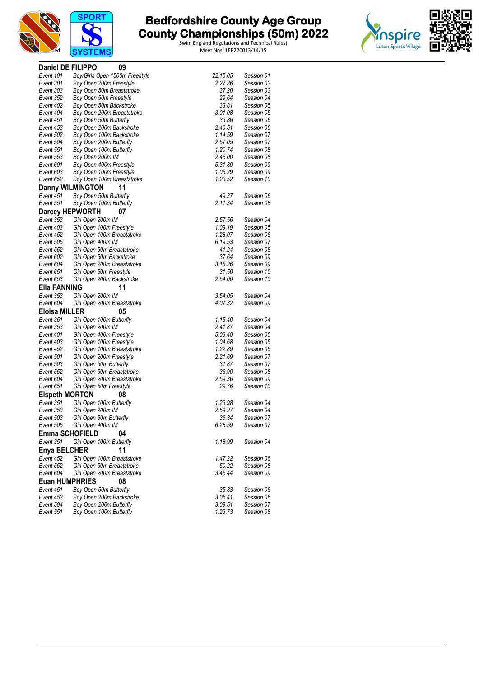



| Daniel DE FILIPPO      | 09                             |          |            |
|------------------------|--------------------------------|----------|------------|
| Event 101              | Boy/Girls Open 1500m Freestyle | 22:15.05 | Session 01 |
| Event 301              | Boy Open 200m Freestyle        | 2:27.36  | Session 03 |
| Event 303              | Boy Open 50m Breaststroke      | 37.20    | Session 03 |
| Event 352              | Boy Open 50m Freestyle         | 29.64    | Session 04 |
| Event 402              | Boy Open 50m Backstroke        | 33.81    | Session 05 |
| Event 404              | Boy Open 200m Breaststroke     | 3:01.08  | Session 05 |
| Event 451              | Boy Open 50m Butterfly         | 33.86    | Session 06 |
| Event 453              | Boy Open 200m Backstroke       | 2:40.51  | Session 06 |
| Event 502              | Boy Open 100m Backstroke       | 1:14.59  | Session 07 |
| Event 504              | Boy Open 200m Butterfly        | 2:57.05  | Session 07 |
| Event 551              | Boy Open 100m Butterfly        | 1:20.74  | Session 08 |
| Event 553              | Boy Open 200m IM               | 2:46.00  | Session 08 |
| Event 601              | Boy Open 400m Freestyle        | 5:31.80  | Session 09 |
| Event 603              | Boy Open 100m Freestyle        | 1:06.29  | Session 09 |
| Event 652              | Boy Open 100m Breaststroke     | 1:23.52  | Session 10 |
|                        | <b>Danny WILMINGTON</b><br>11  |          |            |
| Event 451              | Boy Open 50m Butterfly         | 49.37    | Session 06 |
| Event 551              | Boy Open 100m Butterfly        | 2:11.34  | Session 08 |
| <b>Darcey HEPWORTH</b> | 07                             |          |            |
| Event 353              | Girl Open 200m IM              | 2:57.56  | Session 04 |
| Event 403              | Girl Open 100m Freestyle       | 1:09.19  | Session 05 |
| Event 452              | Girl Open 100m Breaststroke    | 1:28.07  | Session 06 |
| Event 505              | Girl Open 400m IM              | 6:19.53  | Session 07 |
| Event 552              | Girl Open 50m Breaststroke     | 41.24    | Session 08 |
| Event 602              | Girl Open 50m Backstroke       | 37.64    | Session 09 |
| Event 604              | Girl Open 200m Breaststroke    | 3:18.26  | Session 09 |
| Event 651              | Girl Open 50m Freestyle        | 31.50    | Session 10 |
| Event 653              | Girl Open 200m Backstroke      | 2:54.00  | Session 10 |
| <b>Ella FANNING</b>    | 11                             |          |            |
| Event 353              | Girl Open 200m IM              | 3:54.05  | Session 04 |
| Event 604              | Girl Open 200m Breaststroke    | 4:07.32  | Session 09 |
| <b>Eloisa MILLER</b>   | 05                             |          |            |
| Event 351              | Girl Open 100m Butterfly       | 1:15.40  | Session 04 |
| Event 353              | Girl Open 200m IM              | 2:41.87  | Session 04 |
| Event 401              | Girl Open 400m Freestyle       | 5:03.40  | Session 05 |
| Event 403              | Girl Open 100m Freestyle       | 1:04.68  | Session 05 |
| Event 452              | Girl Open 100m Breaststroke    | 1:22.89  | Session 06 |
| Event 501              | Girl Open 200m Freestyle       | 2:21.69  | Session 07 |
| Event 503              | Girl Open 50m Butterfly        | 31.87    | Session 07 |
| Event 552              | Girl Open 50m Breaststroke     | 36.90    | Session 08 |
| Event 604              | Girl Open 200m Breaststroke    | 2:59.36  | Session 09 |
| Event 651              | Girl Open 50m Freestyle        | 29.76    | Session 10 |
| <b>Elspeth MORTON</b>  | 08                             |          |            |
| Event 351              | Girl Open 100m Butterfly       | 1:23.98  | Session 04 |
| Event 353              | Girl Open 200m IM              | 2:59.27  | Session 04 |
| Event 503              | Girl Open 50m Butterfly        | 36.34    | Session 07 |
| Event 505              | Girl Open 400m IM              | 6:28.59  | Session 07 |
| <b>Emma SCHOFIELD</b>  | 04                             |          |            |
| Event 351              | Girl Open 100m Butterfly       | 1:18.99  | Session 04 |
| <b>Enya BELCHER</b>    | 11                             |          |            |
| Event 452              | Girl Open 100m Breaststroke    | 1:47.22  | Session 06 |
| Event 552              | Girl Open 50m Breaststroke     | 50.22    | Session 08 |
| Event 604              | Girl Open 200m Breaststroke    | 3:45.44  | Session 09 |
| <b>Euan HUMPHRIES</b>  | 08                             |          |            |
| Event 451              | Boy Open 50m Butterfly         | 35.83    | Session 06 |
| Event 453              | Boy Open 200m Backstroke       | 3:05.41  | Session 06 |
| Event 504              | Boy Open 200m Butterfly        | 3:09.51  | Session 07 |
| Event 551              | Boy Open 100m Butterfly        | 1:23.73  | Session 08 |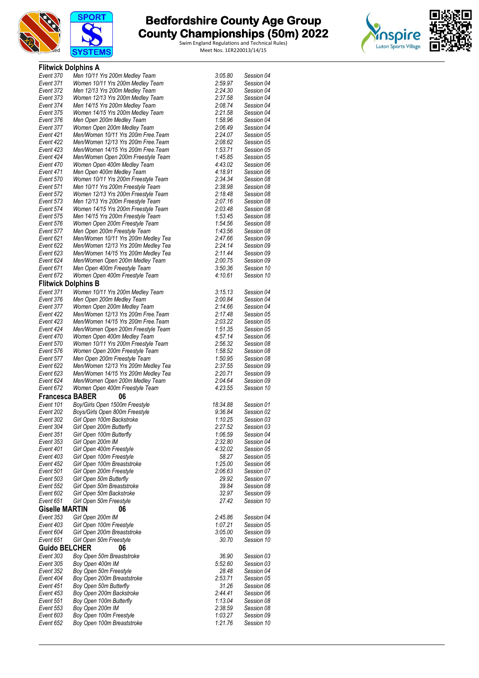



|                        | <b>Flitwick Dolphins A</b>                            |                    |                          |  |
|------------------------|-------------------------------------------------------|--------------------|--------------------------|--|
| Event 370              | Men 10/11 Yrs 200m Medley Team                        | 3:05.80            | Session 04               |  |
| Event 371              | Women 10/11 Yrs 200m Medley Team                      | 2:59.97            | Session 04               |  |
| Event 372              | Men 12/13 Yrs 200m Medley Team                        | 2:24.30            | Session 04               |  |
| Event 373              | Women 12/13 Yrs 200m Medley Team                      | 2:37.58            | Session 04               |  |
| Event 374              | Men 14/15 Yrs 200m Medley Team                        | 2:08.74            | Session 04               |  |
| Event 375              | Women 14/15 Yrs 200m Medley Team                      | 2:21.58            | Session 04               |  |
| Event 376              | Men Open 200m Medley Team                             | 1:58.96            | Session 04               |  |
| Event 377              | Women Open 200m Medley Team                           | 2:06.49            | Session 04               |  |
| Event 421              | Men/Women 10/11 Yrs 200m Free. Team                   | 2:24.07            | Session 05               |  |
| Event 422              | Men/Women 12/13 Yrs 200m Free. Team                   | 2:08.62            | Session 05               |  |
| Event 423              | Men/Women 14/15 Yrs 200m Free. Team                   | 1:53.71            | Session 05               |  |
| Event 424              | Men/Women Open 200m Freestyle Team                    | 1:45.85            | Session 05               |  |
| Event 470              | Women Open 400m Medley Team                           | 4:43.02            | Session 06               |  |
| Event 471              | Men Open 400m Medley Team                             | 4:18.91            | Session 06               |  |
| Event 570              | Women 10/11 Yrs 200m Freestyle Team                   | 2:34.34            | Session 08               |  |
| Event 571              | Men 10/11 Yrs 200m Freestyle Team                     | 2:38.98            | Session 08               |  |
| Event 572              | Women 12/13 Yrs 200m Freestyle Team                   | 2:18.48            | Session 08               |  |
| Event 573              | Men 12/13 Yrs 200m Freestyle Team                     | 2:07.16            | Session 08               |  |
| Event 574              | Women 14/15 Yrs 200m Freestyle Team                   | 2:03.48            | Session 08               |  |
| Event 575              | Men 14/15 Yrs 200m Freestyle Team                     | 1:53.45            | Session 08               |  |
| Event 576              | Women Open 200m Freestyle Team                        | 1:54.56            | Session 08               |  |
| Event 577              | Men Open 200m Freestyle Team                          | 1:43.56            | Session 08               |  |
| Event 621              | Men/Women 10/11 Yrs 200m Medley Tea                   | 2:47.66            | Session 09               |  |
| Event 622              | Men/Women 12/13 Yrs 200m Medley Tea                   | 2:24.14            | Session 09               |  |
| Event 623              | Men/Women 14/15 Yrs 200m Medley Tea                   | 2:11.44            | Session 09               |  |
| Event 624              | Men/Women Open 200m Medley Team                       | 2:00.75            | Session 09               |  |
| Event 671              | Men Open 400m Freestyle Team                          | 3:50.36            | Session 10               |  |
| Event 672              | Women Open 400m Freestyle Team                        | 4:10.61            | Session 10               |  |
|                        | <b>Flitwick Dolphins B</b>                            |                    |                          |  |
| Event 371              | Women 10/11 Yrs 200m Medley Team                      | 3:15.13            | Session 04               |  |
| Event 376              | Men Open 200m Medley Team                             | 2:00.84            | Session 04               |  |
| Event 377              | Women Open 200m Medley Team                           | 2:14.66            | Session 04               |  |
| Event 422              | Men/Women 12/13 Yrs 200m Free. Team                   | 2:17.48            | Session 05               |  |
| Event 423              | Men/Women 14/15 Yrs 200m Free.Team                    | 2:03.22            | Session 05               |  |
| Event 424              | Men/Women Open 200m Freestyle Team                    | 1:51.35            | Session 05               |  |
| Event 470              | Women Open 400m Medley Team                           | 4:57.14            | Session 06               |  |
| Event 570              | Women 10/11 Yrs 200m Freestyle Team                   | 2:56.32            | Session 08               |  |
| Event 576              | Women Open 200m Freestyle Team                        | 1:58.52            | Session 08               |  |
| Event 577              | Men Open 200m Freestyle Team                          | 1:50.95            | Session 08               |  |
| Event 622              | Men/Women 12/13 Yrs 200m Medley Tea                   | 2:37.55            | Session 09               |  |
| Event 623              | Men/Women 14/15 Yrs 200m Medley Tea                   | 2:20.71            | Session 09               |  |
| Event 624              | Men/Women Open 200m Medley Team                       | 2:04.64            | Session 09               |  |
| Event 672              | Women Open 400m Freestyle Team                        | 4:23.55            | Session 10               |  |
| <b>Francesca BABER</b> | 06                                                    |                    |                          |  |
| Event 101              | Boy/Girls Open 1500m Freestyle                        | 18:34.88           | Session 01               |  |
| Event 202              | Boys/Girls Open 800m Freestyle                        | 9:36.84            | Session 02               |  |
| Event 302              | Girl Open 100m Backstroke                             |                    |                          |  |
| Event 304              |                                                       | 1:10.25            | Session 03               |  |
|                        | Girl Open 200m Butterfly                              | 2:27.52            | Session 03               |  |
| Event 351              | Girl Open 100m Butterfly                              | 1:06.59            | Session 04               |  |
| Event 353              | Girl Open 200m IM                                     | 2:32.80            | Session 04               |  |
| Event 401              | Girl Open 400m Freestyle                              | 4:32.02            | Session 05               |  |
| Event 403              | Girl Open 100m Freestyle                              | 58.27              | Session 05               |  |
| Event 452              | Girl Open 100m Breaststroke                           | 1:25.00            | Session 06               |  |
| Event 501              | Girl Open 200m Freestyle                              | 2:06.63            | Session 07               |  |
| Event 503              | Girl Open 50m Butterfly                               | 29.92              | Session 07               |  |
| Event 552              | Girl Open 50m Breaststroke                            | 39.84              | Session 08               |  |
| Event 602              | Girl Open 50m Backstroke                              | 32.97              | Session 09               |  |
| Event 651              | Girl Open 50m Freestyle                               | 27.42              | Session 10               |  |
| <b>Giselle MARTIN</b>  | 06                                                    |                    |                          |  |
| Event 353              | Girl Open 200m IM                                     | 2:45.86            | Session 04               |  |
| Event 403              | Girl Open 100m Freestyle                              | 1:07.21            | Session 05               |  |
| Event 604              | Girl Open 200m Breaststroke                           | 3:05.00            | Session 09               |  |
| Event 651              | Girl Open 50m Freestyle                               | 30.70              | Session 10               |  |
| <b>Guido BELCHER</b>   | 06                                                    |                    |                          |  |
| Event 303              | Boy Open 50m Breaststroke                             | 36.90              | Session 03               |  |
| Event 305              | Boy Open 400m IM                                      | 5:52.60            | Session 03               |  |
| Event 352              | Boy Open 50m Freestyle                                | 28.48              | Session 04               |  |
| Event 404              | Boy Open 200m Breaststroke                            | 2:53.71            | Session 05               |  |
| Event 451              | Boy Open 50m Butterfly                                | 31.26              | Session 06               |  |
| Event 453              | Boy Open 200m Backstroke                              | 2:44.41            | Session 06               |  |
| Event 551              | Boy Open 100m Butterfly                               | 1:13.04            | Session 08               |  |
| Event 553              | Boy Open 200m IM                                      | 2:38.59            | Session 08               |  |
| Event 603<br>Event 652 | Boy Open 100m Freestyle<br>Boy Open 100m Breaststroke | 1:03.27<br>1:21.76 | Session 09<br>Session 10 |  |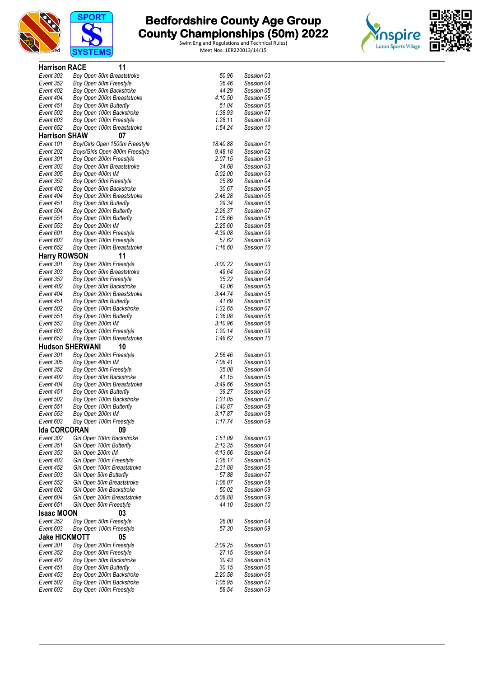



| <b>Harrison RACE</b>           | 11                                                     |                    |                          |
|--------------------------------|--------------------------------------------------------|--------------------|--------------------------|
| Event 303                      | Boy Open 50m Breaststroke                              | 50.96              | Session 03               |
| Event 352                      | Boy Open 50m Freestyle                                 | 36.46              | Session 04               |
| Event 402                      | Boy Open 50m Backstroke                                | 44.29              | Session 05               |
| Event 404                      | Boy Open 200m Breaststroke                             | 4:10.50            | Session 05               |
| Event 451                      | Boy Open 50m Butterfly                                 | 51.04              | Session 06               |
| Event 502                      | Boy Open 100m Backstroke                               | 1:38.93            | Session 07<br>Session 09 |
| Event 603<br>Event 652         | Boy Open 100m Freestyle<br>Boy Open 100m Breaststroke  | 1:28.11<br>1:54.24 | Session 10               |
| <b>Harrison SHAW</b>           | 07                                                     |                    |                          |
| Event 101                      | Boy/Girls Open 1500m Freestyle                         | 18:40.88           | Session 01               |
| Event 202                      | Boys/Girls Open 800m Freestyle                         | 9:48.18            | Session 02               |
| Event 301                      | Boy Open 200m Freestyle                                | 2:07.15            | Session 03               |
| Event 303                      | Boy Open 50m Breaststroke                              | 34.68              | Session 03               |
| Event 305                      | Boy Open 400m IM                                       | 5:02.00            | Session 03               |
| Event 352                      | Boy Open 50m Freestyle                                 | 25.89              | Session 04               |
| Event 402                      | Boy Open 50m Backstroke                                | 30.67              | Session 05               |
| Event 404                      | Boy Open 200m Breaststroke                             | 2:46.28            | Session 05               |
| Event 451                      | Boy Open 50m Butterfly                                 | 29.34              | Session 06               |
| Event 504                      | Boy Open 200m Butterfly                                | 2:26.37            | Session 07               |
| Event 551                      | Boy Open 100m Butterfly                                | 1:05.66            | Session 08               |
| Event 553                      | Boy Open 200m IM                                       | 2:25.60            | Session 08               |
| Event 601                      | Boy Open 400m Freestyle                                | 4:39.08            | Session 09               |
| Event 603<br>Event 652         | Boy Open 100m Freestyle<br>Boy Open 100m Breaststroke  | 57.62<br>1:16.60   | Session 09<br>Session 10 |
|                                | 11                                                     |                    |                          |
| <b>Harry ROWSON</b>            |                                                        |                    |                          |
| Event 301<br>Event 303         | Boy Open 200m Freestyle<br>Boy Open 50m Breaststroke   | 3:00.22<br>49.64   | Session 03<br>Session 03 |
| Event 352                      | Boy Open 50m Freestyle                                 | 35.22              | Session 04               |
| Event 402                      | Boy Open 50m Backstroke                                | 42.06              | Session 05               |
| Event 404                      | Boy Open 200m Breaststroke                             | 3:44.74            | Session 05               |
| Event 451                      | Boy Open 50m Butterfly                                 | 41.69              | Session 06               |
| Event 502                      | Boy Open 100m Backstroke                               | 1:32.65            | Session 07               |
| Event 551                      | Boy Open 100m Butterfly                                | 1:36.08            | Session 08               |
| Event 553                      | Boy Open 200m IM                                       | 3:10.96            | Session 08               |
| Event 603                      | Boy Open 100m Freestyle                                | 1:20.14            | Session 09               |
| Event 652                      | Boy Open 100m Breaststroke                             | 1:48.62            | Session 10               |
|                                | <b>Hudson SHERWANI</b><br>10                           |                    |                          |
| Event 301                      | Boy Open 200m Freestyle                                | 2:56.46            | Session 03               |
| Event 305                      | Boy Open 400m IM                                       | 7:08.41            | Session 03               |
| Event 352                      | Boy Open 50m Freestyle                                 | 35.08              | Session 04               |
| Event 402<br>Event 404         | Boy Open 50m Backstroke<br>Boy Open 200m Breaststroke  | 41.15<br>3:49.66   | Session 05<br>Session 05 |
| Event 451                      | Boy Open 50m Butterfly                                 | 39.27              | Session 06               |
| Event 502                      | Boy Open 100m Backstroke                               | 1:31.05            | Session 07               |
| Event 551                      | Boy Open 100m Butterfly                                | 1:40.87            | Session 08               |
| Event 553                      | Boy Open 200m IM                                       | 3:17.87            | Session 08               |
| Event 603                      | Boy Open 100m Freestyle                                | 1:17.74            | Session 09               |
| <b>Ida CORCORAN</b>            | 09                                                     |                    |                          |
| Event 302                      | Girl Open 100m Backstroke                              | 1:51.09            | Session 03               |
| Event 351                      | Girl Open 100m Butterfly                               | 2:12.35            | Session 04               |
| Event 353                      | Girl Open 200m IM                                      | 4:13.66            | Session 04               |
| Event 403                      | Girl Open 100m Freestyle                               | 1:36.17            | Session 05               |
| Event 452                      | Girl Open 100m Breaststroke                            | 2:31.88            | Session 06               |
| Event 503                      | Girl Open 50m Butterfly                                | 57.88              | Session 07               |
| Event 552                      | Girl Open 50m Breaststroke                             | 1:06.07            | Session 08               |
| Event 602                      | Girl Open 50m Backstroke                               | 50.02              | Session 09               |
| Event 604<br>Event 651         | Girl Open 200m Breaststroke<br>Girl Open 50m Freestyle | 5:08.88<br>44.10   | Session 09<br>Session 10 |
|                                |                                                        |                    |                          |
| <b>Isaac MOON</b><br>Event 352 | 03<br>Boy Open 50m Freestyle                           | 26.00              | Session 04               |
| Event 603                      | Boy Open 100m Freestyle                                | 57.30              | Session 09               |
| <b>Jake HICKMOTT</b>           | 05                                                     |                    |                          |
|                                |                                                        |                    |                          |
| Event 301<br>Event 352         | Boy Open 200m Freestyle<br>Boy Open 50m Freestyle      | 2:09.25<br>27.15   | Session 03<br>Session 04 |
| Event 402                      | Boy Open 50m Backstroke                                | 30.43              | Session 05               |
| Event 451                      | Boy Open 50m Butterfly                                 | 30.15              | Session 06               |
| Event 453                      | Boy Open 200m Backstroke                               | 2:20.58            | Session 06               |
| Event 502                      | Boy Open 100m Backstroke                               | 1:05.95            | Session 07               |
| Event 603                      | Boy Open 100m Freestyle                                | 58.54              | Session 09               |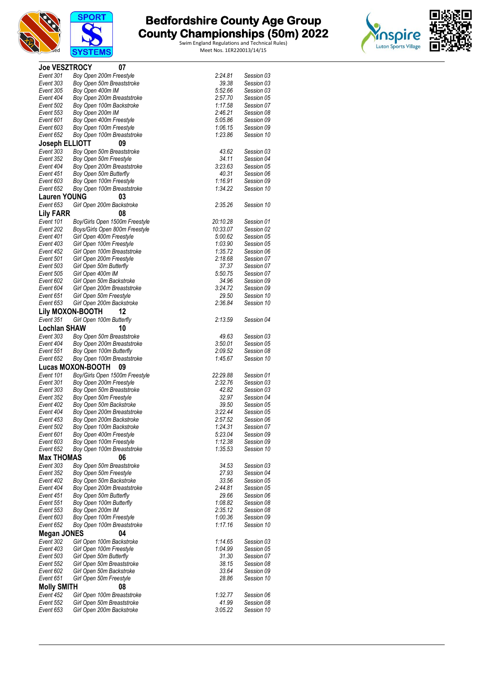



| <b>Joe VESZTROCY</b>   | 07                                                     |                    |                          |
|------------------------|--------------------------------------------------------|--------------------|--------------------------|
| Event 301              | Boy Open 200m Freestyle                                | 2:24.81            | Session 03               |
| Event 303              | Boy Open 50m Breaststroke                              | 39.38              | Session 03               |
| Event 305              | Boy Open 400m IM                                       | 5:52.66            | Session 03               |
| Event 404              | Boy Open 200m Breaststroke                             | 2:57.70            | Session 05               |
| Event 502              | Boy Open 100m Backstroke                               | 1:17.58            | Session 07               |
| Event 553<br>Event 601 | Boy Open 200m IM<br>Boy Open 400m Freestyle            | 2:46.21<br>5:05.86 | Session 08<br>Session 09 |
| Event 603              | Boy Open 100m Freestyle                                | 1:06.15            | Session 09               |
| Event 652              | Boy Open 100m Breaststroke                             | 1:23.86            | Session 10               |
| Joseph ELLIOTT         | 09                                                     |                    |                          |
| Event 303              | Boy Open 50m Breaststroke                              | 43.62              | Session 03               |
| Event 352              | Boy Open 50m Freestyle                                 | 34.11              | Session 04               |
| Event 404              | Boy Open 200m Breaststroke                             | 3:23.63            | Session 05               |
| Event 451              | Boy Open 50m Butterfly                                 | 40.31              | Session 06               |
| Event 603              | Boy Open 100m Freestyle                                | 1:16.91            | Session 09               |
| Event 652              | Boy Open 100m Breaststroke                             | 1:34.22            | Session 10               |
| <b>Lauren YOUNG</b>    | 03                                                     |                    |                          |
| Event 653              | Girl Open 200m Backstroke                              | 2:35.26            | Session 10               |
| <b>Lily FARR</b>       | 08                                                     |                    |                          |
| Event 101              | Boy/Girls Open 1500m Freestyle                         | 20:10.28           | Session 01               |
| Event 202              | Boys/Girls Open 800m Freestyle                         | 10:33.07           | Session 02               |
| Event 401              | Girl Open 400m Freestyle                               | 5:00.62            | Session 05               |
| Event 403              | Girl Open 100m Freestyle                               | 1:03.90            | Session 05               |
| Event 452              | Girl Open 100m Breaststroke                            | 1:35.72            | Session 06               |
| Event 501<br>Event 503 | Girl Open 200m Freestyle<br>Girl Open 50m Butterfly    | 2:18.68<br>37.37   | Session 07<br>Session 07 |
| Event 505              | Girl Open 400m IM                                      | 5:50.75            | Session 07               |
| Event 602              | Girl Open 50m Backstroke                               | 34.96              | Session 09               |
| Event 604              | Girl Open 200m Breaststroke                            | 3:24.72            | Session 09               |
| Event 651              | Girl Open 50m Freestyle                                | 29.50              | Session 10               |
| Event 653              | Girl Open 200m Backstroke                              | 2:36.84            | Session 10               |
|                        | Lily MOXON-BOOTH<br>12                                 |                    |                          |
| Event 351              | Girl Open 100m Butterfly                               | 2:13.59            | Session 04               |
| <b>Lochlan SHAW</b>    | 10                                                     |                    |                          |
| Event 303              | Boy Open 50m Breaststroke                              | 49.63              | Session 03               |
| Event 404              | Boy Open 200m Breaststroke                             | 3:50.01            | Session 05               |
| Event 551              | Boy Open 100m Butterfly                                | 2:09.52            | Session 08               |
| Event 652              | Boy Open 100m Breaststroke                             | 1:45.67            | Session 10               |
|                        | <b>Lucas MOXON-BOOTH</b><br>09                         |                    |                          |
| Event 101              | Boy/Girls Open 1500m Freestyle                         | 22:29.88           | Session 01               |
| Event 301              | Boy Open 200m Freestyle                                | 2:32.76            | Session 03               |
| Event 303              | Boy Open 50m Breaststroke                              | 42.82              | Session 03               |
| Event 352              | Boy Open 50m Freestyle                                 | 32.97              | Session 04               |
| Event 402              | Boy Open 50m Backstroke                                | 39.50              | Session 05               |
| Event 404              | Boy Open 200m Breaststroke<br>Boy Open 200m Backstroke | 3:22.44<br>2:57.52 | Session 05               |
| Event 453<br>Event 502 | Boy Open 100m Backstroke                               | 1:24.31            | Session 06<br>Session 07 |
| Event 601              | Boy Open 400m Freestyle                                | 5:23.04            | Session 09               |
| Event 603              | Boy Open 100m Freestyle                                | 1:12.38            | Session 09               |
| Event 652              | Boy Open 100m Breaststroke                             | 1:35.53            | Session 10               |
| <b>Max THOMAS</b>      | 06                                                     |                    |                          |
| Event 303              | Boy Open 50m Breaststroke                              | 34.53              | Session 03               |
| Event 352              | Boy Open 50m Freestyle                                 | 27.93              | Session 04               |
| Event 402              | Boy Open 50m Backstroke                                | 33.56              | Session 05               |
| Event 404              | Boy Open 200m Breaststroke                             | 2:44.81            | Session 05               |
| Event 451              | Boy Open 50m Butterfly                                 | 29.66              | Session 06               |
| Event 551              | Boy Open 100m Butterfly                                | 1:08.82            | Session 08               |
| Event 553              | Boy Open 200m IM                                       | 2:35.12            | Session 08               |
| Event 603              | Boy Open 100m Freestyle                                | 1:00.36            | Session 09               |
| Event 652              | Boy Open 100m Breaststroke                             | 1:17.16            | Session 10               |
| <b>Megan JONES</b>     | 04                                                     |                    |                          |
| Event 302<br>Event 403 | Girl Open 100m Backstroke                              | 1:14.65<br>1:04.99 | Session 03<br>Session 05 |
| Event 503              | Girl Open 100m Freestyle<br>Girl Open 50m Butterfly    | 31.30              | Session 07               |
| Event 552              | Girl Open 50m Breaststroke                             | 38.15              | Session 08               |
| Event 602              | Girl Open 50m Backstroke                               | 33.64              | Session 09               |
| Event 651              | Girl Open 50m Freestyle                                | 28.86              | Session 10               |
| <b>Molly SMITH</b>     | 08                                                     |                    |                          |
| Event 452              | Girl Open 100m Breaststroke                            | 1:32.77            | Session 06               |
| Event 552              | Girl Open 50m Breaststroke                             | 41.99              | Session 08               |
| Event 653              | Girl Open 200m Backstroke                              | 3:05.22            | Session 10               |
|                        |                                                        |                    |                          |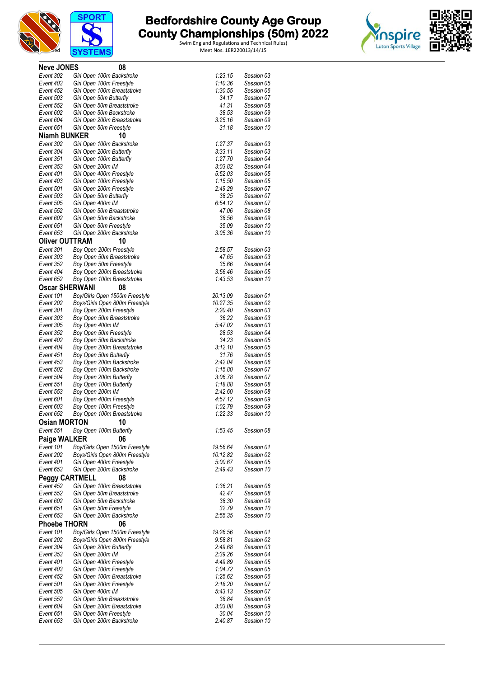





| <b>Neve JONES</b>      |                   | 08                                                        |                    |                          |
|------------------------|-------------------|-----------------------------------------------------------|--------------------|--------------------------|
| Event 302              |                   | Girl Open 100m Backstroke                                 | 1:23.15            | Session 03               |
| Event 403              |                   | Girl Open 100m Freestyle                                  | 1:10.36            | Session 05               |
| Event 452              |                   | Girl Open 100m Breaststroke                               | 1:30.55            | Session 06               |
| Event 503              |                   | Girl Open 50m Butterfly                                   | 34.17              | Session 07               |
| Event 552              |                   | Girl Open 50m Breaststroke                                | 41.31              | Session 08               |
| Event 602              |                   | Girl Open 50m Backstroke                                  | 38.53              | Session 09               |
| Event 604<br>Event 651 |                   | Girl Open 200m Breaststroke                               | 3:25.16<br>31.18   | Session 09<br>Session 10 |
| <b>Niamh BUNKER</b>    |                   | Girl Open 50m Freestyle<br>10                             |                    |                          |
| Event 302              |                   | Girl Open 100m Backstroke                                 | 1:27.37            | Session 03               |
| Event 304              |                   | Girl Open 200m Butterfly                                  | 3:33.11            | Session 03               |
| Event 351              |                   | Girl Open 100m Butterfly                                  | 1:27.70            | Session 04               |
| Event 353              | Girl Open 200m IM |                                                           | 3:03.82            | Session 04               |
| Event 401              |                   | Girl Open 400m Freestyle                                  | 5:52.03            | Session 05               |
| Event 403              |                   | Girl Open 100m Freestyle                                  | 1:15.50            | Session 05               |
| Event 501              |                   | Girl Open 200m Freestyle                                  | 2:49.29            | Session 07               |
| Event 503              |                   | Girl Open 50m Butterfly                                   | 38.25              | Session 07               |
| Event 505              | Girl Open 400m IM |                                                           | 6:54.12            | Session 07               |
| Event 552<br>Event 602 |                   | Girl Open 50m Breaststroke                                | 47.06<br>38.56     | Session 08               |
| Event 651              |                   | Girl Open 50m Backstroke<br>Girl Open 50m Freestyle       | 35.09              | Session 09<br>Session 10 |
| Event 653              |                   | Girl Open 200m Backstroke                                 | 3:05.36            | Session 10               |
| <b>Oliver OUTTRAM</b>  |                   | 10                                                        |                    |                          |
| Event 301              |                   | Boy Open 200m Freestyle                                   | 2:58.57            | Session 03               |
| Event 303              |                   | Boy Open 50m Breaststroke                                 | 47.65              | Session 03               |
| Event 352              |                   | Boy Open 50m Freestyle                                    | 35.66              | Session 04               |
| Event 404              |                   | Boy Open 200m Breaststroke                                | 3:56.46            | Session 05               |
| Event 652              |                   | Boy Open 100m Breaststroke                                | 1:43.53            | Session 10               |
| <b>Oscar SHERWANI</b>  |                   | 08                                                        |                    |                          |
| Event 101              |                   | Boy/Girls Open 1500m Freestyle                            | 20:13.09           | Session 01               |
| Event 202              |                   | Boys/Girls Open 800m Freestyle                            | 10:27.35           | Session 02               |
| Event 301              |                   | Boy Open 200m Freestyle                                   | 2:20.40            | Session 03               |
| Event 303<br>Event 305 |                   | Boy Open 50m Breaststroke                                 | 36.22<br>5:47.02   | Session 03<br>Session 03 |
| Event 352              | Boy Open 400m IM  | Boy Open 50m Freestyle                                    | 28.53              | Session 04               |
| Event 402              |                   | Boy Open 50m Backstroke                                   | 34.23              | Session 05               |
| Event 404              |                   | Boy Open 200m Breaststroke                                | 3:12.10            | Session 05               |
| Event 451              |                   | Boy Open 50m Butterfly                                    | 31.76              | Session 06               |
| Event 453              |                   | Boy Open 200m Backstroke                                  | 2:42.04            | Session 06               |
| Event 502              |                   | Boy Open 100m Backstroke                                  | 1:15.80            | Session 07               |
| Event 504              |                   | Boy Open 200m Butterfly                                   | 3:06.78            | Session 07               |
| Event 551              |                   | Boy Open 100m Butterfly                                   | 1:18.88            | Session 08               |
| Event 553<br>Event 601 | Boy Open 200m IM  | Boy Open 400m Freestyle                                   | 2:42.60<br>4:57.12 | Session 08<br>Session 09 |
| Event 603              |                   | Boy Open 100m Freestyle                                   | 1:02.79            | Session 09               |
| Event 652              |                   | Boy Open 100m Breaststroke                                | 1:22.33            | Session 10               |
| <b>Osian MORTON</b>    |                   | 10                                                        |                    |                          |
| Event 551              |                   | Boy Open 100m Butterfly                                   | 1:53.45            | Session 08               |
| Paige WALKER           |                   | 06                                                        |                    |                          |
| Event 101              |                   | Boy/Girls Open 1500m Freestyle                            | 19:56.64           | Session 01               |
| Event 202              |                   | Boys/Girls Open 800m Freestyle                            | 10:12.82           | Session 02               |
| Event 401              |                   | Girl Open 400m Freestyle                                  | 5:00.67            | Session 05               |
| Event 653              |                   | Girl Open 200m Backstroke                                 | 2:49.43            | Session 10               |
| <b>Peggy CARTMELL</b>  |                   | 08                                                        |                    |                          |
| Event 452<br>Event 552 |                   | Girl Open 100m Breaststroke<br>Girl Open 50m Breaststroke | 1:36.21<br>42.47   | Session 06<br>Session 08 |
| Event 602              |                   | Girl Open 50m Backstroke                                  | 38.30              | Session 09               |
| Event 651              |                   | Girl Open 50m Freestyle                                   | 32.79              | Session 10               |
| Event 653              |                   | Girl Open 200m Backstroke                                 | 2:55.35            | Session 10               |
| <b>Phoebe THORN</b>    |                   | 06                                                        |                    |                          |
| Event 101              |                   | Boy/Girls Open 1500m Freestyle                            | 19:26.56           | Session 01               |
| Event 202              |                   | Boys/Girls Open 800m Freestyle                            | 9:58.81            | Session 02               |
| Event 304              |                   | Girl Open 200m Butterfly                                  | 2:49.68            | Session 03               |
| Event 353              | Girl Open 200m IM |                                                           | 2:39.26            | Session 04               |
| Event 401              |                   | Girl Open 400m Freestyle                                  | 4:49.89            | Session 05               |
| Event 403<br>Event 452 |                   | Girl Open 100m Freestyle<br>Girl Open 100m Breaststroke   | 1:04.72<br>1:25.62 | Session 05<br>Session 06 |
| Event 501              |                   | Girl Open 200m Freestyle                                  | 2:18.20            | Session 07               |
| Event 505              | Girl Open 400m IM |                                                           | 5:43.13            | Session 07               |
| Event 552              |                   | Girl Open 50m Breaststroke                                | 38.84              | Session 08               |
| Event 604              |                   | Girl Open 200m Breaststroke                               | 3:03.08            | Session 09               |
| Event 651              |                   | Girl Open 50m Freestyle                                   | 30.04              | Session 10               |
| Event 653              |                   | Girl Open 200m Backstroke                                 | 2:40.87            | Session 10               |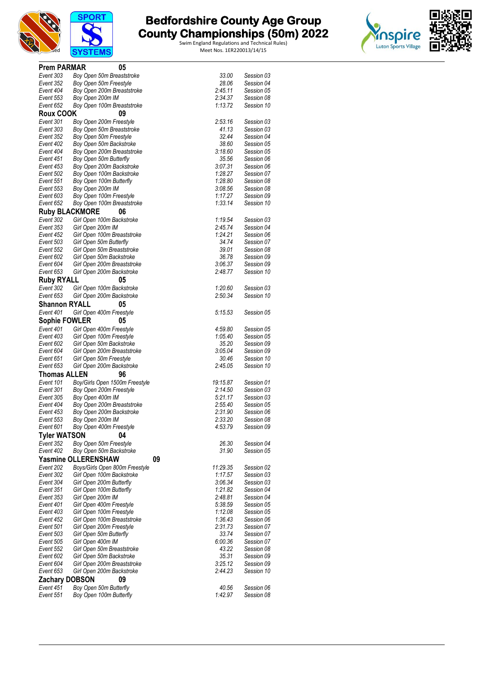



| <b>Prem PARMAR</b>     | 05                                                      |                    |                          |
|------------------------|---------------------------------------------------------|--------------------|--------------------------|
| Event 303              | Boy Open 50m Breaststroke                               | 33.00              | Session 03               |
| Event 352              | Boy Open 50m Freestyle                                  | 28.06              | Session 04               |
| Event 404<br>Event 553 | Boy Open 200m Breaststroke                              | 2:45.11<br>2:34.37 | Session 05<br>Session 08 |
| Event 652              | Boy Open 200m IM<br>Boy Open 100m Breaststroke          | 1:13.72            | Session 10               |
| Roux COOK              | 09                                                      |                    |                          |
| Event 301              | Boy Open 200m Freestyle                                 | 2:53.16            | Session 03               |
| Event 303              | Boy Open 50m Breaststroke                               | 41.13              | Session 03               |
| Event 352              | Boy Open 50m Freestyle                                  | 32.44              | Session 04               |
| Event 402              | Boy Open 50m Backstroke                                 | 38.60              | Session 05               |
| Event 404              | Boy Open 200m Breaststroke                              | 3:18.60            | Session 05               |
| Event 451<br>Event 453 | Boy Open 50m Butterfly                                  | 35.56<br>3:07.31   | Session 06<br>Session 06 |
| Event 502              | Boy Open 200m Backstroke<br>Boy Open 100m Backstroke    | 1:28.27            | Session 07               |
| Event 551              | Boy Open 100m Butterfly                                 | 1:28.80            | Session 08               |
| Event 553              | Boy Open 200m IM                                        | 3:08.56            | Session 08               |
| Event 603              | Boy Open 100m Freestyle                                 | 1:17.27            | Session 09               |
| Event 652              | Boy Open 100m Breaststroke                              | 1:33.14            | Session 10               |
|                        | <b>Ruby BLACKMORE</b><br>06                             |                    |                          |
| Event 302              | Girl Open 100m Backstroke                               | 1:19.54            | Session 03               |
| Event 353              | Girl Open 200m IM                                       | 2:45.74            | Session 04               |
| Event 452<br>Event 503 | Girl Open 100m Breaststroke                             | 1:24.21<br>34.74   | Session 06<br>Session 07 |
| Event 552              | Girl Open 50m Butterfly<br>Girl Open 50m Breaststroke   | 39.01              | Session 08               |
| Event 602              | Girl Open 50m Backstroke                                | 36.78              | Session 09               |
| Event 604              | Girl Open 200m Breaststroke                             | 3:06.37            | Session 09               |
| Event 653              | Girl Open 200m Backstroke                               | 2:48.77            | Session 10               |
| <b>Ruby RYALL</b>      | 05                                                      |                    |                          |
| Event 302              | Girl Open 100m Backstroke                               | 1:20.60            | Session 03               |
| Event 653              | Girl Open 200m Backstroke                               | 2:50.34            | Session 10               |
| <b>Shannon RYALL</b>   | 05                                                      |                    |                          |
| Event 401              | Girl Open 400m Freestyle                                | 5:15.53            | Session 05               |
| <b>Sophie FOWLER</b>   | 05                                                      |                    |                          |
| Event 401              | Girl Open 400m Freestyle                                | 4:59.80            | Session 05               |
| Event 403<br>Event 602 | Girl Open 100m Freestyle<br>Girl Open 50m Backstroke    | 1:05.40<br>35.20   | Session 05<br>Session 09 |
| Event 604              | Girl Open 200m Breaststroke                             | 3:05.04            | Session 09               |
| Event 651              | Girl Open 50m Freestyle                                 | 30.46              | Session 10               |
| Event 653              | Girl Open 200m Backstroke                               | 2:45.05            | Session 10               |
| <b>Thomas ALLEN</b>    | 96                                                      |                    |                          |
| Event 101              | Boy/Girls Open 1500m Freestyle                          | 19:15.87           | Session 01               |
| Event 301              | Boy Open 200m Freestyle                                 | 2:14.50            | Session 03               |
| Event 305              | Boy Open 400m IM                                        | 5.21.17            | Session 03               |
| Event 404<br>Event 453 | Boy Open 200m Breaststroke<br>Boy Open 200m Backstroke  | 2:55.40<br>2:31.90 | Session 05<br>Session 06 |
| Event 553              | Boy Open 200m IM                                        | 2:33.20            | Session 08               |
| Event 601              | Boy Open 400m Freestyle                                 | 4:53.79            | Session 09               |
| <b>Tyler WATSON</b>    | 04                                                      |                    |                          |
| Event 352              | Boy Open 50m Freestyle                                  | 26.30              | Session 04               |
| Event 402              | Boy Open 50m Backstroke                                 | 31.90              | Session 05               |
|                        | <b>Yasmine OLLERENSHAW</b>                              | 09                 |                          |
| Event 202              | Boys/Girls Open 800m Freestyle                          | 11:29.35           | Session 02               |
| Event 302              | Girl Open 100m Backstroke                               | 1:17.57            | Session 03               |
| Event 304              | Girl Open 200m Butterfly                                | 3:06.34            | Session 03               |
| Event 351<br>Event 353 | Girl Open 100m Butterfly<br>Girl Open 200m IM           | 1:21.82<br>2:48.81 | Session 04<br>Session 04 |
| Event 401              | Girl Open 400m Freestyle                                | 5:38.59            | Session 05               |
| Event 403              | Girl Open 100m Freestyle                                | 1:12.08            | Session 05               |
| Event 452              | Girl Open 100m Breaststroke                             | 1:36.43            | Session 06               |
| Event 501              | Girl Open 200m Freestyle                                | 2:31.73            | Session 07               |
| Event 503              | Girl Open 50m Butterfly                                 | 33.74              | Session 07               |
| Event 505              | Girl Open 400m IM                                       | 6:00.36            | Session 07               |
| Event 552              | Girl Open 50m Breaststroke                              | 43.22              | Session 08               |
| Event 602<br>Event 604 | Girl Open 50m Backstroke<br>Girl Open 200m Breaststroke | 35.31<br>3:25.12   | Session 09<br>Session 09 |
| Event 653              | Girl Open 200m Backstroke                               | 2:44.23            | Session 10               |
| <b>Zachary DOBSON</b>  | 09                                                      |                    |                          |
| Event 451              | Boy Open 50m Butterfly                                  | 40.56              | Session 06               |
| Event 551              | Boy Open 100m Butterfly                                 | 1:42.97            | Session 08               |
|                        |                                                         |                    |                          |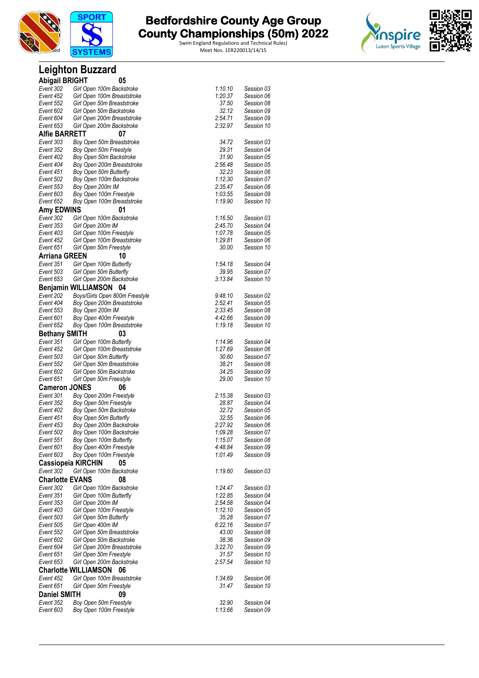



|                        | <b>Leighton Buzzard</b>                                |                  |                          |
|------------------------|--------------------------------------------------------|------------------|--------------------------|
| <b>Abigail BRIGHT</b>  | 05                                                     |                  |                          |
| Event 302              | Girl Open 100m Backstroke                              | 1:10.10          | Session 03               |
| Event 452              | Girl Open 100m Breaststroke                            | 1:20.37          | Session 06               |
| Event 552              | Girl Open 50m Breaststroke                             | 37.50            | Session 08               |
| Event 602              | Girl Open 50m Backstroke                               | 32.12            | Session 09               |
| Event 604              | Girl Open 200m Breaststroke                            | 2:54.71          | Session 09               |
| Event 653              | Girl Open 200m Backstroke                              | 2:32.97          | Session 10               |
| <b>Alfie BARRETT</b>   | 07                                                     |                  |                          |
| Event 303<br>Event 352 | Boy Open 50m Breaststroke<br>Boy Open 50m Freestyle    | 34.72<br>29.31   | Session 03<br>Session 04 |
| Event 402              | Boy Open 50m Backstroke                                | 31.90            | Session 05               |
| Event 404              | Boy Open 200m Breaststroke                             | 2:56.48          | Session 05               |
| Event 451              | Boy Open 50m Butterfly                                 | 32.23            | Session 06               |
| Event 502              | Boy Open 100m Backstroke                               | 1:12.30          | Session 07               |
| Event 553              | Boy Open 200m IM                                       | 2:35.47          | Session 08               |
| Event 603              | Boy Open 100m Freestyle                                | 1:03.55          | Session 09               |
| Event 652              | Boy Open 100m Breaststroke                             | 1:19.90          | Session 10               |
| Amy EDWINS             | 01                                                     |                  |                          |
| Event 302              | Girl Open 100m Backstroke                              | 1:16.50          | Session 03               |
| Event 353              | Girl Open 200m IM                                      | 2:45.70          | Session 04               |
| Event 403              | Girl Open 100m Freestyle                               | 1:07.78          | Session 05               |
| Event 452              | Girl Open 100m Breaststroke                            | 1:29.81          | Session 06               |
| Event 651              | Girl Open 50m Freestyle                                | 30.00            | Session 10               |
| <b>Arriana GREEN</b>   | 10                                                     |                  |                          |
| Event 351<br>Event 503 | Girl Open 100m Butterfly                               | 1:54.18<br>39.95 | Session 04<br>Session 07 |
| Event 653              | Girl Open 50m Butterfly<br>Girl Open 200m Backstroke   | 3:13.84          | Session 10               |
|                        | Benjamin WILLIAMSON 04                                 |                  |                          |
| Event 202              | Boys/Girls Open 800m Freestyle                         | 9:48.10          | Session 02               |
| Event 404              | Boy Open 200m Breaststroke                             | 2:52.41          | Session 05               |
| Event 553              | Boy Open 200m IM                                       | 2:33.45          | Session 08               |
| Event 601              | Boy Open 400m Freestyle                                | 4:42.66          | Session 09               |
| Event 652              | Boy Open 100m Breaststroke                             | 1:19.18          | Session 10               |
| <b>Bethany SMITH</b>   | 03                                                     |                  |                          |
| Event 351              | Girl Open 100m Butterfly                               | 1:14.96          | Session 04               |
| Event 452              | Girl Open 100m Breaststroke                            | 1:27.69          | Session 06               |
| Event 503              | Girl Open 50m Butterfly                                | 30.60            | Session 07               |
| Event 552              | Girl Open 50m Breaststroke                             | 38.21            | Session 08               |
| Event 602              | Girl Open 50m Backstroke                               | 34.25            | Session 09               |
| Event 651              | Girl Open 50m Freestyle                                | 29.00            | Session 10               |
| <b>Cameron JONES</b>   | 06                                                     |                  |                          |
| Event 301              | Boy Open 200m Freestyle                                | 2:15.38          | Session 03               |
| Event 352              | Boy Open 50m Freestyle                                 | 28.87            | Session 04               |
| Event 402<br>Event 451 | Boy Open 50m Backstroke<br>Boy Open 50m Butterfly      | 32.72<br>32.55   | Session 05<br>Session 06 |
| Event 453              | Boy Open 200m Backstroke                               | 2:27.92          | Session 06               |
| Event 502              | Boy Open 100m Backstroke                               | 1:09.28          | Session 07               |
| Event 551              | Boy Open 100m Butterfly                                | 1:15.07          | Session 08               |
| Event 601              | Boy Open 400m Freestyle                                | 4:48.84          | Session 09               |
| Event 603              | Boy Open 100m Freestyle                                | 1:01.49          | Session 09               |
|                        | <b>Cassiopeia KIRCHIN</b><br>05                        |                  |                          |
| Event 302              | Girl Open 100m Backstroke                              | 1:19.60          | Session 03               |
| <b>Charlotte EVANS</b> | 08                                                     |                  |                          |
| Event 302              | Girl Open 100m Backstroke                              | 1:24.47          | Session 03               |
| Event 351              | Girl Open 100m Butterfly                               | 1:22.85          | Session 04               |
| Event 353              | Girl Open 200m IM                                      | 2:54.58          | Session 04               |
| Event 403              | Girl Open 100m Freestyle                               | 1:12.10          | Session 05               |
| Event 503              | Girl Open 50m Butterfly                                | 35.28            | Session 07               |
| Event 505              | Girl Open 400m IM                                      | 6:22.16          | Session 07               |
| Event 552<br>Event 602 | Girl Open 50m Breaststroke<br>Girl Open 50m Backstroke | 43.00<br>38.36   | Session 08<br>Session 09 |
| Event 604              | Girl Open 200m Breaststroke                            | 3:22.70          | Session 09               |
| Event 651              | Girl Open 50m Freestyle                                | 31.57            | Session 10               |
| Event 653              | Girl Open 200m Backstroke                              | 2:57.54          | Session 10               |
|                        | <b>Charlotte WILLIAMSON 06</b>                         |                  |                          |
| Event 452              | Girl Open 100m Breaststroke                            | 1:34.69          | Session 06               |
| Event 651              | Girl Open 50m Freestyle                                | 31.47            | Session 10               |
| <b>Daniel SMITH</b>    | 09                                                     |                  |                          |
| Event 352              | Boy Open 50m Freestyle                                 | 32.90            | Session 04               |
| Event 603              | Boy Open 100m Freestyle                                | 1:13.66          | Session 09               |
|                        |                                                        |                  |                          |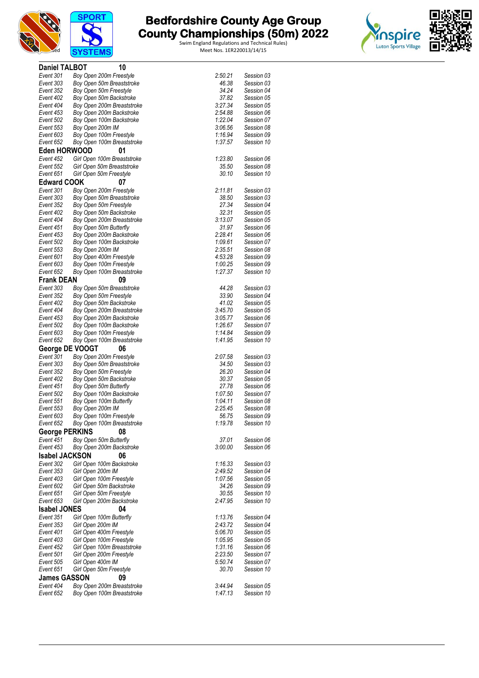





| <b>Daniel TALBOT</b>            | 10                                                      |                    |                          |
|---------------------------------|---------------------------------------------------------|--------------------|--------------------------|
| Event 301                       | Boy Open 200m Freestyle                                 | 2:50.21            | Session 03               |
| Event 303                       | Boy Open 50m Breaststroke                               | 46.38              | Session 03               |
| Event 352                       | Boy Open 50m Freestyle                                  | 34.24              | Session 04               |
| Event 402<br>Event 404          | Boy Open 50m Backstroke<br>Boy Open 200m Breaststroke   | 37.82<br>3:27.34   | Session 05<br>Session 05 |
| Event 453                       | Boy Open 200m Backstroke                                | 2:54.88            | Session 06               |
| Event 502                       | Boy Open 100m Backstroke                                | 1:22.04            | Session 07               |
| Event 553                       | Boy Open 200m IM                                        | 3:06.56            | Session 08               |
| Event 603                       | Boy Open 100m Freestyle                                 | 1:16.94            | Session 09               |
| Event 652                       | Boy Open 100m Breaststroke                              | 1:37.57            | Session 10               |
| Eden HORWOOD                    | 01                                                      |                    |                          |
| Event 452                       | Girl Open 100m Breaststroke                             | 1:23.80            | Session 06               |
| Event 552                       | Girl Open 50m Breaststroke                              | 35.50              | Session 08               |
| Event 651<br><b>Edward COOK</b> | Girl Open 50m Freestyle<br>07                           | 30.10              | Session 10               |
| Event 301                       | Boy Open 200m Freestyle                                 | 2:11.81            | Session 03               |
| Event 303                       | Boy Open 50m Breaststroke                               | 38.50              | Session 03               |
| Event 352                       | Boy Open 50m Freestyle                                  | 27.34              | Session 04               |
| Event 402                       | Boy Open 50m Backstroke                                 | 32.31              | Session 05               |
| Event 404                       | Boy Open 200m Breaststroke                              | 3:13.07            | Session 05               |
| Event 451                       | Boy Open 50m Butterfly                                  | 31.97              | Session 06               |
| Event 453                       | Boy Open 200m Backstroke                                | 2:28.41            | Session 06               |
| Event 502                       | Boy Open 100m Backstroke                                | 1:09.61            | Session 07               |
| Event 553                       | Boy Open 200m IM                                        | 2:35.51            | Session 08<br>Session 09 |
| Event 601<br>Event 603          | Boy Open 400m Freestyle<br>Boy Open 100m Freestyle      | 4:53.28<br>1:00.25 | Session 09               |
| Event 652                       | Boy Open 100m Breaststroke                              | 1:27.37            | Session 10               |
| <b>Frank DEAN</b>               | 09                                                      |                    |                          |
| Event 303                       | Boy Open 50m Breaststroke                               | 44.28              | Session 03               |
| Event 352                       | Boy Open 50m Freestyle                                  | 33.90              | Session 04               |
| Event 402                       | Boy Open 50m Backstroke                                 | 41.02              | Session 05               |
| Event 404                       | Boy Open 200m Breaststroke                              | 3:45.70            | Session 05               |
| Event 453                       | Boy Open 200m Backstroke                                | 3:05.77            | Session 06               |
| Event 502<br>Event 603          | Boy Open 100m Backstroke<br>Boy Open 100m Freestyle     | 1:26.67<br>1:14.84 | Session 07<br>Session 09 |
| Event 652                       | Boy Open 100m Breaststroke                              | 1:41.95            | Session 10               |
|                                 | George DE VOOGT<br>06                                   |                    |                          |
| Event 301                       | Boy Open 200m Freestyle                                 | 2:07.58            | Session 03               |
| Event 303                       | Boy Open 50m Breaststroke                               | 34.50              | Session 03               |
| Event 352                       | Boy Open 50m Freestyle                                  | 26.20              | Session 04               |
| Event 402                       | Boy Open 50m Backstroke                                 | 30.37              | Session 05               |
| Event 451<br>Event 502          | Boy Open 50m Butterfly<br>Boy Open 100m Backstroke      | 27.78<br>1:07.50   | Session 06<br>Session 07 |
| Event 551                       | Boy Open 100m Butterfly                                 | 1:04.11            | Session 08               |
| Event 553                       | Boy Open 200m IM                                        | 2:25.45            | Session 08               |
| Event 603                       | Boy Open 100m Freestyle                                 | 56.75              | Session 09               |
| Event 652                       | Boy Open 100m Breaststroke                              | 1:19.78            | Session 10               |
| <b>George PERKINS</b>           | 08                                                      |                    |                          |
| Event 451                       | Boy Open 50m Butterfly                                  | 37.01              | Session 06               |
| Event 453                       | Boy Open 200m Backstroke                                | 3:00.00            | Session 06               |
| <b>Isabel JACKSON</b>           | 06                                                      |                    |                          |
| Event 302                       | Girl Open 100m Backstroke                               | 1:16.33            | Session 03               |
| Event 353<br>Event 403          | Girl Open 200m IM<br>Girl Open 100m Freestyle           | 2:49.52<br>1:07.56 | Session 04<br>Session 05 |
| Event 602                       | Girl Open 50m Backstroke                                | 34.26              | Session 09               |
| Event 651                       | Girl Open 50m Freestyle                                 | 30.55              | Session 10               |
| Event 653                       | Girl Open 200m Backstroke                               | 2:47.95            | Session 10               |
| <b>Isabel JONES</b>             | 04                                                      |                    |                          |
| Event 351                       | Girl Open 100m Butterfly                                | 1:13.76            | Session 04               |
| Event 353                       | Girl Open 200m IM                                       | 2:43.72            | Session 04               |
| Event 401                       | Girl Open 400m Freestyle                                | 5:06.70            | Session 05               |
| Event 403                       | Girl Open 100m Freestyle                                | 1:05.95            | Session 05               |
| Event 452<br>Event 501          | Girl Open 100m Breaststroke<br>Girl Open 200m Freestyle | 1:31.16<br>2:23.50 | Session 06<br>Session 07 |
| Event 505                       | Girl Open 400m IM                                       | 5.50.74            | Session 07               |
| Event 651                       | Girl Open 50m Freestyle                                 | 30.70              | Session 10               |
| <b>James GASSON</b>             | 09                                                      |                    |                          |
| Event 404                       | Boy Open 200m Breaststroke                              | 3:44.94            | Session 05               |
| Event 652                       | Boy Open 100m Breaststroke                              | 1:47.13            | Session 10               |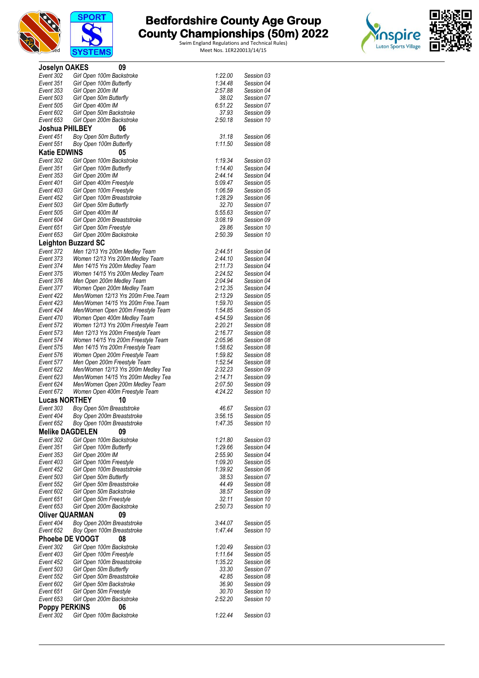



| <b>Joselyn OAKES</b>   | 09                                                                       |                    |                          |
|------------------------|--------------------------------------------------------------------------|--------------------|--------------------------|
| Event 302              | Girl Open 100m Backstroke                                                | 1:22.00            | Session 03               |
| Event 351              | Girl Open 100m Butterfly                                                 | 1:34.48            | Session 04               |
| Event 353<br>Event 503 | Girl Open 200m IM                                                        | 2:57.88<br>38.02   | Session 04<br>Session 07 |
| Event 505              | Girl Open 50m Butterfly<br>Girl Open 400m IM                             | 6:51.22            | Session 07               |
| Event 602              | Girl Open 50m Backstroke                                                 | 37.93              | Session 09               |
| Event 653              | Girl Open 200m Backstroke                                                | 2:50.18            | Session 10               |
| <b>Joshua PHILBEY</b>  | 06                                                                       |                    |                          |
| Event 451              | Boy Open 50m Butterfly                                                   | 31.18              | Session 06               |
| Event 551              | Boy Open 100m Butterfly                                                  | 1:11.50            | Session 08               |
| <b>Katie EDWINS</b>    | 05                                                                       |                    |                          |
| Event 302              | Girl Open 100m Backstroke                                                | 1:19.34            | Session 03               |
| Event 351<br>Event 353 | Girl Open 100m Butterfly<br>Girl Open 200m IM                            | 1:14.40<br>2:44.14 | Session 04<br>Session 04 |
| Event 401              | Girl Open 400m Freestyle                                                 | 5:09.47            | Session 05               |
| Event 403              | Girl Open 100m Freestyle                                                 | 1:06.59            | Session 05               |
| Event 452              | Girl Open 100m Breaststroke                                              | 1:28.29            | Session 06               |
| Event 503              | Girl Open 50m Butterfly                                                  | 32.70              | Session 07               |
| Event 505              | Girl Open 400m IM                                                        | 5:55.63            | Session 07               |
| Event 604<br>Event 651 | Girl Open 200m Breaststroke<br>Girl Open 50m Freestyle                   | 3:08.19<br>29.86   | Session 09<br>Session 10 |
| Event 653              | Girl Open 200m Backstroke                                                | 2:50.39            | Session 10               |
|                        | <b>Leighton Buzzard SC</b>                                               |                    |                          |
| Event 372              | Men 12/13 Yrs 200m Medley Team                                           | 2:44.51            | Session 04               |
| Event 373              | Women 12/13 Yrs 200m Medley Team                                         | 2:44.10            | Session 04               |
| Event 374              | Men 14/15 Yrs 200m Medley Team                                           | 2:11.73            | Session 04               |
| Event 375              | Women 14/15 Yrs 200m Medley Team                                         | 2:24.52            | Session 04               |
| Event 376<br>Event 377 | Men Open 200m Medley Team<br>Women Open 200m Medley Team                 | 2:04.94<br>2:12.35 | Session 04<br>Session 04 |
| Event 422              | Men/Women 12/13 Yrs 200m Free.Team                                       | 2:13.29            | Session 05               |
| Event 423              | Men/Women 14/15 Yrs 200m Free. Team                                      | 1:59.70            | Session 05               |
| Event 424              | Men/Women Open 200m Freestyle Team                                       | 1:54.85            | Session 05               |
| Event 470              | Women Open 400m Medley Team                                              | 4:54.59            | Session 06               |
| Event 572              | Women 12/13 Yrs 200m Freestyle Team                                      | 2:20.21            | Session 08               |
| Event 573<br>Event 574 | Men 12/13 Yrs 200m Freestyle Team<br>Women 14/15 Yrs 200m Freestyle Team | 2:16.77<br>2:05.96 | Session 08<br>Session 08 |
| Event 575              | Men 14/15 Yrs 200m Freestyle Team                                        | 1:58.62            | Session 08               |
| Event 576              | Women Open 200m Freestyle Team                                           | 1:59.82            | Session 08               |
| Event 577              | Men Open 200m Freestyle Team                                             | 1:52.54            | Session 08               |
| Event 622              | Men/Women 12/13 Yrs 200m Medley Tea                                      | 2:32.23            | Session 09               |
| Event 623<br>Event 624 | Men/Women 14/15 Yrs 200m Medley Tea<br>Men/Women Open 200m Medley Team   | 2:14.71<br>2:07.50 | Session 09<br>Session 09 |
| Event 672              | Women Open 400m Freestyle Team                                           | 4:24.22            | Session 10               |
| <b>Lucas NORTHEY</b>   | 10                                                                       |                    |                          |
| Event 303              | Boy Open 50m Breaststroke                                                | 46.67              | Session 03               |
| Event 404              | Boy Open 200m Breaststroke                                               | 3:56.15            | Session 05               |
| Event 652              | Boy Open 100m Breaststroke                                               | 1:47.35            | Session 10               |
| <b>Melike DAGDELEN</b> | 09                                                                       |                    |                          |
| Event 302              | Girl Open 100m Backstroke                                                | 1:21.80            | Session 03               |
| Event 351<br>Event 353 | Girl Open 100m Butterfly<br>Girl Open 200m IM                            | 1:29.66<br>2:55.90 | Session 04<br>Session 04 |
| Event 403              | Girl Open 100m Freestyle                                                 | 1:09.20            | Session 05               |
| Event 452              | Girl Open 100m Breaststroke                                              | 1:39.92            | Session 06               |
| Event 503              | Girl Open 50m Butterfly                                                  | 38.53              | Session 07               |
| Event 552              | Girl Open 50m Breaststroke                                               | 44.49              | Session 08               |
| Event 602              | Girl Open 50m Backstroke                                                 | 38.57              | Session 09               |
| Event 651<br>Event 653 | Girl Open 50m Freestyle<br>Girl Open 200m Backstroke                     | 32.11<br>2:50.73   | Session 10<br>Session 10 |
| <b>Oliver QUARMAN</b>  | 09                                                                       |                    |                          |
| Event 404              | Boy Open 200m Breaststroke                                               | 3:44.07            | Session 05               |
| Event 652              | Boy Open 100m Breaststroke                                               | 1:47.44            | Session 10               |
| <b>Phoebe DE VOOGT</b> | 08                                                                       |                    |                          |
| Event 302              | Girl Open 100m Backstroke                                                | 1:20.49            | Session 03               |
| Event 403              | Girl Open 100m Freestyle                                                 | 1:11.64            | Session 05               |
| Event 452              | Girl Open 100m Breaststroke                                              | 1:35.22            | Session 06               |
| Event 503<br>Event 552 | Girl Open 50m Butterfly<br>Girl Open 50m Breaststroke                    | 33.30<br>42.85     | Session 07<br>Session 08 |
| Event 602              | Girl Open 50m Backstroke                                                 | 36.90              | Session 09               |
| Event 651              | Girl Open 50m Freestyle                                                  | 30.70              | Session 10               |
| Event 653              | Girl Open 200m Backstroke                                                | 2:52.20            | Session 10               |
| <b>Poppy PERKINS</b>   | 06                                                                       |                    |                          |
| Event 302              | Girl Open 100m Backstroke                                                | 1:22.44            | Session 03               |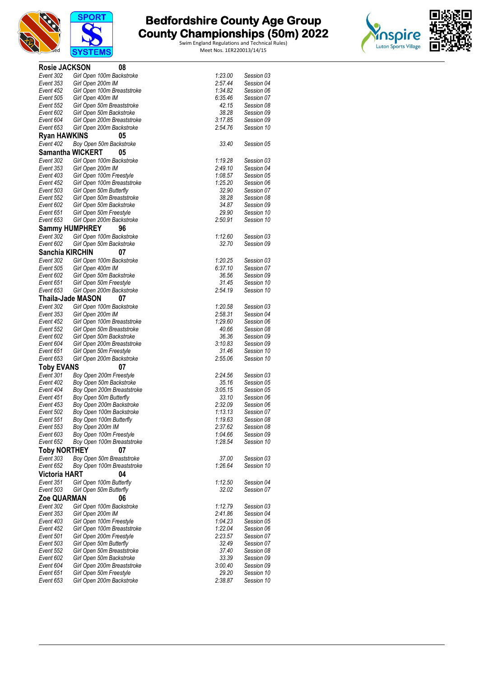



| Rosie JACKSON          | 08                                                       |                  |                          |
|------------------------|----------------------------------------------------------|------------------|--------------------------|
| Event 302              | Girl Open 100m Backstroke                                | 1:23.00          | Session 03               |
| Event 353              | Girl Open 200m IM                                        | 2:57.44          | Session 04               |
| Event 452              | Girl Open 100m Breaststroke                              | 1:34.82          | Session 06               |
| Event 505              | Girl Open 400m IM                                        | 6:35.46          | Session 07               |
| Event 552              | Girl Open 50m Breaststroke                               | 42.15            | Session 08               |
| Event 602              | Girl Open 50m Backstroke                                 | 38.28            | Session 09               |
| Event 604              | Girl Open 200m Breaststroke                              | 3:17.85          | Session 09               |
| Event 653              | Girl Open 200m Backstroke                                | 2:54.76          | Session 10               |
| <b>Ryan HAWKINS</b>    | 05                                                       | 33.40            |                          |
| Event 402              | Boy Open 50m Backstroke<br><b>Samantha WICKERT</b><br>05 |                  | Session 05               |
| Event 302              | Girl Open 100m Backstroke                                | 1:19.28          | Session 03               |
| Event 353              | Girl Open 200m IM                                        | 2:49.10          | Session 04               |
| Event 403              | Girl Open 100m Freestyle                                 | 1:08.57          | Session 05               |
| Event 452              | Girl Open 100m Breaststroke                              | 1:25.20          | Session 06               |
| Event 503              | Girl Open 50m Butterfly                                  | 32.90            | Session 07               |
| Event 552              | Girl Open 50m Breaststroke                               | 38.28            | Session 08               |
| Event 602              | Girl Open 50m Backstroke                                 | 34.87            | Session 09               |
| Event 651              | Girl Open 50m Freestyle                                  | 29.90            | Session 10               |
| Event 653              | Girl Open 200m Backstroke                                | 2:50.91          | Session 10               |
|                        | <b>Sammy HUMPHREY</b><br>96                              |                  |                          |
| Event 302              | Girl Open 100m Backstroke                                | 1:12.60          | Session 03               |
| Event 602              | Girl Open 50m Backstroke                                 | 32.70            | Session 09               |
| <b>Sanchia KIRCHIN</b> | 07                                                       |                  |                          |
| Event 302              | Girl Open 100m Backstroke                                | 1:20.25          | Session 03               |
| Event 505              | Girl Open 400m IM                                        | 6:37.10          | Session 07               |
| Event 602              | Girl Open 50m Backstroke                                 | 36.56<br>31.45   | Session 09<br>Session 10 |
| Event 651<br>Event 653 | Girl Open 50m Freestyle<br>Girl Open 200m Backstroke     | 2:54.19          | Session 10               |
|                        | Thaila-Jade MASON<br>07                                  |                  |                          |
| Event 302              | Girl Open 100m Backstroke                                | 1:20.58          | Session 03               |
| Event 353              | Girl Open 200m IM                                        | 2:58.31          | Session 04               |
| Event 452              | Girl Open 100m Breaststroke                              | 1:29.60          | Session 06               |
| Event 552              | Girl Open 50m Breaststroke                               | 40.66            | Session 08               |
| Event 602              | Girl Open 50m Backstroke                                 | 36.36            | Session 09               |
| Event 604              | Girl Open 200m Breaststroke                              | 3:10.83          | Session 09               |
| Event 651              | Girl Open 50m Freestyle                                  | 31.46            | Session 10               |
| Event 653              | Girl Open 200m Backstroke                                | 2:55.06          | Session 10               |
| <b>Toby EVANS</b>      | 07                                                       |                  |                          |
| Event 301              | Boy Open 200m Freestyle                                  | 2:24.56          | Session 03               |
| Event 402              | Boy Open 50m Backstroke                                  | 35.16            | Session 05               |
| Event 404              | Boy Open 200m Breaststroke                               | 3:05.15          | Session 05               |
| Event 451<br>Event 453 | Boy Open 50m Butterfly                                   | 33.10<br>2:32.09 | Session 06<br>Session 06 |
| Event 502              | Boy Open 200m Backstroke<br>Boy Open 100m Backstroke     | 1:13.13          | Session 07               |
| Event 551              | Boy Open 100m Butterfly                                  | 1:19.63          | Session 08               |
| Event 553              | Boy Open 200m IM                                         | 2:37.62          | Session 08               |
| Event 603              | Boy Open 100m Freestyle                                  | 1:04.66          | Session 09               |
| Event 652              | Boy Open 100m Breaststroke                               | 1:28.54          | Session 10               |
| <b>Toby NORTHEY</b>    | 07                                                       |                  |                          |
| Event 303              | Boy Open 50m Breaststroke                                | 37.00            | Session 03               |
| Event 652              | Boy Open 100m Breaststroke                               | 1:26.64          | Session 10               |
| <b>Victoria HART</b>   | 04                                                       |                  |                          |
| Event 351              | Girl Open 100m Butterfly                                 | 1:12.50          | Session 04               |
| Event 503              | Girl Open 50m Butterfly                                  | 32.02            | Session 07               |
| Zoe QUARMAN            | 06                                                       |                  |                          |
| Event 302              | Girl Open 100m Backstroke                                | 1:12.79          | Session 03               |
| Event 353              | Girl Open 200m IM                                        | 2:41.86          | Session 04               |
| Event 403              | Girl Open 100m Freestyle                                 | 1:04.23          | Session 05               |
| Event 452              | Girl Open 100m Breaststroke                              | 1:22.04          | Session 06               |
| Event 501              | Girl Open 200m Freestyle                                 | 2:23.57          | Session 07               |
| Event 503              | Girl Open 50m Butterfly                                  | 32.49            | Session 07               |
| Event 552<br>Event 602 | Girl Open 50m Breaststroke<br>Girl Open 50m Backstroke   | 37.40<br>33.39   | Session 08<br>Session 09 |
| Event 604              | Girl Open 200m Breaststroke                              | 3:00.40          | Session 09               |
| Event 651              | Girl Open 50m Freestyle                                  | 29.20            | Session 10               |
| Event 653              | Girl Open 200m Backstroke                                | 2:38.87          | Session 10               |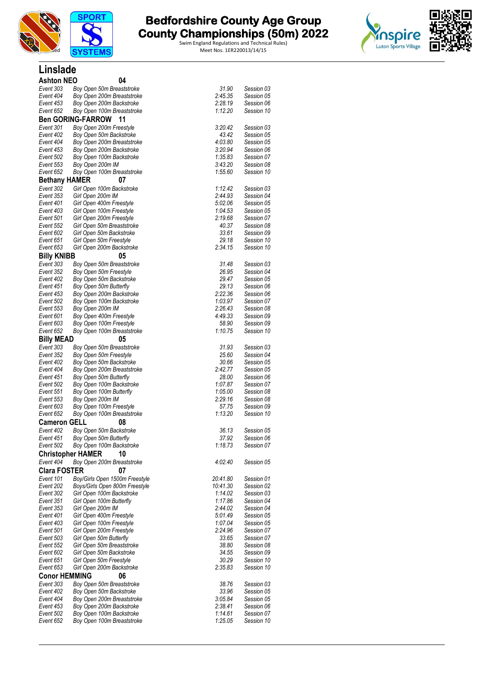

**Linslade**

# **The Bedfordshire County Age Group and County Championships (50m) 2022**

Swim England Regulations and Technical Rules) Licensed Meet Nos. 1ER220013/14/15

**and County County County County County County County County County County County County County County County County County County County County County County County County County County County County County County County** 



| <b>Ashton NEO</b>                | 04                                                    |                    |                          |  |
|----------------------------------|-------------------------------------------------------|--------------------|--------------------------|--|
| Event 303                        | Boy Open 50m Breaststroke                             | 31.90              | Session 03               |  |
| Event 404                        | Boy Open 200m Breaststroke                            | 2:45.35            | Session 05               |  |
| Event 453                        | Boy Open 200m Backstroke                              | 2:28.19            | Session 06               |  |
| Event 652                        | Boy Open 100m Breaststroke                            | 1:12.20            | Session 10               |  |
|                                  | <b>Ben GORING-FARROW</b><br>11                        |                    |                          |  |
| Event 301                        | Boy Open 200m Freestyle                               | 3:20.42<br>43.42   | Session 03<br>Session 05 |  |
| Event 402<br>Event 404           | Boy Open 50m Backstroke<br>Boy Open 200m Breaststroke | 4:03.80            | Session 05               |  |
| Event 453                        | Boy Open 200m Backstroke                              | 3:20.94            | Session 06               |  |
| Event 502                        | Boy Open 100m Backstroke                              | 1:35.83            | Session 07               |  |
| Event 553                        | Boy Open 200m IM                                      | 3:43.20            | Session 08               |  |
| Event 652                        | Boy Open 100m Breaststroke                            | 1:55.60            | Session 10               |  |
| <b>Bethany HAMER</b>             | 07                                                    |                    |                          |  |
| Event 302                        | Girl Open 100m Backstroke                             | 1:12.42            | Session 03               |  |
| Event 353                        | Girl Open 200m IM                                     | 2:44.93            | Session 04               |  |
| Event 401                        | Girl Open 400m Freestyle                              | 5:02.06            | Session 05               |  |
| Event 403<br>Event 501           | Girl Open 100m Freestyle<br>Girl Open 200m Freestyle  | 1:04.53<br>2:19.68 | Session 05<br>Session 07 |  |
| Event 552                        | Girl Open 50m Breaststroke                            | 40.37              | Session 08               |  |
| Event 602                        | Girl Open 50m Backstroke                              | 33.61              | Session 09               |  |
| Event 651                        | Girl Open 50m Freestyle                               | 29.18              | Session 10               |  |
| Event 653                        | Girl Open 200m Backstroke                             | 2:34.15            | Session 10               |  |
| <b>Billy KNIBB</b>               | 05                                                    |                    |                          |  |
| Event 303                        | Boy Open 50m Breaststroke                             | 31.48              | Session 03               |  |
| Event 352                        | Boy Open 50m Freestyle                                | 26.95              | Session 04               |  |
| Event 402                        | Boy Open 50m Backstroke                               | 29.47              | Session 05               |  |
| Event 451                        | Boy Open 50m Butterfly                                | 29.13              | Session 06<br>Session 06 |  |
| Event 453<br>Event 502           | Boy Open 200m Backstroke<br>Boy Open 100m Backstroke  | 2:22.36<br>1:03.97 | Session 07               |  |
| Event 553                        | Boy Open 200m IM                                      | 2:26.43            | Session 08               |  |
| Event 601                        | Boy Open 400m Freestyle                               | 4:49.33            | Session 09               |  |
| Event 603                        | Boy Open 100m Freestyle                               | 58.90              | Session 09               |  |
| Event 652                        | Boy Open 100m Breaststroke                            | 1:10.75            | Session 10               |  |
| <b>Billy MEAD</b>                | 05                                                    |                    |                          |  |
| Event 303                        | Boy Open 50m Breaststroke                             | 31.93              | Session 03               |  |
| Event 352                        | Boy Open 50m Freestyle                                | 25.60              | Session 04               |  |
| Event 402                        | Boy Open 50m Backstroke                               | 30.66              | Session 05               |  |
| Event 404<br>Event 451           | Boy Open 200m Breaststroke<br>Boy Open 50m Butterfly  | 2:42.77<br>28.00   | Session 05<br>Session 06 |  |
| Event 502                        | Boy Open 100m Backstroke                              | 1:07.87            | Session 07               |  |
| Event 551                        | Boy Open 100m Butterfly                               | 1:05.00            | Session 08               |  |
| Event 553                        | Boy Open 200m IM                                      | 2:29.16            | Session 08               |  |
| Event 603                        | Boy Open 100m Freestyle                               | 57.75              | Session 09               |  |
| Event 652                        | Boy Open 100m Breaststroke                            | 1:13.20            | Session 10               |  |
| Cameron GELL                     | 08                                                    |                    |                          |  |
| Event 402                        | Boy Open 50m Backstroke                               | 36.13              | Session 05               |  |
| Event 451                        | Boy Open 50m Butterfly                                | 37.92              | Session 06               |  |
| Event 502                        | Boy Open 100m Backstroke                              | 1:18.73            | Session 07               |  |
|                                  | <b>Christopher HAMER</b><br>10                        |                    |                          |  |
| Event 404                        | Boy Open 200m Breaststroke                            | 4:02.40            | Session 05               |  |
| <b>Clara FOSTER</b><br>Event 101 | 07<br>Boy/Girls Open 1500m Freestyle                  | 20:41.80           | Session 01               |  |
| Event 202                        | Boys/Girls Open 800m Freestyle                        | 10:41.30           | Session 02               |  |
| Event 302                        | Girl Open 100m Backstroke                             | 1:14.02            | Session 03               |  |
| Event 351                        | Girl Open 100m Butterfly                              | 1:17.86            | Session 04               |  |
| Event 353                        | Girl Open 200m IM                                     | 2:44.02            | Session 04               |  |
| Event 401                        | Girl Open 400m Freestyle                              | 5:01.49            | Session 05               |  |
| Event 403                        | Girl Open 100m Freestyle                              | 1:07.04            | Session 05               |  |
| Event 501                        | Girl Open 200m Freestyle                              | 2:24.96            | Session 07               |  |
| Event 503<br>Event 552           | Girl Open 50m Butterfly<br>Girl Open 50m Breaststroke | 33.65<br>38.80     | Session 07<br>Session 08 |  |
| Event 602                        | Girl Open 50m Backstroke                              | 34.55              | Session 09               |  |
| Event 651                        | Girl Open 50m Freestyle                               | 30.29              | Session 10               |  |
| Event 653                        | Girl Open 200m Backstroke                             | 2:35.83            | Session 10               |  |
| <b>Conor HEMMING</b>             | 06                                                    |                    |                          |  |
| Event 303                        | Boy Open 50m Breaststroke                             | 38.76              | Session 03               |  |
| Event 402                        | Boy Open 50m Backstroke                               | 33.96              | Session 05               |  |
| Event 404                        | Boy Open 200m Breaststroke                            | 3:05.84            | Session 05               |  |
| Event 453                        | Boy Open 200m Backstroke                              | 2:38.41            | Session 06               |  |
| Event 502                        | Boy Open 100m Backstroke                              | 1:14.61            | Session 07               |  |
| Event 652                        | Boy Open 100m Breaststroke                            | 1:25.05            | Session 10               |  |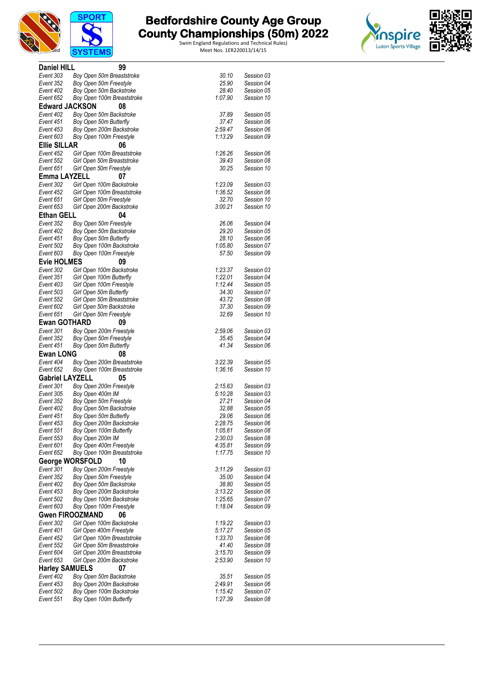



| <b>Daniel HILL</b>     | 99                                                    |                    |                          |
|------------------------|-------------------------------------------------------|--------------------|--------------------------|
| Event 303              | Boy Open 50m Breaststroke                             | 30.10              | Session 03               |
| Event 352              | Boy Open 50m Freestyle                                | 25.90              | Session 04               |
| Event 402<br>Event 652 | Boy Open 50m Backstroke                               | 28.40<br>1:07.90   | Session 05               |
| <b>Edward JACKSON</b>  | Boy Open 100m Breaststroke<br>08                      |                    | Session 10               |
| Event 402              | Boy Open 50m Backstroke                               | 37.89              | Session 05               |
| Event 451              | Boy Open 50m Butterfly                                | 37.47              | Session 06               |
| Event 453              | Boy Open 200m Backstroke                              | 2:59.47            | Session 06               |
| Event 603              | Boy Open 100m Freestyle                               | 1:13.29            | Session 09               |
| <b>Ellie SILLAR</b>    | 06                                                    |                    |                          |
| Event 452              | Girl Open 100m Breaststroke                           | 1:26.26            | Session 06               |
| Event 552              | Girl Open 50m Breaststroke                            | 39.43              | Session 08               |
| Event 651              | Girl Open 50m Freestyle                               | 30.25              | Session 10               |
| Emma LAYZELL           | 07                                                    |                    |                          |
| Event 302              | Girl Open 100m Backstroke                             | 1:23.09            | Session 03               |
| Event 452              | Girl Open 100m Breaststroke                           | 1:36.52<br>32.70   | Session 06<br>Session 10 |
| Event 651<br>Event 653 | Girl Open 50m Freestyle<br>Girl Open 200m Backstroke  | 3:00.21            | Session 10               |
| <b>Ethan GELL</b>      | 04                                                    |                    |                          |
| Event 352              | Boy Open 50m Freestyle                                | 26.06              | Session 04               |
| Event 402              | Boy Open 50m Backstroke                               | 29.20              | Session 05               |
| Event 451              | Boy Open 50m Butterfly                                | 28.10              | Session 06               |
| Event 502              | Boy Open 100m Backstroke                              | 1:05.80            | Session 07               |
| Event 603              | Boy Open 100m Freestyle                               | 57.50              | Session 09               |
| <b>Evie HOLMES</b>     | 09                                                    |                    |                          |
| Event 302              | Girl Open 100m Backstroke                             | 1:23.37            | Session 03               |
| Event 351              | Girl Open 100m Butterfly                              | 1:22.01            | Session 04               |
| Event 403<br>Event 503 | Girl Open 100m Freestyle<br>Girl Open 50m Butterfly   | 1:12.44<br>34.30   | Session 05<br>Session 07 |
| Event 552              | Girl Open 50m Breaststroke                            | 43.72              | Session 08               |
| Event 602              | Girl Open 50m Backstroke                              | 37.30              | Session 09               |
| Event 651              | Girl Open 50m Freestyle                               | 32.69              | Session 10               |
| <b>Ewan GOTHARD</b>    | 09                                                    |                    |                          |
| Event 301              | Boy Open 200m Freestyle                               | 2:59.06            | Session 03               |
| Event 352              | Boy Open 50m Freestyle                                | 35.45              | Session 04               |
| Event 451              | Boy Open 50m Butterfly                                | 41.34              | Session 06               |
| <b>Ewan LONG</b>       | 08                                                    |                    |                          |
| Event 404<br>Event 652 | Boy Open 200m Breaststroke                            | 3:22.39<br>1:36.16 | Session 05<br>Session 10 |
| <b>Gabriel LAYZELL</b> | Boy Open 100m Breaststroke<br>05                      |                    |                          |
| Event 301              | Boy Open 200m Freestyle                               | 2:15.63            | Session 03               |
| Event 305              | Boy Open 400m IM                                      | 5:10.28            | Session 03               |
| Event 352              | Boy Open 50m Freestyle                                | 27.21              | Session 04               |
| Event 402              | Boy Open 50m Backstroke                               | 32.88              | Session 05               |
| Event 451              | Boy Open 50m Butterfly                                | 29.06              | Session 06               |
| Event 453              | Boy Open 200m Backstroke                              | 2:28.75            | Session 06               |
| Event 551              | Boy Open 100m Butterfly                               | 1:05.61            | Session 08               |
| Event 553<br>Event 601 | Boy Open 200m IM<br>Boy Open 400m Freestyle           | 2:30.03<br>4:35.81 | Session 08<br>Session 09 |
| Event 652              | Boy Open 100m Breaststroke                            | 1:17.75            | Session 10               |
|                        | George WORSFOLD<br>10                                 |                    |                          |
| Event 301              | Boy Open 200m Freestyle                               | 3:11.29            | Session 03               |
| Event 352              | Boy Open 50m Freestyle                                | 35.00              | Session 04               |
| Event 402              | Boy Open 50m Backstroke                               | 38.80              | Session 05               |
| Event 453              | Boy Open 200m Backstroke                              | 3:13.22            | Session 06               |
| Event 502              | Boy Open 100m Backstroke                              | 1:25.65            | Session 07               |
| Event 603              | Boy Open 100m Freestyle                               | 1:18.04            | Session 09               |
|                        | <b>Gwen FIROOZMAND</b><br>06                          |                    |                          |
| Event 302<br>Event 401 | Girl Open 100m Backstroke<br>Girl Open 400m Freestyle | 1:19.22<br>5:17.27 | Session 03<br>Session 05 |
| Event 452              | Girl Open 100m Breaststroke                           | 1:33.70            | Session 06               |
| Event 552              | Girl Open 50m Breaststroke                            | 41.40              | Session 08               |
| Event 604              | Girl Open 200m Breaststroke                           | 3:15.70            | Session 09               |
| Event 653              | Girl Open 200m Backstroke                             | 2:53.90            | Session 10               |
| <b>Harley SAMUELS</b>  | 07                                                    |                    |                          |
| Event 402              | Boy Open 50m Backstroke                               | 35.51              | Session 05               |
| Event 453              | Boy Open 200m Backstroke                              | 2:49.91            | Session 06               |
| Event 502              | Boy Open 100m Backstroke                              | 1:15.42            | Session 07               |
| Event 551              | Boy Open 100m Butterfly                               | 1:27.39            | Session 08               |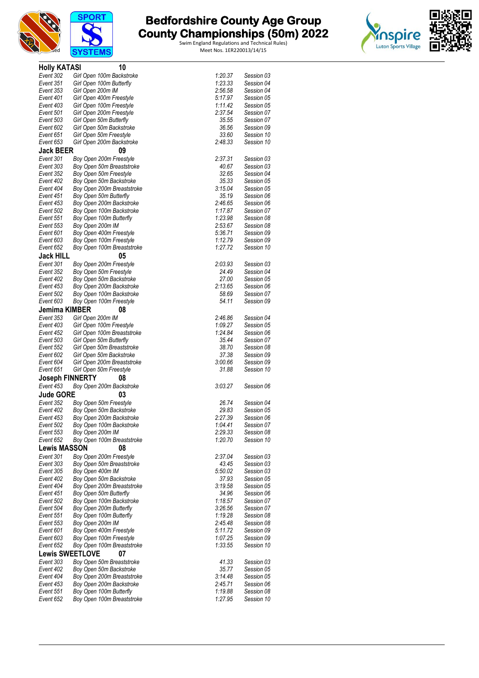



# **The Bedfordshire County Age Group and County Championships (50m) 2022**



| <b>Holly KATASI</b>    | 10                                                     |                    |                          |
|------------------------|--------------------------------------------------------|--------------------|--------------------------|
| Event 302              | Girl Open 100m Backstroke                              | 1:20.37            | Session 03               |
| Event 351              | Girl Open 100m Butterfly                               | 1:23.33            | Session 04               |
| Event 353              | Girl Open 200m IM                                      | 2:56.58            | Session 04               |
| Event 401              | Girl Open 400m Freestyle                               | 5:17.97            | Session 05               |
| Event 403<br>Event 501 | Girl Open 100m Freestyle<br>Girl Open 200m Freestyle   | 1:11.42<br>2:37.54 | Session 05<br>Session 07 |
| Event 503              | Girl Open 50m Butterfly                                | 35.55              | Session 07               |
| Event 602              | Girl Open 50m Backstroke                               | 36.56              | Session 09               |
| Event 651              | Girl Open 50m Freestyle                                | 33.60              | Session 10               |
| Event 653              | Girl Open 200m Backstroke                              | 2:48.33            | Session 10               |
| <b>Jack BEER</b>       | 09                                                     |                    |                          |
| Event 301              | Boy Open 200m Freestyle                                | 2:37.31            | Session 03               |
| Event 303              | Boy Open 50m Breaststroke                              | 40.67              | Session 03               |
| Event 352              | Boy Open 50m Freestyle                                 | 32.65              | Session 04               |
| Event 402<br>Event 404 | Boy Open 50m Backstroke                                | 35.33<br>3:15.04   | Session 05               |
| Event 451              | Boy Open 200m Breaststroke<br>Boy Open 50m Butterfly   | 35.19              | Session 05<br>Session 06 |
| Event 453              | Boy Open 200m Backstroke                               | 2:46.65            | Session 06               |
| Event 502              | Boy Open 100m Backstroke                               | 1:17.87            | Session 07               |
| Event 551              | Boy Open 100m Butterfly                                | 1:23.98            | Session 08               |
| Event 553              | Boy Open 200m IM                                       | 2:53.67            | Session 08               |
| Event 601              | Boy Open 400m Freestyle                                | 5:36.71            | Session 09               |
| Event 603              | Boy Open 100m Freestyle                                | 1:12.79            | Session 09               |
| Event 652              | Boy Open 100m Breaststroke                             | 1:27.72            | Session 10               |
| <b>Jack HILL</b>       | 05                                                     |                    |                          |
| Event 301              | Boy Open 200m Freestyle                                | 2:03.93<br>24.49   | Session 03               |
| Event 352<br>Event 402 | Boy Open 50m Freestyle<br>Boy Open 50m Backstroke      | 27.00              | Session 04<br>Session 05 |
| Event 453              | Boy Open 200m Backstroke                               | 2:13.65            | Session 06               |
| Event 502              | Boy Open 100m Backstroke                               | 58.69              | Session 07               |
| Event 603              | Boy Open 100m Freestyle                                | 54.11              | Session 09               |
| Jemima KIMBER          | 08                                                     |                    |                          |
| Event 353              | Girl Open 200m IM                                      | 2:46.86            | Session 04               |
| Event 403              | Girl Open 100m Freestyle                               | 1:09.27            | Session 05               |
| Event 452              | Girl Open 100m Breaststroke                            | 1:24.84            | Session 06               |
| Event 503<br>Event 552 | Girl Open 50m Butterfly                                | 35.44              | Session 07               |
| Event 602              | Girl Open 50m Breaststroke<br>Girl Open 50m Backstroke | 38.70<br>37.38     | Session 08<br>Session 09 |
| Event 604              | Girl Open 200m Breaststroke                            | 3:00.66            | Session 09               |
| Event 651              | Girl Open 50m Freestyle                                | 31.88              | Session 10               |
| <b>Joseph FINNERTY</b> | 08                                                     |                    |                          |
| Event 453              | Boy Open 200m Backstroke                               | 3:03.27            | Session 06               |
| <b>Jude GORE</b>       | 03                                                     |                    |                          |
| Event 352              | Boy Open 50m Freestyle                                 | 26.74              | Session 04               |
| Event 402              | Boy Open 50m Backstroke                                | 29.83              | Session 05               |
| Event 453              | Boy Open 200m Backstroke                               | 2:27.39            | Session 06               |
| Event 502              | Boy Open 100m Backstroke                               | 1:04.41            | Session U/               |
| Event 553<br>Event 652 | Boy Open 200m IM<br>Boy Open 100m Breaststroke         | 2:29.33<br>1:20.70 | Session 08<br>Session 10 |
| <b>Lewis MASSON</b>    | 08                                                     |                    |                          |
| Event 301              | Boy Open 200m Freestyle                                | 2:37.04            | Session 03               |
| Event 303              | Boy Open 50m Breaststroke                              | 43.45              | Session 03               |
| Event 305              | Boy Open 400m IM                                       | 5:50.02            | Session 03               |
| Event 402              | Boy Open 50m Backstroke                                | 37.93              | Session 05               |
| Event 404              | Boy Open 200m Breaststroke                             | 3:19.58            | Session 05               |
| Event 451              | Boy Open 50m Butterfly                                 | 34.96              | Session 06               |
| Event 502              | Boy Open 100m Backstroke                               | 1:18.57            | Session 07               |
| Event 504<br>Event 551 | Boy Open 200m Butterfly<br>Boy Open 100m Butterfly     | 3:26.56<br>1:19.28 | Session 07<br>Session 08 |
| Event 553              | Boy Open 200m IM                                       | 2:45.48            | Session 08               |
| Event 601              | Boy Open 400m Freestyle                                | 5:11.72            | Session 09               |
| Event 603              | Boy Open 100m Freestyle                                | 1:07.25            | Session 09               |
| Event 652              | Boy Open 100m Breaststroke                             | 1:33.55            | Session 10               |
|                        | <b>Lewis SWEETLOVE</b><br>07                           |                    |                          |
| Event 303              | Boy Open 50m Breaststroke                              | 41.33              | Session 03               |
| Event 402              | Boy Open 50m Backstroke                                | 35.77              | Session 05               |
| Event 404              | Boy Open 200m Breaststroke                             | 3:14.48            | Session 05               |
| Event 453              | Boy Open 200m Backstroke                               | 2:45.71            | Session 06               |
| Event 551<br>Event 652 | Boy Open 100m Butterfly<br>Boy Open 100m Breaststroke  | 1:19.88<br>1:27.95 | Session 08<br>Session 10 |
|                        |                                                        |                    |                          |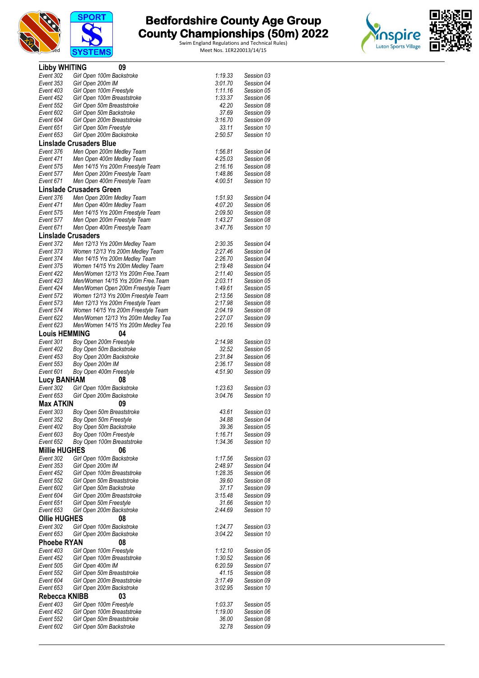



| <b>Libby WHITING</b>            | 09                                                             |                    |                          |  |
|---------------------------------|----------------------------------------------------------------|--------------------|--------------------------|--|
| Event 302                       | Girl Open 100m Backstroke                                      | 1:19.33            | Session 03               |  |
| Event 353                       | Girl Open 200m IM                                              | 3:01.70            | Session 04               |  |
| Event 403                       | Girl Open 100m Freestyle                                       | 1:11.16            | Session 05               |  |
| Event 452                       | Girl Open 100m Breaststroke                                    | 1:33.37            | Session 06               |  |
| Event 552                       | Girl Open 50m Breaststroke                                     | 42.20              | Session 08               |  |
| Event 602                       | Girl Open 50m Backstroke                                       | 37.69              | Session 09               |  |
| Event 604                       | Girl Open 200m Breaststroke                                    | 3:16.70            | Session 09               |  |
| Event 651                       | Girl Open 50m Freestyle                                        | 33.11              | Session 10               |  |
| Event 653                       | Girl Open 200m Backstroke                                      | 2:50.57            | Session 10               |  |
|                                 | <b>Linslade Crusaders Blue</b>                                 |                    |                          |  |
| Event 376                       | Men Open 200m Medley Team                                      | 1:56.81            | Session 04               |  |
| Event 471                       | Men Open 400m Medley Team                                      | 4:25.03            | Session 06               |  |
| Event 575                       | Men 14/15 Yrs 200m Freestyle Team                              | 2:16.16            | Session 08               |  |
| Event 577                       | Men Open 200m Freestyle Team                                   | 1:48.86            | Session 08               |  |
| Event 671                       | Men Open 400m Freestyle Team                                   | 4:00.51            | Session 10               |  |
|                                 | Linslade Crusaders Green                                       |                    |                          |  |
| Event 376<br>Event 471          | Men Open 200m Medley Team                                      | 1:51.93<br>4:07.20 | Session 04<br>Session 06 |  |
| Event 575                       | Men Open 400m Medley Team<br>Men 14/15 Yrs 200m Freestyle Team | 2:09.50            | Session 08               |  |
| Event 577                       | Men Open 200m Freestyle Team                                   | 1:43.27            | Session 08               |  |
| Event 671                       | Men Open 400m Freestyle Team                                   | 3:47.76            | Session 10               |  |
|                                 | <b>Linslade Crusaders</b>                                      |                    |                          |  |
| Event 372                       | Men 12/13 Yrs 200m Medley Team                                 | 2:30.35            | Session 04               |  |
| Event 373                       | Women 12/13 Yrs 200m Medley Team                               | 2:27.46            | Session 04               |  |
| Event 374                       | Men 14/15 Yrs 200m Medley Team                                 | 2:26.70            | Session 04               |  |
| Event 375                       | Women 14/15 Yrs 200m Medley Team                               | 2:19.48            | Session 04               |  |
| Event 422                       | Men/Women 12/13 Yrs 200m Free. Team                            | 2:11.40            | Session 05               |  |
| Event 423                       | Men/Women 14/15 Yrs 200m Free. Team                            | 2:03.11            | Session 05               |  |
| Event 424                       | Men/Women Open 200m Freestyle Team                             | 1:49.61            | Session 05               |  |
| Event 572                       | Women 12/13 Yrs 200m Freestyle Team                            | 2:13.56            | Session 08               |  |
| Event 573                       | Men 12/13 Yrs 200m Freestyle Team                              | 2:17.98            | Session 08               |  |
| Event 574                       | Women 14/15 Yrs 200m Freestyle Team                            | 2:04.19            | Session 08               |  |
| Event 622                       | Men/Women 12/13 Yrs 200m Medley Tea                            | 2:27.07            | Session 09               |  |
| Event 623                       | Men/Women 14/15 Yrs 200m Medley Tea                            | 2:20.16            | Session 09               |  |
| <b>Louis HEMMING</b>            | 04                                                             |                    |                          |  |
| Event 301                       | Boy Open 200m Freestyle                                        | 2:14.98            | Session 03               |  |
| Event 402                       | Boy Open 50m Backstroke                                        | 32.52              | Session 05               |  |
| Event 453                       | Boy Open 200m Backstroke                                       | 2:31.84            | Session 06               |  |
| Event 553                       | Boy Open 200m IM                                               | 2:36.17<br>4:51.90 | Session 08<br>Session 09 |  |
| Event 601                       | Boy Open 400m Freestyle                                        |                    |                          |  |
| <b>Lucy BANHAM</b><br>Event 302 | 08                                                             |                    |                          |  |
| Event 653                       | Girl Open 100m Backstroke<br>Girl Open 200m Backstroke         | 1:23.63<br>3:04.76 | Session 03<br>Session 10 |  |
| <b>Max ATKIN</b>                | 09                                                             |                    |                          |  |
|                                 |                                                                |                    |                          |  |
| Event 303<br>Event 352          | Boy Open 50m Breaststroke                                      | 43.61<br>34.88     | Session 03<br>Session 04 |  |
| Event 402                       | Boy Open 50m Freestyle<br>Boy Open 50m Backstroke              | 39.36              | Session 05               |  |
| Event 603                       | Boy Open 100m Freestyle                                        | 1:16.71            | Session 09               |  |
| Event 652                       | Boy Open 100m Breaststroke                                     | 1:34.36            | Session 10               |  |
| <b>Millie HUGHES</b>            | 06                                                             |                    |                          |  |
| Event 302                       | Girl Open 100m Backstroke                                      | 1:17.56            | Session 03               |  |
| Event 353                       | Girl Open 200m IM                                              | 2:48.97            | Session 04               |  |
| Event 452                       | Girl Open 100m Breaststroke                                    | 1:28.35            | Session 06               |  |
| Event 552                       | Girl Open 50m Breaststroke                                     | 39.60              | Session 08               |  |
| Event 602                       | Girl Open 50m Backstroke                                       | 37.17              | Session 09               |  |
| Event 604                       | Girl Open 200m Breaststroke                                    | 3:15.48            | Session 09               |  |
| Event 651                       | Girl Open 50m Freestyle                                        | 31.66              | Session 10               |  |
| Event 653                       | Girl Open 200m Backstroke                                      | 2:44.69            | Session 10               |  |
| <b>Ollie HUGHES</b>             | 08                                                             |                    |                          |  |
| Event 302                       | Girl Open 100m Backstroke                                      | 1:24.77            | Session 03               |  |
| Event 653                       | Girl Open 200m Backstroke                                      | 3:04.22            | Session 10               |  |
| <b>Phoebe RYAN</b>              | 08                                                             |                    |                          |  |
| Event 403                       | Girl Open 100m Freestyle                                       | 1:12.10            | Session 05               |  |
| Event 452                       | Girl Open 100m Breaststroke                                    | 1:30.52            | Session 06               |  |
| Event 505                       | Girl Open 400m IM                                              | 6:20.59            | Session 07               |  |
| Event 552                       | Girl Open 50m Breaststroke                                     | 41.15              | Session 08               |  |
| Event 604                       | Girl Open 200m Breaststroke                                    | 3:17.49            | Session 09               |  |
| Event 653                       | Girl Open 200m Backstroke                                      | 3:02.95            | Session 10               |  |
| <b>Rebecca KNIBB</b>            | 03                                                             |                    |                          |  |
| Event 403                       | Girl Open 100m Freestyle<br>Girl Open 100m Breaststroke        | 1:03.37            | Session 05               |  |
| Event 452<br>Event 552          | Girl Open 50m Breaststroke                                     | 1:19.00            | Session 06<br>Session 08 |  |
| Event 602                       | Girl Open 50m Backstroke                                       | 36.00<br>32.78     | Session 09               |  |
|                                 |                                                                |                    |                          |  |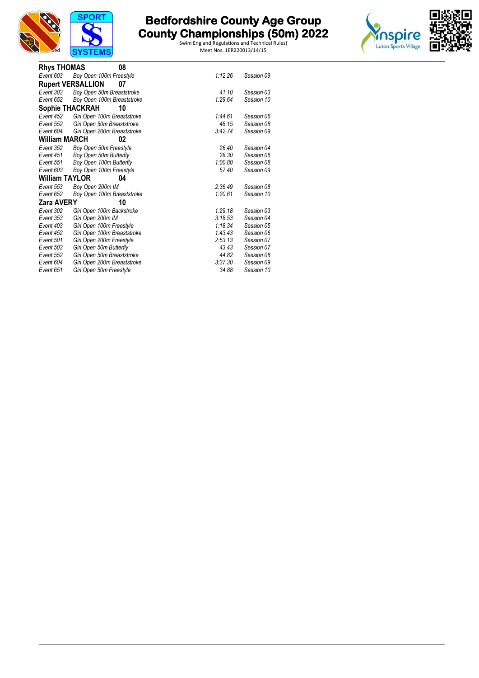



| <b>Rhys THOMAS</b>    | 08                             |         |            |
|-----------------------|--------------------------------|---------|------------|
| Event 603             | Boy Open 100m Freestyle        | 1:12.26 | Session 09 |
|                       | <b>Rupert VERSALLION</b><br>07 |         |            |
| Event 303             | Boy Open 50m Breaststroke      | 41.10   | Session 03 |
| Event 652             | Boy Open 100m Breaststroke     | 1:29.64 | Session 10 |
| Sophie THACKRAH       | 10                             |         |            |
| Event 452             | Girl Open 100m Breaststroke    | 1:44.61 | Session 06 |
| Event 552             | Girl Open 50m Breaststroke     | 48.15   | Session 08 |
| Event 604             | Girl Open 200m Breaststroke    | 3:42.74 | Session 09 |
| William MARCH         | 02                             |         |            |
| Event 352             | Boy Open 50m Freestyle         | 26.40   | Session 04 |
| Event 451             | Boy Open 50m Butterfly         | 28.30   | Session 06 |
| Event 551             | Boy Open 100m Butterfly        | 1:00.80 | Session 08 |
| Event 603             | Boy Open 100m Freestyle        | 57.40   | Session 09 |
| <b>William TAYLOR</b> | 04                             |         |            |
| Event 553             | Boy Open 200m IM               | 2:36.49 | Session 08 |
| Event 652             | Boy Open 100m Breaststroke     | 1:20.61 | Session 10 |
| <b>Zara AVERY</b>     | 10                             |         |            |
| Event 302             | Girl Open 100m Backstroke      | 1.29.18 | Session 03 |
| Event 353             | Girl Open 200m IM              | 3:18.53 | Session 04 |
| Event 403             | Girl Open 100m Freestyle       | 1.18.34 | Session 05 |
| Event 452             | Girl Open 100m Breaststroke    | 1:43.43 | Session 06 |
| Event 501             | Girl Open 200m Freestyle       | 2:53.13 | Session 07 |
| Event 503             | Girl Open 50m Butterfly        | 43.43   | Session 07 |
| Event 552             | Girl Open 50m Breaststroke     | 44.82   | Session 08 |
| Event 604             | Girl Open 200m Breaststroke    | 3:37.30 | Session 09 |
| Event 651             | Girl Open 50m Freestyle        | 34.88   | Session 10 |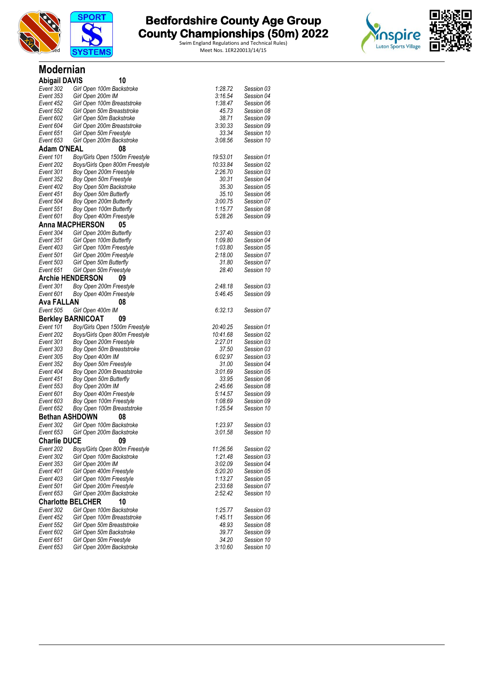

**Modernian**

# **The Bedfordshire County Age Group 19th County Age Area and County Championships (50m) 2022**



| <b>Abigail DAVIS</b>   | 10                                                  |                    |                          |
|------------------------|-----------------------------------------------------|--------------------|--------------------------|
| Event 302              | Girl Open 100m Backstroke                           | 1:28.72            | Session 03               |
| Event 353              | Girl Open 200m IM                                   | 3:16.54            | Session 04               |
| Event 452              | Girl Open 100m Breaststroke                         | 1:38.47            | Session 06               |
| Event 552              | Girl Open 50m Breaststroke                          | 45.73              | Session 08               |
| Event 602              | Girl Open 50m Backstroke                            | 38.71              | Session 09               |
| Event 604              | Girl Open 200m Breaststroke                         | 3:30.33            | Session 09               |
| Event 651              | Girl Open 50m Freestyle                             | 33.34              | Session 10               |
| Event 653              | Girl Open 200m Backstroke                           | 3:08.56            | Session 10               |
| <b>Adam O'NEAL</b>     | 08                                                  |                    |                          |
| Event 101              | Boy/Girls Open 1500m Freestyle                      | 19:53.01           | Session 01               |
| Event 202              | Boys/Girls Open 800m Freestyle                      | 10:33.84           | Session 02               |
| Event 301              | Boy Open 200m Freestyle                             | 2:26.70            | Session 03               |
| Event 352              | Boy Open 50m Freestyle                              | 30.31              | Session 04               |
| Event 402              | Boy Open 50m Backstroke                             | 35.30              | Session 05               |
| Event 451              | Boy Open 50m Butterfly                              | 35.10              | Session 06               |
| Event 504              | Boy Open 200m Butterfly                             | 3:00.75            | Session 07               |
| Event 551              | Boy Open 100m Butterfly                             | 1:15.77            | Session 08               |
| Event 601              | Boy Open 400m Freestyle                             | 5:28.26            | Session 09               |
|                        | <b>Anna MACPHERSON</b><br>05                        |                    |                          |
| Event 304              | Girl Open 200m Butterfly                            | 2:37.40            | Session 03               |
| Event 351              | Girl Open 100m Butterfly                            | 1:09.80            | Session 04               |
| Event 403              | Girl Open 100m Freestyle                            | 1:03.80            | Session 05               |
| Event 501              | Girl Open 200m Freestyle                            | 2:18.00            | Session 07               |
| Event 503              | Girl Open 50m Butterfly                             | 31.80              | Session 07               |
| Event 651              | Girl Open 50m Freestyle                             | 28.40              | Session 10               |
|                        | <b>Archie HENDERSON</b><br>09                       |                    |                          |
| Event 301              | Boy Open 200m Freestyle                             | 2:48.18            | Session 03               |
| Event 601              | Boy Open 400m Freestyle                             | 5:46.45            | Session 09               |
| <b>Ava FALLAN</b>      | 08                                                  |                    |                          |
| Event 505              | Girl Open 400m IM                                   | 6:32.13            | Session 07               |
|                        | <b>Berkley BARNICOAT</b><br>09                      |                    |                          |
| Event 101              | Boy/Girls Open 1500m Freestyle                      | 20:40.25           | Session 01               |
| Event 202              | Boys/Girls Open 800m Freestyle                      | 10:41.68           | Session 02               |
| Event 301              | Boy Open 200m Freestyle                             | 2:27.01            | Session 03               |
| Event 303              | Boy Open 50m Breaststroke                           | 37.50              | Session 03               |
| Event 305              | Boy Open 400m IM                                    | 6:02.97            | Session 03               |
| Event 352              | Boy Open 50m Freestyle                              | 31.00              | Session 04               |
| Event 404              | Boy Open 200m Breaststroke                          | 3:01.69            | Session 05               |
| Event 451              | Boy Open 50m Butterfly                              | 33.95              | Session 06               |
| Event 553              | Boy Open 200m IM                                    | 2:45.66            | Session 08               |
| Event 601<br>Event 603 | Boy Open 400m Freestyle                             | 5:14.57            | Session 09<br>Session 09 |
| Event 652              | Boy Open 100m Freestyle                             | 1:08.69<br>1:25.54 |                          |
| <b>Bethan ASHDOWN</b>  | Boy Open 100m Breaststroke                          |                    | Session 10               |
|                        | 08                                                  |                    |                          |
| Event 302<br>Event 653 | Girl Open 100m Backstroke                           | 1:23.97            | Session 03<br>Session 10 |
|                        | Girl Open 200m Backstroke                           | 3:01.58            |                          |
| <b>Charlie DUCE</b>    | 09                                                  |                    |                          |
| Event 202              | Boys/Girls Open 800m Freestyle                      | 11:26.56           | Session 02               |
| Event 302              | Girl Open 100m Backstroke                           | 1:21.48            | Session 03               |
| Event 353              | Girl Open 200m IM                                   | 3:02.09            | Session 04               |
| Event 401              | Girl Open 400m Freestyle                            | 5:20.20            | Session 05               |
| Event 403              | Girl Open 100m Freestyle                            | 1:13.27            | Session 05               |
| Event 501              | Girl Open 200m Freestyle                            | 2:33.68            | Session 07               |
| Event 653              | Girl Open 200m Backstroke                           | 2:52.42            | Session 10               |
|                        | <b>Charlotte BELCHER</b><br>10                      |                    |                          |
| Event 302              | Girl Open 100m Backstroke                           | 1:25.77            | Session 03               |
| Event 452              | Girl Open 100m Breaststroke                         | 1:45.11            | Session 06               |
| Event 552<br>Event 602 | Girl Open 50m Breaststroke                          | 48.93              | Session 08               |
| Event 651              | Girl Open 50m Backstroke<br>Girl Open 50m Freestyle | 39.77<br>34.20     | Session 09<br>Session 10 |
| Event 653              | Girl Open 200m Backstroke                           | 3:10.60            | Session 10               |
|                        |                                                     |                    |                          |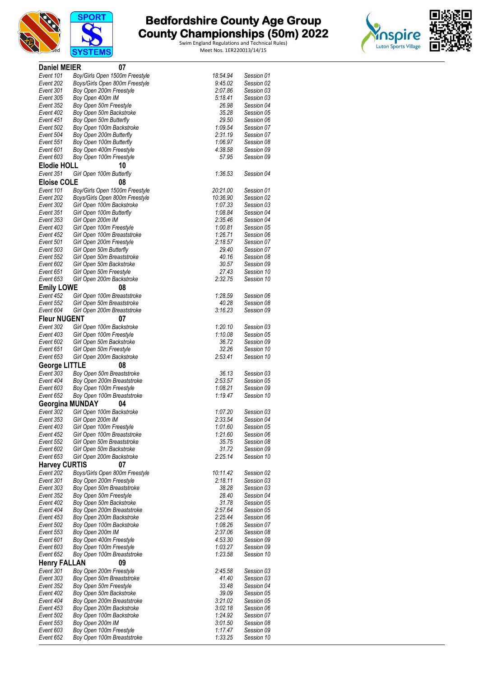



Swim England Regulations and Technical Rules)

 $L.00.20$  Dession TV



| <b>Daniel MEIER</b>    | 07                                                      |                    |                          |
|------------------------|---------------------------------------------------------|--------------------|--------------------------|
| Event 101              | Boy/Girls Open 1500m Freestyle                          | 18:54.94           | Session 01               |
| Event 202              | Boys/Girls Open 800m Freestyle                          | 9:45.02            | Session 02               |
| Event 301              | Boy Open 200m Freestyle                                 | 2:07.86            | Session 03               |
| Event 305              | Boy Open 400m IM                                        | 5:18.41            | Session 03               |
| Event 352              | Boy Open 50m Freestyle                                  | 26.98              | Session 04               |
| Event 402              | Boy Open 50m Backstroke                                 | 35.28              | Session 05               |
| Event 451              | Boy Open 50m Butterfly                                  | 29.50              | Session 06               |
| Event 502              | Boy Open 100m Backstroke                                | 1:09.54            | Session 07               |
| Event 504              | Boy Open 200m Butterfly                                 | 2:31.19            | Session 07               |
| Event 551              | Boy Open 100m Butterfly                                 | 1:06.97            | Session 08               |
| Event 601              | Boy Open 400m Freestyle                                 | 4:38.58            | Session 09               |
| Event 603              | Boy Open 100m Freestyle                                 | 57.95              | Session 09               |
| <b>Elodie HOLL</b>     | 10                                                      |                    |                          |
| Event 351              | Girl Open 100m Butterfly                                | 1:36.53            | Session 04               |
| <b>Eloise COLE</b>     | 08                                                      |                    |                          |
| Event 101              | Boy/Girls Open 1500m Freestyle                          | 20:21.00           | Session 01               |
| Event 202              | Boys/Girls Open 800m Freestyle                          | 10:36.90           | Session 02               |
| Event 302              | Girl Open 100m Backstroke                               | 1:07.33            | Session 03               |
| Event 351              | Girl Open 100m Butterfly                                | 1:08.84            | Session 04               |
| Event 353              | Girl Open 200m IM                                       | 2:35.46            | Session 04               |
| Event 403              | Girl Open 100m Freestyle                                | 1:00.81            | Session 05               |
| Event 452<br>Event 501 | Girl Open 100m Breaststroke<br>Girl Open 200m Freestyle | 1:26.71<br>2:18.57 | Session 06               |
| Event 503              | Girl Open 50m Butterfly                                 | 29.40              | Session 07<br>Session 07 |
| Event 552              | Girl Open 50m Breaststroke                              | 40.16              | Session 08               |
| Event 602              | Girl Open 50m Backstroke                                | 30.57              | Session 09               |
| Event 651              | Girl Open 50m Freestyle                                 | 27.43              | Session 10               |
| Event 653              | Girl Open 200m Backstroke                               | 2:32.75            | Session 10               |
| <b>Emily LOWE</b>      | 08                                                      |                    |                          |
| Event 452              | Girl Open 100m Breaststroke                             | 1:28.59            | Session 06               |
| Event 552              | Girl Open 50m Breaststroke                              | 40.28              | Session 08               |
| Event 604              | Girl Open 200m Breaststroke                             | 3:16.23            | Session 09               |
| <b>Fleur NUGENT</b>    | 07                                                      |                    |                          |
|                        |                                                         |                    |                          |
| Event 302              | Girl Open 100m Backstroke                               | 1:20.10            | Session 03               |
| Event 403<br>Event 602 | Girl Open 100m Freestyle<br>Girl Open 50m Backstroke    | 1:10.08<br>36.72   | Session 05<br>Session 09 |
| Event 651              | Girl Open 50m Freestyle                                 | 32.26              | Session 10               |
| Event 653              | Girl Open 200m Backstroke                               | 2:53.41            | Session 10               |
| <b>George LITTLE</b>   | 08                                                      |                    |                          |
|                        |                                                         |                    |                          |
| Event 303<br>Event 404 | Boy Open 50m Breaststroke                               | 36.13<br>2:53.57   | Session 03<br>Session 05 |
| Event 603              | Boy Open 200m Breaststroke<br>Boy Open 100m Freestyle   | 1:08.21            | Session 09               |
| Event 652              | Boy Open 100m Breaststroke                              | 1:19.47            | Session 10               |
| <b>Georgina MUNDAY</b> | 04                                                      |                    |                          |
| Event 302              | Girl Open 100m Backstroke                               | 1:07.20            | Session 03               |
| Event 353              | Girl Open 200m IM                                       | 2:33.54            | Session 04               |
| Event 403              | Girl Open 100m Freestyle                                | 1:01.60            | Session 05               |
| Event 452              | Girl Open 100m Breaststroke                             | 1:21.60            | Session 06               |
| Event 552              | Girl Open 50m Breaststroke                              | 35.75              | Session 08               |
| Event 602              | Girl Open 50m Backstroke                                | 31.72              | Session 09               |
| Event 653              | Girl Open 200m Backstroke                               | 2:25.14            | Session 10               |
| <b>Harvey CURTIS</b>   | 07                                                      |                    |                          |
| Event 202              | Boys/Girls Open 800m Freestyle                          | 10:11.42           | Session 02               |
| Event 301              | Boy Open 200m Freestyle                                 | 2:18.11            | Session 03               |
| Event 303              | Boy Open 50m Breaststroke                               | 38.28              | Session 03               |
| Event 352              | Boy Open 50m Freestyle                                  | 28.40              | Session 04               |
| Event 402              | Boy Open 50m Backstroke                                 | 31.78              | Session 05               |
| Event 404              | Boy Open 200m Breaststroke                              | 2:57.64            | Session 05               |
| Event 453              | Boy Open 200m Backstroke                                | 2:25.44            | Session 06               |
| Event 502              | Boy Open 100m Backstroke                                | 1:08.26            | Session 07               |
| Event 553              | Boy Open 200m IM                                        | 2:37.06            | Session 08               |
| Event 601              | Boy Open 400m Freestyle                                 | 4:53.30            | Session 09               |
| Event 603              | Boy Open 100m Freestyle                                 | 1:03.27            | Session 09               |
| Event 652              | Boy Open 100m Breaststroke                              | 1:23.58            | Session 10               |
| <b>Henry FALLAN</b>    | 09                                                      |                    |                          |
| Event 301              | Boy Open 200m Freestyle                                 | 2:45.58            | Session 03               |
| Event 303              | Boy Open 50m Breaststroke                               | 41.40              | Session 03               |
| Event 352              | Boy Open 50m Freestyle                                  | 33.48              | Session 04               |
| Event 402              | Boy Open 50m Backstroke                                 | 39.09              | Session 05               |
| Event 404              | Boy Open 200m Breaststroke                              | 3:21.02            | Session 05               |
| Event 453              | Boy Open 200m Backstroke                                | 3.02.18            | Session 06               |
| Event 502              | Boy Open 100m Backstroke                                | 1:24.92            | Session 07               |
| Event 553              | Boy Open 200m IM                                        | 3:01.50            | Session 08               |
| Event 603              | Boy Open 100m Freestyle                                 | 1:17.47            | Session 09               |
| Event 652              | Boy Open 100m Breaststroke                              | 1:33.25            | Session 10               |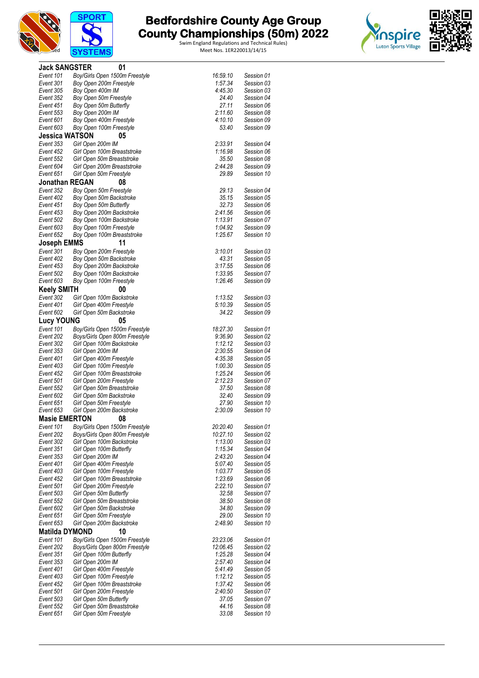



| <b>Jack SANGSTER</b>   | 01                                                      |                    |                          |  |
|------------------------|---------------------------------------------------------|--------------------|--------------------------|--|
| Event 101              | Boy/Girls Open 1500m Freestyle                          | 16:59.10           | Session 01               |  |
| Event 301              | Boy Open 200m Freestyle                                 | 1:57.34            | Session 03               |  |
| Event 305              | Boy Open 400m IM                                        | 4:45.30            | Session 03               |  |
| Event 352              | Boy Open 50m Freestyle                                  | 24.40              | Session 04               |  |
| Event 451              | Boy Open 50m Butterfly                                  | 27.11              | Session 06               |  |
| Event 553              | Boy Open 200m IM                                        | 2:11.60            | Session 08               |  |
| Event 601              | Boy Open 400m Freestyle                                 | 4:10.10<br>53.40   | Session 09               |  |
| Event 603              | Boy Open 100m Freestyle                                 |                    | Session 09               |  |
| <b>Jessica WATSON</b>  | 05                                                      | 2:33.91            |                          |  |
| Event 353<br>Event 452 | Girl Open 200m IM<br>Girl Open 100m Breaststroke        | 1:16.98            | Session 04<br>Session 06 |  |
| Event 552              | Girl Open 50m Breaststroke                              | 35.50              | Session 08               |  |
| Event 604              | Girl Open 200m Breaststroke                             | 2:44.28            | Session 09               |  |
| Event 651              | Girl Open 50m Freestyle                                 | 29.89              | Session 10               |  |
| <b>Jonathan REGAN</b>  | 08                                                      |                    |                          |  |
| Event 352              | Boy Open 50m Freestyle                                  | 29.13              | Session 04               |  |
| Event 402              | Boy Open 50m Backstroke                                 | 35.15              | Session 05               |  |
| Event 451              | Boy Open 50m Butterfly                                  | 32.73              | Session 06               |  |
| Event 453              | Boy Open 200m Backstroke                                | 2:41.56            | Session 06               |  |
| Event 502              | Boy Open 100m Backstroke                                | 1:13.91            | Session 07               |  |
| Event 603              | Boy Open 100m Freestyle                                 | 1:04.92            | Session 09               |  |
| Event 652              | Boy Open 100m Breaststroke                              | 1:25.67            | Session 10               |  |
| Joseph EMMS            | 11                                                      |                    |                          |  |
| Event 301              | Boy Open 200m Freestyle                                 | 3:10.01            | Session 03               |  |
| Event 402              | Boy Open 50m Backstroke                                 | 43.31              | Session 05               |  |
| Event 453              | Boy Open 200m Backstroke                                | 3:17.55            | Session 06               |  |
| Event 502<br>Event 603 | Boy Open 100m Backstroke<br>Boy Open 100m Freestyle     | 1:33.95<br>1:26.46 | Session 07<br>Session 09 |  |
| <b>Keely SMITH</b>     | 00                                                      |                    |                          |  |
| Event 302              | Girl Open 100m Backstroke                               | 1:13.52            | Session 03               |  |
| Event 401              | Girl Open 400m Freestyle                                | 5:10.39            | Session 05               |  |
| Event 602              | Girl Open 50m Backstroke                                | 34.22              | Session 09               |  |
| <b>Lucy YOUNG</b>      | 05                                                      |                    |                          |  |
| Event 101              | Boy/Girls Open 1500m Freestyle                          | 18:27.30           | Session 01               |  |
| Event 202              | Boys/Girls Open 800m Freestyle                          | 9:36.90            | Session 02               |  |
| Event 302              | Girl Open 100m Backstroke                               | 1:12.12            | Session 03               |  |
| Event 353              | Girl Open 200m IM                                       | 2:30.55            | Session 04               |  |
| Event 401              | Girl Open 400m Freestyle                                | 4:35.38            | Session 05               |  |
| Event 403              | Girl Open 100m Freestyle                                | 1:00.30            | Session 05               |  |
| Event 452              | Girl Open 100m Breaststroke                             | 1:25.24            | Session 06               |  |
| Event 501              | Girl Open 200m Freestyle                                | 2:12.23            | Session 07               |  |
| Event 552<br>Event 602 | Girl Open 50m Breaststroke                              | 37.50<br>32.40     | Session 08<br>Session 09 |  |
| Event 651              | Girl Open 50m Backstroke<br>Girl Open 50m Freestyle     | 27.90              | Session 10               |  |
| Event 653              | Girl Open 200m Backstroke                               | 2:30.09            | Session 10               |  |
| <b>Masie EMERTON</b>   | 08                                                      |                    |                          |  |
| Event 101              | Boy/Girls Open 1500m Freestyle                          | 20:20.40           | Session 01               |  |
| Event 202              | Boys/Girls Open 800m Freestyle                          | 10:27.10           | Session 02               |  |
| Event 302              | Girl Open 100m Backstroke                               | 1:13.00            | Session 03               |  |
| Event 351              | Girl Open 100m Butterfly                                | 1:15.34            | Session 04               |  |
| Event 353              | Girl Open 200m IM                                       | 2:43.20            | Session 04               |  |
| Event 401              | Girl Open 400m Freestyle                                | 5:07.40            | Session 05               |  |
| Event 403              | Girl Open 100m Freestyle                                | 1:03.77            | Session 05               |  |
| Event 452              | Girl Open 100m Breaststroke<br>Girl Open 200m Freestyle | 1:23.69<br>2:22.10 | Session 06               |  |
| Event 501<br>Event 503 |                                                         |                    | Session 07               |  |
|                        |                                                         |                    |                          |  |
|                        | Girl Open 50m Butterfly                                 | 32.58              | Session 07               |  |
| Event 552              | Girl Open 50m Breaststroke                              | 38.50              | Session 08               |  |
| Event 602              | Girl Open 50m Backstroke                                | 34.80              | Session 09               |  |
| Event 651<br>Event 653 | Girl Open 50m Freestyle<br>Girl Open 200m Backstroke    | 29.00<br>2:48.90   | Session 10<br>Session 10 |  |
| <b>Matilda DYMOND</b>  | 10                                                      |                    |                          |  |
| Event 101              | Boy/Girls Open 1500m Freestyle                          | 23:23.06           | Session 01               |  |
| Event 202              | Boys/Girls Open 800m Freestyle                          | 12:06.45           | Session 02               |  |
| Event 351              | Girl Open 100m Butterfly                                | 1:25.28            | Session 04               |  |
| Event 353              | Girl Open 200m IM                                       | 2:57.40            | Session 04               |  |
| Event 401              | Girl Open 400m Freestyle                                | 5:41.49            | Session 05               |  |
| Event 403              | Girl Open 100m Freestyle                                | 1:12.12            | Session 05               |  |
| Event 452              | Girl Open 100m Breaststroke                             | 1:37.42            | Session 06               |  |
| Event 501              | Girl Open 200m Freestyle                                | 2:40.50            | Session 07               |  |
| Event 503<br>Event 552 | Girl Open 50m Butterfly<br>Girl Open 50m Breaststroke   | 37.05<br>44.16     | Session 07<br>Session 08 |  |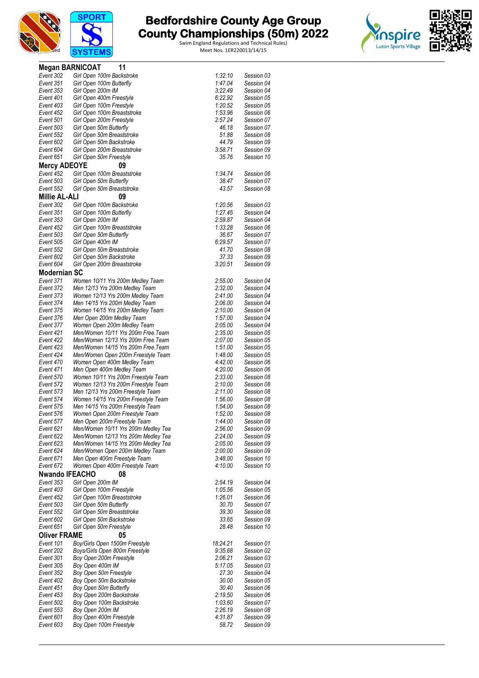





|                        | <b>Megan BARNICOAT</b><br>11                                             |                    |                          |
|------------------------|--------------------------------------------------------------------------|--------------------|--------------------------|
| Event 302              | Girl Open 100m Backstroke                                                | 1:32.10            | Session 03               |
| Event 351              | Girl Open 100m Butterfly                                                 | 1:47.04            | Session 04               |
| Event 353              | Girl Open 200m IM                                                        | 3:22.49            | Session 04               |
| Event 401              | Girl Open 400m Freestyle                                                 | 6:22.92            | Session 05               |
| Event 403<br>Event 452 | Girl Open 100m Freestyle<br>Girl Open 100m Breaststroke                  | 1:20.52<br>1:53.96 | Session 05<br>Session 06 |
| Event 501              | Girl Open 200m Freestyle                                                 | 2:57.24            | Session 07               |
| Event 503              | Girl Open 50m Butterfly                                                  | 46.18              | Session 07               |
| Event 552              | Girl Open 50m Breaststroke                                               | 51.88              | Session 08               |
| Event 602              | Girl Open 50m Backstroke                                                 | 44.79              | Session 09               |
| Event 604              | Girl Open 200m Breaststroke                                              | 3:58.71            | Session 09               |
| Event 651              | Girl Open 50m Freestyle                                                  | 35.76              | Session 10               |
| <b>Mercy ADEOYE</b>    | 09                                                                       |                    |                          |
| Event 452              | Girl Open 100m Breaststroke                                              | 1:34.74            | Session 06               |
| Event 503<br>Event 552 | Girl Open 50m Butterfly<br>Girl Open 50m Breaststroke                    | 38.47<br>43.57     | Session 07<br>Session 08 |
| <b>Millie AL-ALI</b>   | 09                                                                       |                    |                          |
| Event 302              | Girl Open 100m Backstroke                                                | 1:20.56            | Session 03               |
| Event 351              | Girl Open 100m Butterfly                                                 | 1:27.45            | Session 04               |
| Event 353              | Girl Open 200m IM                                                        | 2:59.87            | Session 04               |
| Event 452              | Girl Open 100m Breaststroke                                              | 1:33.28            | Session 06               |
| Event 503              | Girl Open 50m Butterfly                                                  | 36.67              | Session 07               |
| Event 505              | Girl Open 400m IM                                                        | 6:29.57            | Session 07               |
| Event 552              | Girl Open 50m Breaststroke                                               | 41.70              | Session 08               |
| Event 602              | Girl Open 50m Backstroke                                                 | 37.33              | Session 09               |
| Event 604              | Girl Open 200m Breaststroke                                              | 3:20.51            | Session 09               |
| <b>Modernian SC</b>    |                                                                          |                    |                          |
| Event 371              | Women 10/11 Yrs 200m Medley Team                                         | 2:55.00            | Session 04               |
| Event 372              | Men 12/13 Yrs 200m Medley Team                                           | 2:32.00            | Session 04               |
| Event 373              | Women 12/13 Yrs 200m Medley Team                                         | 2:41.00            | Session 04               |
| Event 374<br>Event 375 | Men 14/15 Yrs 200m Medley Team                                           | 2:06.00<br>2:10.00 | Session 04<br>Session 04 |
| Event 376              | Women 14/15 Yrs 200m Medley Team<br>Men Open 200m Medley Team            | 1:57.00            | Session 04               |
| Event 377              | Women Open 200m Medley Team                                              | 2:05.00            | Session 04               |
| Event 421              | Men/Women 10/11 Yrs 200m Free. Team                                      | 2:35.00            | Session 05               |
| Event 422              | Men/Women 12/13 Yrs 200m Free. Team                                      | 2:07.00            | Session 05               |
| Event 423              | Men/Women 14/15 Yrs 200m Free. Team                                      | 1:51.00            | Session 05               |
| Event 424              | Men/Women Open 200m Freestyle Team                                       | 1:48.00            | Session 05               |
| Event 470              | Women Open 400m Medley Team                                              | 4:42.00            | Session 06               |
| Event 471              | Men Open 400m Medley Team                                                | 4:20.00            | Session 06               |
| Event 570              | Women 10/11 Yrs 200m Freestyle Team                                      | 2:33.00            | Session 08               |
| Event 572              | Women 12/13 Yrs 200m Freestyle Team                                      | 2:10.00            | Session 08               |
| Event 573<br>Event 574 | Men 12/13 Yrs 200m Freestyle Team<br>Women 14/15 Yrs 200m Freestyle Team | 2:11.00<br>1:56.00 | Session 08<br>Session 08 |
| Event 575              | Men 14/15 Yrs 200m Freestyle Team                                        | 1:54.00            | Session 08               |
| Event 576              | Women Open 200m Freestyle Team                                           | 1:52.00            | Session 08               |
| Event 577              | Men Open 200m Freestyle Team                                             | 1:44.00            | Session 08               |
| Event 621              | Men/Women 10/11 Yrs 200m Medley Tea                                      | 2:56.00            | Session 09               |
| Event 622              | Men/Women 12/13 Yrs 200m Medley Tea                                      | 2:24.00            | Session 09               |
| Event 623              | Men/Women 14/15 Yrs 200m Medley Tea                                      | 2:05.00            | Session 09               |
| Event 624              | Men/Women Open 200m Medley Team                                          | 2:00.00            | Session 09               |
| Event 671              | Men Open 400m Freestyle Team                                             | 3:48.00            | Session 10               |
| Event 672              | Women Open 400m Freestyle Team                                           | 4:10.00            | Session 10               |
| <b>Nwando IFEACHO</b>  | 08                                                                       |                    |                          |
| Event 353<br>Event 403 | Girl Open 200m IM                                                        | 2:54.19<br>1:05.56 | Session 04<br>Session 05 |
| Event 452              | Girl Open 100m Freestyle<br>Girl Open 100m Breaststroke                  | 1:26.01            | Session 06               |
| Event 503              | Girl Open 50m Butterfly                                                  | 30.70              | Session 07               |
| Event 552              | Girl Open 50m Breaststroke                                               | 39.30              | Session 08               |
| Event 602              | Girl Open 50m Backstroke                                                 | 33.65              | Session 09               |
| Event 651              | Girl Open 50m Freestyle                                                  | 28.48              | Session 10               |
| <b>Oliver FRAME</b>    | 05                                                                       |                    |                          |
| Event 101              | Boy/Girls Open 1500m Freestyle                                           | 18:24.21           | Session 01               |
| Event 202              | Boys/Girls Open 800m Freestyle                                           | 9:35.68            | Session 02               |
| Event 301              | Boy Open 200m Freestyle                                                  | 2:06.21            | Session 03               |
| Event 305              | Boy Open 400m IM                                                         | 5:17.05            | Session 03               |
| Event 352              | Boy Open 50m Freestyle                                                   | 27.30              | Session 04               |
| Event 402              | Boy Open 50m Backstroke                                                  | 30.00<br>30.40     | Session 05<br>Session 06 |
| Event 451<br>Event 453 | Boy Open 50m Butterfly<br>Boy Open 200m Backstroke                       | 2:19.50            | Session 06               |
| Event 502              | Boy Open 100m Backstroke                                                 | 1:03.60            | Session 07               |
| Event 553              | Boy Open 200m IM                                                         | 2:26.19            | Session 08               |
| Event 601              | Boy Open 400m Freestyle                                                  | 4:31.87            | Session 09               |
| Event 603              | Boy Open 100m Freestyle                                                  | 58.72              | Session 09               |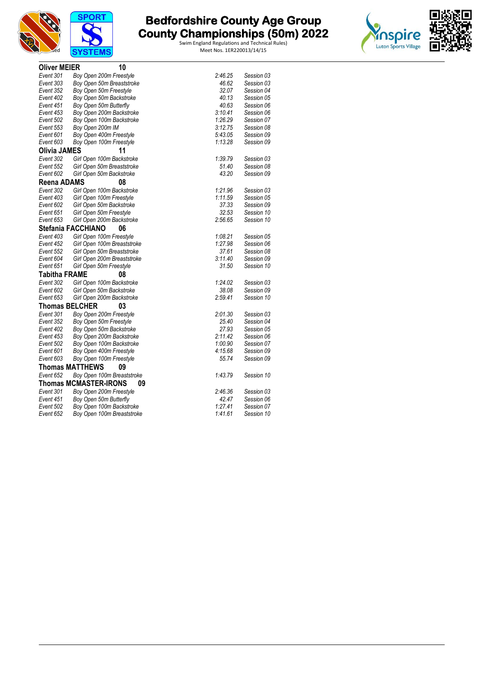





| <b>Oliver MEIER</b>  | 10                                 |         |            |
|----------------------|------------------------------------|---------|------------|
| Event 301            | Boy Open 200m Freestyle            | 2:46.25 | Session 03 |
| Event 303            | Boy Open 50m Breaststroke          | 46.62   | Session 03 |
| Event 352            | Boy Open 50m Freestyle             | 32.07   | Session 04 |
| Event 402            | Boy Open 50m Backstroke            | 40.13   | Session 05 |
| Event 451            | Boy Open 50m Butterfly             | 40.63   | Session 06 |
| Event 453            | Boy Open 200m Backstroke           | 3:10.41 | Session 06 |
| Event 502            | Boy Open 100m Backstroke           | 1:26.29 | Session 07 |
| Event 553            | Boy Open 200m IM                   | 3:12.75 | Session 08 |
| Event 601            | Boy Open 400m Freestyle            | 5:43.05 | Session 09 |
| Event 603            | Boy Open 100m Freestyle            | 1:13.28 | Session 09 |
| <b>Olivia JAMES</b>  | 11                                 |         |            |
| Event 302            | Girl Open 100m Backstroke          | 1:39.79 | Session 03 |
| Event 552            | Girl Open 50m Breaststroke         | 51.40   | Session 08 |
| Event 602            | Girl Open 50m Backstroke           | 43.20   | Session 09 |
| <b>Reena ADAMS</b>   | 08                                 |         |            |
| Event 302            | Girl Open 100m Backstroke          | 1:21.96 | Session 03 |
| Event 403            | Girl Open 100m Freestyle           | 1:11.59 | Session 05 |
| Event 602            | Girl Open 50m Backstroke           | 37.33   | Session 09 |
| Event 651            | Girl Open 50m Freestyle            | 32.53   | Session 10 |
| Event 653            | Girl Open 200m Backstroke          | 2:56.65 | Session 10 |
|                      | Stefania FACCHIANO<br>06           |         |            |
| Event 403            | Girl Open 100m Freestyle           | 1:08.21 | Session 05 |
| Event 452            | Girl Open 100m Breaststroke        | 1:27.98 | Session 06 |
| Event 552            | Girl Open 50m Breaststroke         | 37.61   | Session 08 |
| Event 604            | Girl Open 200m Breaststroke        | 3:11.40 | Session 09 |
| Event 651            | Girl Open 50m Freestyle            | 31.50   | Session 10 |
| <b>Tabitha FRAME</b> | 08                                 |         |            |
| Event 302            | Girl Open 100m Backstroke          | 1:24.02 | Session 03 |
| Event 602            | Girl Open 50m Backstroke           | 38.08   | Session 09 |
| Event 653            | Girl Open 200m Backstroke          | 2:59.41 | Session 10 |
|                      | <b>Thomas BELCHER</b><br>03        |         |            |
| Event 301            | Boy Open 200m Freestyle            | 2:01.30 | Session 03 |
| Event 352            | Boy Open 50m Freestyle             | 25.40   | Session 04 |
| Event 402            | Boy Open 50m Backstroke            | 27.93   | Session 05 |
| Event 453            | Boy Open 200m Backstroke           | 2:11.42 | Session 06 |
| Event 502            | Boy Open 100m Backstroke           | 1:00.90 | Session 07 |
| Event 601            | Boy Open 400m Freestyle            | 4:15.68 | Session 09 |
| Event 603            | Boy Open 100m Freestyle            | 55.74   | Session 09 |
|                      | <b>Thomas MATTHEWS</b><br>09       |         |            |
| Event 652            | Boy Open 100m Breaststroke         | 1:43.79 | Session 10 |
|                      | <b>Thomas MCMASTER-IRONS</b><br>09 |         |            |
| Event 301            | Boy Open 200m Freestyle            | 2:46.36 | Session 03 |
| Event 451            | Boy Open 50m Butterfly             | 42.47   | Session 06 |
| Event 502            | Boy Open 100m Backstroke           | 1:27.41 | Session 07 |
| Event 652            | Boy Open 100m Breaststroke         | 1:41.61 | Session 10 |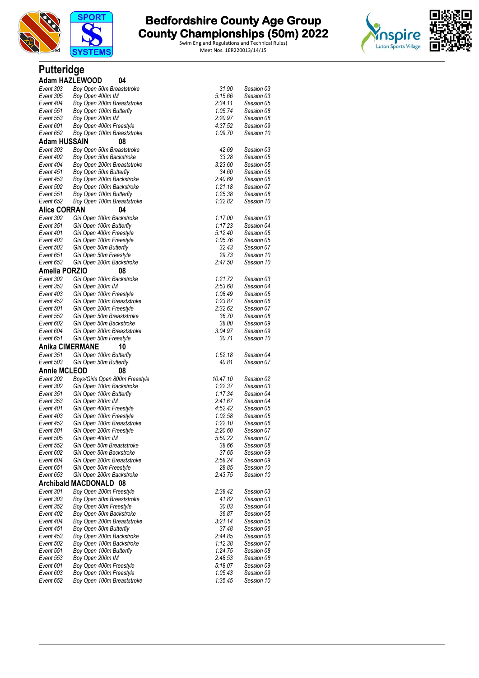

Swim England Regulations and Technical Rules)



#### **Putteridge**

|                        | <b>Adam HAZLEWOOD</b><br>04                   |                    |                          |
|------------------------|-----------------------------------------------|--------------------|--------------------------|
| Event 303              | Boy Open 50m Breaststroke                     | 31.90              | Session 03               |
| Event 305              | Boy Open 400m IM                              | 5:15.66            | Session 03               |
| Event 404              | Boy Open 200m Breaststroke                    | 2:34.11            | Session 05               |
| Event 551              | Boy Open 100m Butterfly                       | 1:05.74            | Session 08               |
| Event 553              | Boy Open 200m IM                              | 2:20.97            | Session 08               |
| Event 601              | Boy Open 400m Freestyle                       | 4:37.52            | Session 09               |
| Event 652              | Boy Open 100m Breaststroke                    | 1:09.70            | Session 10               |
| Adam HUSSAIN           | 08                                            |                    |                          |
| Event 303              | Boy Open 50m Breaststroke                     | 42.69              | Session 03               |
| Event 402              | Boy Open 50m Backstroke                       | 33.28              | Session 05               |
| Event 404              | Boy Open 200m Breaststroke                    | 3:23.60            | Session 05               |
| Event 451              | Boy Open 50m Butterfly                        | 34.60              | Session 06               |
| Event 453              | Boy Open 200m Backstroke                      | 2:40.69            | Session 06               |
| Event 502              | Boy Open 100m Backstroke                      | 1:21.18            | Session 07               |
| Event 551              | Boy Open 100m Butterfly                       | 1:25.38            | Session 08               |
| Event 652              | Boy Open 100m Breaststroke                    | 1:32.82            | Session 10               |
| <b>Alice CORRAN</b>    | 04                                            |                    |                          |
| Event 302              | Girl Open 100m Backstroke                     | 1:17.00            | Session 03               |
| Event 351              | Girl Open 100m Butterfly                      | 1:17.23            | Session 04               |
| Event 401              | Girl Open 400m Freestyle                      | 5:12.40            | Session 05               |
| Event 403              | Girl Open 100m Freestyle                      | 1:05.76            | Session 05               |
| Event 503              | Girl Open 50m Butterfly                       | 32.43              | Session 07               |
| Event 651              | Girl Open 50m Freestyle                       | 29.73              | Session 10               |
| Event 653              | Girl Open 200m Backstroke                     | 2:47.50            | Session 10               |
| Amelia PORZIO          | 08                                            |                    |                          |
| Event 302              | Girl Open 100m Backstroke                     | 1:21.72            | Session 03               |
| Event 353              | Girl Open 200m IM                             | 2:53.68            | Session 04               |
| Event 403              | Girl Open 100m Freestyle                      | 1:08.49            | Session 05               |
| Event 452              | Girl Open 100m Breaststroke                   | 1:23.87            | Session 06               |
| Event 501              | Girl Open 200m Freestyle                      | 2:32.62            | Session 07               |
| Event 552              | Girl Open 50m Breaststroke                    | 36.70              | Session 08               |
| Event 602              | Girl Open 50m Backstroke                      | 38.00              | Session 09               |
| Event 604              | Girl Open 200m Breaststroke                   | 3:04.97            | Session 09               |
| Event 651              | Girl Open 50m Freestyle                       | 30.71              | Session 10               |
| <b>Anika CIMERMANE</b> | 10                                            |                    |                          |
| Event 351              | Girl Open 100m Butterfly                      | 1:52.18            | Session 04               |
| Event 503              | Girl Open 50m Butterfly                       | 40.81              | Session 07               |
| <b>Annie MCLEOD</b>    | 08                                            |                    |                          |
| Event 202              | Boys/Girls Open 800m Freestyle                | 10:47.10           | Session 02               |
| Event 302              | Girl Open 100m Backstroke                     | 1:22.37            | Session 03               |
| Event 351              | Girl Open 100m Butterfly                      | 1:17.34            | Session 04               |
| Event 353              | Girl Open 200m IM                             | 2:41.67            | Session 04               |
| Event 401              | Girl Open 400m Freestyle                      | 4:52.42            | Session 05               |
| Event 403              | Girl Open 100m Freestyle                      | 1:02.58            | Session 05               |
| Event 452              | Girl Open 100m Breaststroke                   | 1:22.10<br>2:20.60 | Session 06<br>Session 07 |
| Event 501<br>Event 505 | Girl Open 200m Freestyle<br>Girl Open 400m IM | 5:50.22            | Session 07               |
| Event 552              | Girl Open 50m Breaststroke                    | 38.66              | Session 08               |
| Event 602              | Girl Open 50m Backstroke                      | 37.65              | Session 09               |
| Event 604              | Girl Open 200m Breaststroke                   | 2:58.24            | Session 09               |
| Event 651              | Girl Open 50m Freestyle                       | 28.85              | Session 10               |
| Event 653              | Girl Open 200m Backstroke                     | 2:43.75            | Session 10               |
|                        | Archibald MACDONALD 08                        |                    |                          |
| Event 301              | Boy Open 200m Freestyle                       | 2:38.42            | Session 03               |
| Event 303              | Boy Open 50m Breaststroke                     | 41.82              | Session 03               |
| Event 352              | Boy Open 50m Freestyle                        | 30.03              | Session 04               |
| Event 402              | Boy Open 50m Backstroke                       | 36.87              | Session 05               |
| Event 404              | Boy Open 200m Breaststroke                    | 3:21.14            | Session 05               |
| Event 451              | Boy Open 50m Butterfly                        | 37.48              | Session 06               |
| Event 453              | Boy Open 200m Backstroke                      | 2:44.85            | Session 06               |
| Event 502              | Boy Open 100m Backstroke                      | 1:12.38            | Session 07               |
| Event 551              | Boy Open 100m Butterfly                       | 1:24.75            | Session 08               |
| Event 553              | Boy Open 200m IM                              | 2:48.53            | Session 08               |
| Event 601              | Boy Open 400m Freestyle                       | 5:18.07            | Session 09               |
| Event 603              | Boy Open 100m Freestyle                       | 1:05.43            | Session 09               |
| Event 652              | Boy Open 100m Breaststroke                    | 1:35.45            | Session 10               |
|                        |                                               |                    |                          |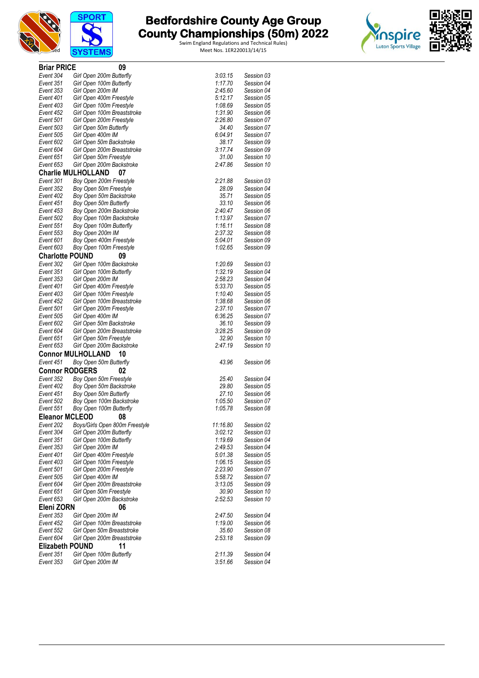





| <b>Briar PRICE</b>     | 09                              |          |            |
|------------------------|---------------------------------|----------|------------|
| Event 304              | Girl Open 200m Butterfly        | 3:03.15  | Session 03 |
| Event 351              | Girl Open 100m Butterfly        | 1:17.70  | Session 04 |
| Event 353              | Girl Open 200m IM               | 2:45.60  | Session 04 |
| Event 401              | Girl Open 400m Freestyle        | 5:12.17  | Session 05 |
| Event 403              | Girl Open 100m Freestyle        | 1:08.69  | Session 05 |
| Event 452              | Girl Open 100m Breaststroke     | 1:31.90  | Session 06 |
| Event 501              | Girl Open 200m Freestyle        | 2:26.80  | Session 07 |
| Event 503              | Girl Open 50m Butterfly         | 34.40    | Session 07 |
| Event 505              | Girl Open 400m IM               | 6:04.91  | Session 07 |
| Event 602              | Girl Open 50m Backstroke        | 38.17    | Session 09 |
| Event 604              | Girl Open 200m Breaststroke     | 3.17.74  | Session 09 |
| Event 651              | Girl Open 50m Freestyle         | 31.00    | Session 10 |
| Event 653              | Girl Open 200m Backstroke       | 2:47.86  | Session 10 |
|                        | <b>Charlie MULHOLLAND</b><br>07 |          |            |
| Event 301              | Boy Open 200m Freestyle         | 2:21.88  | Session 03 |
| Event 352              | Boy Open 50m Freestyle          | 28.09    | Session 04 |
| Event 402              | Boy Open 50m Backstroke         | 35.71    | Session 05 |
| Event 451              | Boy Open 50m Butterfly          | 33.10    | Session 06 |
| Event 453              | Boy Open 200m Backstroke        | 2:40.47  | Session 06 |
| Event 502              | Boy Open 100m Backstroke        | 1:13.97  | Session 07 |
| Event 551              | Boy Open 100m Butterfly         | 1:16.11  | Session 08 |
| Event 553              | Boy Open 200m IM                | 2:37.32  | Session 08 |
| Event 601              | Boy Open 400m Freestyle         | 5:04.01  | Session 09 |
| Event 603              | Boy Open 100m Freestyle         | 1:02.65  | Session 09 |
| <b>Charlotte POUND</b> | 09                              |          |            |
| Event 302              | Girl Open 100m Backstroke       | 1:20.69  | Session 03 |
| Event 351              | Girl Open 100m Butterfly        | 1:32.19  | Session 04 |
| Event 353              | Girl Open 200m IM               | 2:58.23  | Session 04 |
| Event 401              | Girl Open 400m Freestyle        | 5:33.70  | Session 05 |
| Event 403              | Girl Open 100m Freestyle        | 1:10.40  | Session 05 |
| Event 452              | Girl Open 100m Breaststroke     | 1:38.68  | Session 06 |
| Event 501              | Girl Open 200m Freestyle        | 2:37.10  | Session 07 |
| Event 505              | Girl Open 400m IM               | 6:36.25  | Session 07 |
| Event 602              | Girl Open 50m Backstroke        | 36.10    | Session 09 |
| Event 604              | Girl Open 200m Breaststroke     | 3:28.25  | Session 09 |
| Event 651              | Girl Open 50m Freestyle         | 32.90    | Session 10 |
| Event 653              | Girl Open 200m Backstroke       | 2:47.19  | Session 10 |
|                        | <b>Connor MULHOLLAND</b><br>10  |          |            |
| Event 451              | Boy Open 50m Butterfly          | 43.96    | Session 06 |
| <b>Connor RODGERS</b>  | 02                              |          |            |
| Event 352              | Boy Open 50m Freestyle          | 25.40    | Session 04 |
| Event 402              | Boy Open 50m Backstroke         | 29.80    | Session 05 |
| Event 451              | Boy Open 50m Butterfly          | 27.10    | Session 06 |
| Event 502              | Boy Open 100m Backstroke        | 1:05.50  | Session 07 |
| Event 551              | Boy Open 100m Butterfly         | 1:05.78  | Session 08 |
| <b>Eleanor MCLEOD</b>  | 08                              |          |            |
| Event 202              | Boys/Girls Open 800m Freestyle  | 11:16.80 | Session 02 |
| Event 304              | Girl Open 200m Butterfly        | 3:02.12  | Session 03 |
| Event 351              | Girl Open 100m Butterfly        | 1:19.69  | Session 04 |
| Event 353              | Girl Open 200m IM               | 2:49.53  | Session 04 |
| Event 401              | Girl Open 400m Freestyle        | 5:01.38  | Session 05 |
| Event 403              | Girl Open 100m Freestyle        | 1:06.15  | Session 05 |
| Event 501              | Girl Open 200m Freestyle        | 2:23.90  | Session 07 |
| Event 505              | Girl Open 400m IM               | 5:58.72  | Session 07 |
| Event 604              | Girl Open 200m Breaststroke     | 3:13.05  | Session 09 |
| Event 651              | Girl Open 50m Freestyle         | 30.90    | Session 10 |
| Event 653              | Girl Open 200m Backstroke       | 2:52.53  | Session 10 |
| Eleni ZORN             | 06                              |          |            |
| Event 353              | Girl Open 200m IM               | 2:47.50  | Session 04 |
| Event 452              | Girl Open 100m Breaststroke     | 1:19.00  | Session 06 |
| Event 552              | Girl Open 50m Breaststroke      | 35.60    | Session 08 |
| Event 604              | Girl Open 200m Breaststroke     | 2:53.18  | Session 09 |
| <b>Elizabeth POUND</b> | 11                              |          |            |
| Event 351              | Girl Open 100m Butterfly        | 2:11.39  | Session 04 |
| Event 353              | Girl Open 200m IM               | 3:51.66  | Session 04 |
|                        |                                 |          |            |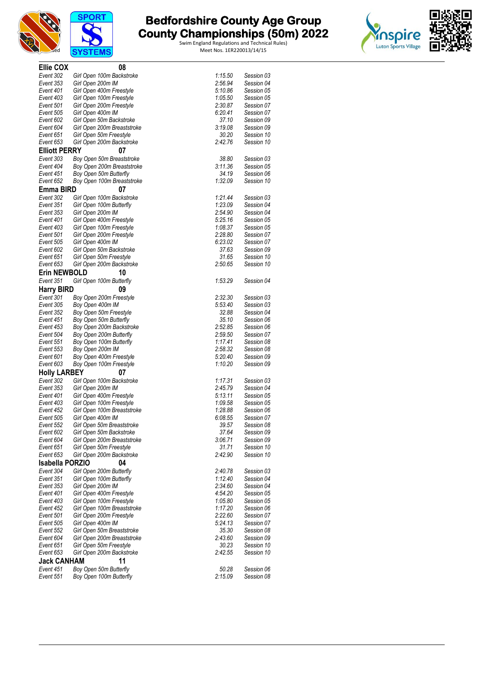



# **The Bedfordshire County Age Group and County Championships (50m) 2022**



| Ellie COX              | 08                                                      |                    |                          |
|------------------------|---------------------------------------------------------|--------------------|--------------------------|
| Event 302              | Girl Open 100m Backstroke                               | 1:15.50            | Session 03               |
| Event 353              | Girl Open 200m IM                                       | 2:56.94            | Session 04               |
| Event 401              | Girl Open 400m Freestyle                                | 5:10.86            | Session 05               |
| Event 403              | Girl Open 100m Freestyle                                | 1:05.50            | Session 05               |
| Event 501              | Girl Open 200m Freestyle                                | 2:30.87            | Session 07               |
| Event 505              | Girl Open 400m IM                                       | 6:20.41            | Session 07               |
| Event 602              | Girl Open 50m Backstroke                                | 37.10              | Session 09               |
| Event 604              | Girl Open 200m Breaststroke                             | 3:19.08            | Session 09               |
| Event 651<br>Event 653 | Girl Open 50m Freestyle<br>Girl Open 200m Backstroke    | 30.20<br>2:42.76   | Session 10<br>Session 10 |
| <b>Elliott PERRY</b>   | 07                                                      |                    |                          |
| Event 303              | Boy Open 50m Breaststroke                               | 38.80              | Session 03               |
| Event 404              | Boy Open 200m Breaststroke                              | 3.11.36            | Session 05               |
| Event 451              | Boy Open 50m Butterfly                                  | 34.19              | Session 06               |
| Event 652              | Boy Open 100m Breaststroke                              | 1:32.09            | Session 10               |
| Emma BIRD              | 07                                                      |                    |                          |
| Event 302              | Girl Open 100m Backstroke                               | 1:21.44            | Session 03               |
| Event 351              | Girl Open 100m Butterfly                                | 1:23.09            | Session 04               |
| Event 353              | Girl Open 200m IM                                       | 2:54.90            | Session 04               |
| Event 401              | Girl Open 400m Freestyle                                | 5:25.16            | Session 05               |
| Event 403              | Girl Open 100m Freestyle                                | 1:08.37            | Session 05               |
| Event 501              | Girl Open 200m Freestyle                                | 2:28.80            | Session 07               |
| Event 505              | Girl Open 400m IM                                       | 6:23.02            | Session 07               |
| Event 602              | Girl Open 50m Backstroke                                | 37.63              | Session 09               |
| Event 651              | Girl Open 50m Freestyle                                 | 31.65              | Session 10               |
| Event 653              | Girl Open 200m Backstroke                               | 2:50.65            | Session 10               |
| <b>Erin NEWBOLD</b>    | 10                                                      |                    |                          |
| Event 351              | Girl Open 100m Butterfly                                | 1:53.29            | Session 04               |
| <b>Harry BIRD</b>      | 09                                                      |                    |                          |
| Event 301              | Boy Open 200m Freestyle                                 | 2:32.30            | Session 03               |
| Event 305              | Boy Open 400m IM                                        | 5:53.40            | Session 03               |
| Event 352              | Boy Open 50m Freestyle                                  | 32.88              | Session 04               |
| Event 451              | Boy Open 50m Butterfly                                  | 35.10              | Session 06               |
| Event 453              | Boy Open 200m Backstroke                                | 2:52.85            | Session 06               |
| Event 504<br>Event 551 | Boy Open 200m Butterfly<br>Boy Open 100m Butterfly      | 2:59.50<br>1:17.41 | Session 07<br>Session 08 |
| Event 553              | Boy Open 200m IM                                        | 2:58.32            | Session 08               |
| Event 601              | Boy Open 400m Freestyle                                 | 5:20.40            | Session 09               |
| Event 603              | Boy Open 100m Freestyle                                 | 1:10.20            | Session 09               |
| <b>Holly LARBEY</b>    | 07                                                      |                    |                          |
| Event 302              | Girl Open 100m Backstroke                               | 1:17.31            | Session 03               |
| Event 353              | Girl Open 200m IM                                       | 2:45.79            | Session 04               |
| Event 401              | Girl Open 400m Freestyle                                | 5:13.11            | Session 05               |
| Event 403              | Girl Open 100m Freestyle                                | 1:09.58            | Session 05               |
| Event 452              | Girl Open 100m Breaststroke                             | 1:28.88            | Session 06               |
| Event 505              | Girl Open 400m IM                                       | 6:08.55            | Session 07               |
| Event 552              | Girl Open 50m Breaststroke                              | 39.57              | Session 08               |
| Event 602              | Girl Open 50m Backstroke                                | 37.64              | Session 09               |
| Event 604              | Girl Open 200m Breaststroke                             | 3:06.71            | Session 09               |
| Event 651              | Girl Open 50m Freestyle                                 | 31.71              | Session 10               |
| Event 653              | Girl Open 200m Backstroke                               | 2:42.90            | Session 10               |
| <b>Isabella PORZIO</b> | 04                                                      |                    |                          |
| Event 304              | Girl Open 200m Butterfly                                | 2:40.78            | Session 03               |
| Event 351              | Girl Open 100m Butterfly                                | 1:12.40            | Session 04               |
| Event 353              | Girl Open 200m IM                                       | 2:34.60            | Session 04               |
| Event 401              | Girl Open 400m Freestyle                                | 4:54.20            | Session 05               |
| Event 403<br>Event 452 | Girl Open 100m Freestyle<br>Girl Open 100m Breaststroke | 1:05.80<br>1:17.20 | Session 05<br>Session 06 |
| Event 501              | Girl Open 200m Freestyle                                | 2:22.60            | Session 07               |
| Event 505              | Girl Open 400m IM                                       | 5:24.13            | Session 07               |
| Event 552              | Girl Open 50m Breaststroke                              | 35.30              | Session 08               |
| Event 604              | Girl Open 200m Breaststroke                             | 2:43.60            | Session 09               |
| Event 651              | Girl Open 50m Freestyle                                 | 30.23              | Session 10               |
| Event 653              | Girl Open 200m Backstroke                               | 2:42.55            | Session 10               |
| <b>Jack CANHAM</b>     | 11                                                      |                    |                          |
| Event 451              | Boy Open 50m Butterfly                                  | 50.28              | Session 06               |
| Event 551              | Boy Open 100m Butterfly                                 | 2:15.09            | Session 08               |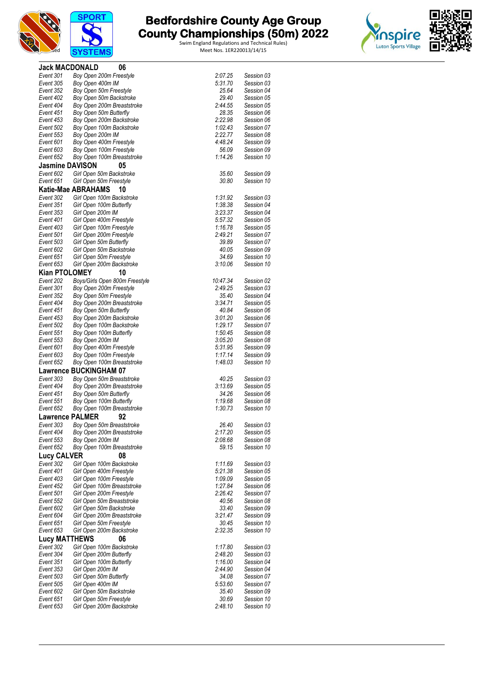



| <b>Jack MACDONALD</b>  | 06                             |          |                          |
|------------------------|--------------------------------|----------|--------------------------|
| Event 301              | Boy Open 200m Freestyle        | 2:07.25  | Session 03               |
| Event 305              | Boy Open 400m IM               | 5:31.70  | Session 03               |
| Event 352              | Boy Open 50m Freestyle         | 25.64    | Session 04               |
| Event 402              | Boy Open 50m Backstroke        | 29.40    | Session 05               |
| Event 404              | Boy Open 200m Breaststroke     | 2:44.55  | Session 05               |
| Event 451              | Boy Open 50m Butterfly         | 28.35    | Session 06               |
| Event 453              | Boy Open 200m Backstroke       | 2:22.98  | Session 06               |
| Event 502              | Boy Open 100m Backstroke       | 1:02.43  | Session 07               |
| Event 553              | Boy Open 200m IM               | 2:22.77  | Session 08               |
| Event 601              | Boy Open 400m Freestyle        | 4:48.24  | Session 09               |
| Event 603              | Boy Open 100m Freestyle        | 56.09    | Session 09               |
| Event 652              | Boy Open 100m Breaststroke     | 1:14.26  | Session 10               |
| <b>Jasmine DAVISON</b> | 05                             |          |                          |
|                        |                                |          |                          |
| Event 602              | Girl Open 50m Backstroke       | 35.60    | Session 09               |
| Event 651              | Girl Open 50m Freestyle        | 30.80    | Session 10               |
|                        | Katie-Mae ABRAHAMS<br>10       |          |                          |
| Event 302              | Girl Open 100m Backstroke      | 1:31.92  | Session 03               |
| Event 351              | Girl Open 100m Butterfly       | 1:38.38  | Session 04               |
| Event 353              | Girl Open 200m IM              | 3:23.37  | Session 04               |
| Event 401              | Girl Open 400m Freestyle       | 5:57.32  | Session 05               |
| Event 403              | Girl Open 100m Freestyle       | 1:16.78  | Session 05               |
| Event 501              | Girl Open 200m Freestyle       | 2:49.21  | Session 07               |
| Event 503              | Girl Open 50m Butterfly        | 39.89    | Session 07               |
| Event 602              | Girl Open 50m Backstroke       | 40.05    | Session 09               |
| Event 651              | Girl Open 50m Freestyle        | 34.69    | Session 10               |
| Event 653              | Girl Open 200m Backstroke      | 3:10.06  | Session 10               |
| <b>Kian PTOLOMEY</b>   | 10                             |          |                          |
|                        |                                |          |                          |
| Event 202              | Boys/Girls Open 800m Freestyle | 10:47.34 | Session 02               |
| Event 301              | Boy Open 200m Freestyle        | 2:49.25  | Session 03               |
| Event 352              | Boy Open 50m Freestyle         | 35.40    | Session 04               |
| Event 404              | Boy Open 200m Breaststroke     | 3:34.71  | Session 05               |
| Event 451              | Boy Open 50m Butterfly         | 40.84    | Session 06               |
| Event 453              | Boy Open 200m Backstroke       | 3:01.20  | Session 06               |
| Event 502              | Boy Open 100m Backstroke       | 1:29.17  | Session 07               |
| Event 551              | Boy Open 100m Butterfly        | 1:50.45  | Session 08               |
| Event 553              | Boy Open 200m IM               | 3:05.20  | Session 08               |
| Event 601              | Boy Open 400m Freestyle        | 5:31.95  | Session 09               |
| Event 603              | Boy Open 100m Freestyle        | 1:17.14  | Session 09               |
| Event 652              | Boy Open 100m Breaststroke     | 1:48.03  | Session 10               |
|                        | <b>Lawrence BUCKINGHAM 07</b>  |          |                          |
| Event 303              | Boy Open 50m Breaststroke      | 40.25    | Session 03               |
| Event 404              | Boy Open 200m Breaststroke     | 3:13.69  | Session 05               |
| Event 451              | Boy Open 50m Butterfly         | 34.26    | Session 06               |
| Event 551              | Boy Open 100m Butterfly        | 1:19.68  | Session 08               |
| Event 652              | Boy Open 100m Breaststroke     | 1:30.73  | Session 10               |
|                        |                                |          |                          |
| <b>Lawrence PALMER</b> | 92                             |          |                          |
| Event 303              | Boy Open 50m Breaststroke      | 26.40    | Session 03               |
| Event 404              | Boy Open 200m Breaststroke     | 2:17.20  | Session 05               |
| Event 553              | Boy Open 200m IM               | 2:08.68  | Session 08               |
| Event 652              | Boy Open 100m Breaststroke     | 59.15    | Session 10               |
| <b>Lucy CALVER</b>     | 08                             |          |                          |
| Event 302              | Girl Open 100m Backstroke      | 1:11.69  | Session 03               |
| Event 401              | Girl Open 400m Freestyle       | 5:21.38  | Session 05               |
| Event 403              | Girl Open 100m Freestyle       | 1:09.09  | Session 05               |
| Event 452              | Girl Open 100m Breaststroke    | 1:27.84  | Session 06               |
| Event 501              | Girl Open 200m Freestyle       | 2:26.42  | Session 07               |
| Event 552              | Girl Open 50m Breaststroke     | 40.56    | Session 08               |
| Event 602              | Girl Open 50m Backstroke       | 33.40    | Session 09               |
| Event 604              | Girl Open 200m Breaststroke    | 3:21.47  |                          |
|                        |                                | 30.45    | Session 09<br>Session 10 |
| Event 651<br>Event 653 | Girl Open 50m Freestyle        | 2:32.35  |                          |
|                        | Girl Open 200m Backstroke      |          | Session 10               |
| <b>Lucy MATTHEWS</b>   | 06                             |          |                          |
| Event 302              | Girl Open 100m Backstroke      | 1:17.80  | Session 03               |
| Event 304              | Girl Open 200m Butterfly       | 2:48.20  | Session 03               |
| Event 351              | Girl Open 100m Butterfly       | 1:16.00  | Session 04               |
| Event 353              | Girl Open 200m IM              | 2:44.90  | Session 04               |
| Event 503              | Girl Open 50m Butterfly        | 34.08    | Session 07               |
| Event 505              | Girl Open 400m IM              | 5:53.60  | Session 07               |
| Event 602              | Girl Open 50m Backstroke       | 35.40    | Session 09               |
| Event 651              | Girl Open 50m Freestyle        | 30.69    | Session 10               |
| Event 653              | Girl Open 200m Backstroke      | 2:48.10  | Session 10               |
|                        |                                |          |                          |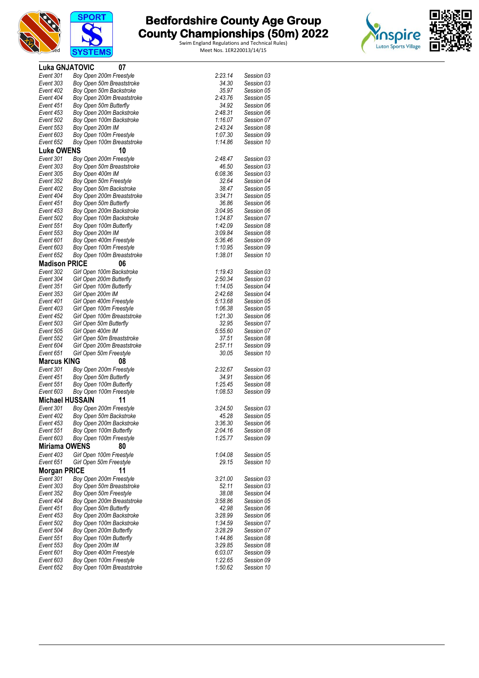





| <b>Luka GNJATOVIC</b>  | 07                                                    |                    |                          |
|------------------------|-------------------------------------------------------|--------------------|--------------------------|
| Event 301              | Boy Open 200m Freestyle                               | 2:23.14            | Session 03               |
| Event 303              | Boy Open 50m Breaststroke                             | 34.30              | Session 03               |
| Event 402              | Boy Open 50m Backstroke                               | 35.97              | Session 05               |
| Event 404              | Boy Open 200m Breaststroke                            | 2:43.76            | Session 05               |
| Event 451              | Boy Open 50m Butterfly                                | 34.92              | Session 06               |
| Event 453              | Boy Open 200m Backstroke                              | 2:48.31            | Session 06               |
| Event 502              | Boy Open 100m Backstroke                              | 1:16.07            | Session 07<br>Session 08 |
| Event 553<br>Event 603 | Boy Open 200m IM                                      | 2:43.24<br>1:07.30 | Session 09               |
| Event 652              | Boy Open 100m Freestyle<br>Boy Open 100m Breaststroke | 1:14.86            | Session 10               |
| <b>Luke OWENS</b>      | 10                                                    |                    |                          |
| Event 301              | Boy Open 200m Freestyle                               | 2:48.47            | Session 03               |
| Event 303              | Boy Open 50m Breaststroke                             | 46.50              | Session 03               |
| Event 305              | Boy Open 400m IM                                      | 6:08.36            | Session 03               |
| Event 352              | Boy Open 50m Freestyle                                | 32.64              | Session 04               |
| Event 402              | Boy Open 50m Backstroke                               | 38.47              | Session 05               |
| Event 404              | Boy Open 200m Breaststroke                            | 3:34.71            | Session 05               |
| Event 451              | Boy Open 50m Butterfly                                | 36.86              | Session 06               |
| Event 453              | Boy Open 200m Backstroke                              | 3:04.95            | Session 06               |
| Event 502              | Boy Open 100m Backstroke                              | 1:24.87            | Session 07               |
| Event 551              | Boy Open 100m Butterfly                               | 1:42.09            | Session 08               |
| Event 553              | Boy Open 200m IM                                      | 3:09.84            | Session 08               |
| Event 601              | Boy Open 400m Freestyle                               | 5:36.46            | Session 09               |
| Event 603              | Boy Open 100m Freestyle                               | 1:10.95            | Session 09               |
| Event 652              | Boy Open 100m Breaststroke                            | 1:38.01            | Session 10               |
| <b>Madison PRICE</b>   | 06                                                    |                    |                          |
| Event 302              | Girl Open 100m Backstroke                             | 1:19.43            | Session 03               |
| Event 304              | Girl Open 200m Butterfly                              | 2:50.34            | Session 03               |
| Event 351              | Girl Open 100m Butterfly                              | 1:14.05            | Session 04               |
| Event 353              | Girl Open 200m IM                                     | 2:42.68            | Session 04               |
| Event 401<br>Event 403 | Girl Open 400m Freestyle<br>Girl Open 100m Freestyle  | 5:13.68<br>1:06.38 | Session 05<br>Session 05 |
| Event 452              | Girl Open 100m Breaststroke                           | 1:21.30            | Session 06               |
| Event 503              | Girl Open 50m Butterfly                               | 32.95              | Session 07               |
| Event 505              | Girl Open 400m IM                                     | 5:55.60            | Session 07               |
| Event 552              | Girl Open 50m Breaststroke                            | 37.51              | Session 08               |
| Event 604              | Girl Open 200m Breaststroke                           | 2:57.11            | Session 09               |
| Event 651              | Girl Open 50m Freestyle                               | 30.05              | Session 10               |
| <b>Marcus KING</b>     | 08                                                    |                    |                          |
| Event 301              | Boy Open 200m Freestyle                               | 2:32.67            | Session 03               |
| Event 451              | Boy Open 50m Butterfly                                | 34.91              | Session 06               |
| Event 551              | Boy Open 100m Butterfly                               | 1:25.45            | Session 08               |
| Event 603              | Boy Open 100m Freestyle                               | 1:08.53            | Session 09               |
| <b>Michael HUSSAIN</b> | 11                                                    |                    |                          |
| Event 301              | Boy Open 200m Freestyle                               | 3:24.50            | Session 03               |
| Event 402              | Boy Open 50m Backstroke                               | 45.28              | Session 05               |
| Event 453              | Boy Open 200m Backstroke                              | 3:36.30            | Session 06               |
| Event 551              | Boy Open 100m Butterfly                               | 2:04.16            | Session 08               |
| Event 603              | Boy Open 100m Freestyle                               | 1:25.77            | Session 09               |
| <b>Miriama OWENS</b>   | 80                                                    |                    |                          |
| Event 403              | Girl Open 100m Freestyle                              | 1:04.08            | Session 05               |
| Event 651              | Girl Open 50m Freestyle                               | 29.15              | Session 10               |
| <b>Morgan PRICE</b>    | 11                                                    |                    |                          |
| Event 301              | Boy Open 200m Freestyle                               | 3:21.00            | Session 03               |
| Event 303              | Boy Open 50m Breaststroke                             | 52.11              | Session 03               |
| Event 352              | Boy Open 50m Freestyle                                | 38.08              | Session 04               |
| Event 404              | Boy Open 200m Breaststroke                            | 3:58.86            | Session 05               |
| Event 451<br>Event 453 | Boy Open 50m Butterfly                                | 42.98<br>3:28.99   | Session 06<br>Session 06 |
| Event 502              | Boy Open 200m Backstroke<br>Boy Open 100m Backstroke  | 1:34.59            | Session 07               |
| Event 504              | Boy Open 200m Butterfly                               | 3:28.29            | Session 07               |
| Event 551              | Boy Open 100m Butterfly                               | 1:44.86            | Session 08               |
| Event 553              | Boy Open 200m IM                                      | 3:29.85            | Session 08               |
| Event 601              | Boy Open 400m Freestyle                               | 6:03.07            | Session 09               |
| Event 603              | Boy Open 100m Freestyle                               | 1:22.65            | Session 09               |
| Event 652              | Boy Open 100m Breaststroke                            | 1:50.62            | Session 10               |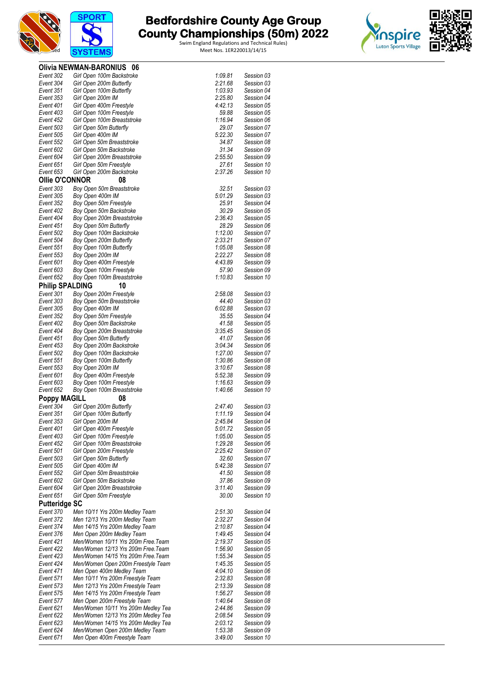



|                        | Olivia NEWMAN-BARONIUS 06                                        |                    |                          |
|------------------------|------------------------------------------------------------------|--------------------|--------------------------|
| Event 302              | Girl Open 100m Backstroke                                        | 1:09.81            | Session 03               |
| Event 304              | Girl Open 200m Butterfly                                         | 2:21.68            | Session 03               |
| Event 351              | Girl Open 100m Butterfly                                         | 1:03.93            | Session 04               |
| Event 353              | Girl Open 200m IM                                                | 2:25.80            | Session 04               |
| Event 401              | Girl Open 400m Freestyle                                         | 4:42.13            | Session 05               |
| Event 403              | Girl Open 100m Freestyle                                         | 59.88              | Session 05               |
| Event 452              | Girl Open 100m Breaststroke                                      | 1:16.94            | Session 06               |
| Event 503              | Girl Open 50m Butterfly                                          | 29.07              | Session 07               |
| Event 505              | Girl Open 400m IM                                                | 5:22.30            | Session 07               |
| Event 552              | Girl Open 50m Breaststroke                                       | 34.87              | Session 08               |
| Event 602              | Girl Open 50m Backstroke                                         | 31.34              | Session 09               |
| Event 604              | Girl Open 200m Breaststroke                                      | 2:55.50<br>27.61   | Session 09<br>Session 10 |
| Event 651<br>Event 653 | Girl Open 50m Freestyle                                          | 2:37.26            | Session 10               |
| Ollie O'CONNOR         | Girl Open 200m Backstroke                                        |                    |                          |
|                        | 08                                                               |                    |                          |
| Event 303              | Boy Open 50m Breaststroke                                        | 32.51              | Session 03               |
| Event 305<br>Event 352 | Boy Open 400m IM                                                 | 5:01.29<br>25.91   | Session 03<br>Session 04 |
| Event 402              | Boy Open 50m Freestyle                                           | 30.29              | Session 05               |
| Event 404              | Boy Open 50m Backstroke<br>Boy Open 200m Breaststroke            | 2:36.43            | Session 05               |
| Event 451              | Boy Open 50m Butterfly                                           | 28.29              | Session 06               |
| Event 502              | Boy Open 100m Backstroke                                         | 1:12.00            | Session 07               |
| Event 504              | Boy Open 200m Butterfly                                          | 2:33.21            | Session 07               |
| Event 551              | Boy Open 100m Butterfly                                          | 1:05.08            | Session 08               |
| Event 553              | Boy Open 200m IM                                                 | 2:22.27            | Session 08               |
| Event 601              | Boy Open 400m Freestyle                                          | 4:43.89            | Session 09               |
| Event 603              | Boy Open 100m Freestyle                                          | 57.90              | Session 09               |
| Event 652              | Boy Open 100m Breaststroke                                       | 1:10.83            | Session 10               |
| <b>Philip SPALDING</b> | 10                                                               |                    |                          |
| Event 301              | Boy Open 200m Freestyle                                          | 2:58.08            | Session 03               |
| Event 303              | Boy Open 50m Breaststroke                                        | 44.40              | Session 03               |
| Event 305              | Boy Open 400m IM                                                 | 6:02.88            | Session 03               |
| Event 352              | Boy Open 50m Freestyle                                           | 35.55              | Session 04               |
| Event 402              | Boy Open 50m Backstroke                                          | 41.58              | Session 05               |
| Event 404              | Boy Open 200m Breaststroke                                       | 3:35.45            | Session 05               |
| Event 451              | Boy Open 50m Butterfly                                           | 41.07              | Session 06               |
| Event 453              | Boy Open 200m Backstroke                                         | 3:04.34            | Session 06               |
| Event 502              | Boy Open 100m Backstroke                                         | 1:27.00            | Session 07               |
| Event 551              | Boy Open 100m Butterfly                                          | 1:30.86            | Session 08               |
| Event 553              | Boy Open 200m IM                                                 | 3:10.67            | Session 08               |
| Event 601              | Boy Open 400m Freestyle                                          | 5:52.38            | Session 09               |
| Event 603              | Boy Open 100m Freestyle                                          | 1:16.63            | Session 09               |
| Event 652              | Boy Open 100m Breaststroke                                       | 1:40.66            | Session 10               |
| <b>Poppy MAGILL</b>    | 08                                                               |                    |                          |
| Event 304              | Girl Open 200m Butterfly                                         | 2:47.40            | Session 03               |
| Event 351              | Girl Open 100m Butterfly                                         | 1:11.19            | Session 04               |
| Event 353              | Girl Open 200m IM                                                | 2:45.84            | Session 04               |
| Event 401              | Girl Open 400m Freestyle                                         | 5:01.72            | Session 05               |
| Event 403              | Girl Open 100m Freestyle                                         | 1:05.00            | Session 05               |
| Event 452              | Girl Open 100m Breaststroke                                      | 1:29.28            | Session 06               |
| Event 501              | Girl Open 200m Freestyle                                         | 2:25.42            | Session 07               |
| Event 503              | Girl Open 50m Butterfly                                          | 32.60              | Session 07               |
| Event 505              | Girl Open 400m IM                                                | 5:42.38            | Session 07               |
| Event 552              | Girl Open 50m Breaststroke                                       | 41.50              | Session 08               |
| Event 602<br>Event 604 | Girl Open 50m Backstroke<br>Girl Open 200m Breaststroke          | 37.86<br>3:11.40   | Session 09<br>Session 09 |
| Event 651              | Girl Open 50m Freestyle                                          | 30.00              | Session 10               |
| <b>Putteridge SC</b>   |                                                                  |                    |                          |
|                        |                                                                  | 2:51.30            | Session 04               |
| Event 370<br>Event 372 | Men 10/11 Yrs 200m Medley Team<br>Men 12/13 Yrs 200m Medley Team | 2:32.27            | Session 04               |
| Event 374              | Men 14/15 Yrs 200m Medley Team                                   | 2:10.87            | Session 04               |
| Event 376              | Men Open 200m Medley Team                                        | 1:49.45            | Session 04               |
| Event 421              | Men/Women 10/11 Yrs 200m Free. Team                              | 2:19.37            | Session 05               |
| Event 422              | Men/Women 12/13 Yrs 200m Free. Team                              | 1:56.90            | Session 05               |
| Event 423              | Men/Women 14/15 Yrs 200m Free. Team                              | 1:55.34            | Session 05               |
| Event 424              | Men/Women Open 200m Freestyle Team                               | 1:45.35            | Session 05               |
| Event 471              | Men Open 400m Medley Team                                        | 4:04.10            | Session 06               |
| Event 571              | Men 10/11 Yrs 200m Freestyle Team                                | 2:32.83            | Session 08               |
| Event 573              | Men 12/13 Yrs 200m Freestyle Team                                | 2:13.39            | Session 08               |
| Event 575              | Men 14/15 Yrs 200m Freestyle Team                                | 1:56.27            | Session 08               |
| Event 577              | Men Open 200m Freestyle Team                                     | 1:40.64            | Session 08               |
| Event 621              | Men/Women 10/11 Yrs 200m Medley Tea                              | 2:44.86            | Session 09               |
| Event 622              | Men/Women 12/13 Yrs 200m Medley Tea                              | 2:08.54            | Session 09               |
| Event 623              | Men/Women 14/15 Yrs 200m Medley Tea                              | 2:03.12            | Session 09               |
| Event 624              | Men/Women Open 200m Medley Team                                  | 1:53.38<br>3:49.00 | Session 09<br>Session 10 |
| Event 671              | Men Open 400m Freestyle Team                                     |                    |                          |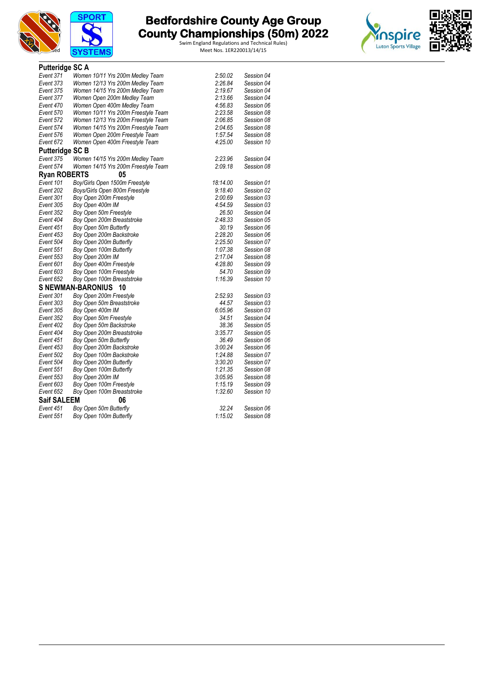



| <b>Putteridge SC A</b> |                                     |          |            |
|------------------------|-------------------------------------|----------|------------|
| Event 371              | Women 10/11 Yrs 200m Medley Team    | 2:50.02  | Session 04 |
| Event 373              | Women 12/13 Yrs 200m Medley Team    | 2:26.84  | Session 04 |
| Event 375              | Women 14/15 Yrs 200m Medley Team    | 2:19.67  | Session 04 |
| Event 377              | Women Open 200m Medley Team         | 2:13.66  | Session 04 |
| Event 470              | Women Open 400m Medley Team         | 4:56.83  | Session 06 |
| Event 570              | Women 10/11 Yrs 200m Freestyle Team | 2:23.58  | Session 08 |
| Event 572              | Women 12/13 Yrs 200m Freestyle Team | 2:06.85  | Session 08 |
| Event 574              | Women 14/15 Yrs 200m Freestyle Team | 2:04.65  | Session 08 |
| Event 576              | Women Open 200m Freestyle Team      | 1:57.54  | Session 08 |
| Event 672              | Women Open 400m Freestyle Team      | 4:25.00  | Session 10 |
| <b>Putteridge SC B</b> |                                     |          |            |
| Event 375              | Women 14/15 Yrs 200m Medley Team    | 2:23.96  | Session 04 |
| Event 574              | Women 14/15 Yrs 200m Freestyle Team | 2:09.18  | Session 08 |
| <b>Ryan ROBERTS</b>    | 05                                  |          |            |
| Event 101              | Boy/Girls Open 1500m Freestyle      | 18:14.00 | Session 01 |
| Event 202              | Boys/Girls Open 800m Freestyle      | 9.18.40  | Session 02 |
| Event 301              | Boy Open 200m Freestyle             | 2:00.69  | Session 03 |
| Event 305              | Boy Open 400m IM                    | 4:54.59  | Session 03 |
| Event 352              | Boy Open 50m Freestyle              | 26.50    | Session 04 |
| Event 404              | Boy Open 200m Breaststroke          | 2:48.33  | Session 05 |
| Event 451              | Boy Open 50m Butterfly              | 30.19    | Session 06 |
| Event 453              | Boy Open 200m Backstroke            | 2:28.20  | Session 06 |
| Event 504              | Boy Open 200m Butterfly             | 2:25.50  | Session 07 |
| Event 551              | Boy Open 100m Butterfly             | 1:07.38  | Session 08 |
| Event 553              | Boy Open 200m IM                    | 2:17.04  | Session 08 |
| Event 601              | Boy Open 400m Freestyle             | 4:28.80  | Session 09 |
| Event 603              | Boy Open 100m Freestyle             | 54.70    | Session 09 |
| Event 652              | Boy Open 100m Breaststroke          | 1:16.39  | Session 10 |
|                        | S NEWMAN-BARONIUS 10                |          |            |
| Event 301              | Boy Open 200m Freestyle             | 2:52.93  | Session 03 |
| Event 303              | Boy Open 50m Breaststroke           | 44.57    | Session 03 |
| Event 305              | Boy Open 400m IM                    | 6:05.96  | Session 03 |
| Event 352              | Boy Open 50m Freestyle              | 34.51    | Session 04 |
| Event 402              | Boy Open 50m Backstroke             | 38.36    | Session 05 |
| Event 404              | Boy Open 200m Breaststroke          | 3:35.77  | Session 05 |
| Event 451              | Boy Open 50m Butterfly              | 36.49    | Session 06 |
| Event 453              | Boy Open 200m Backstroke            | 3:00.24  | Session 06 |
| Event 502              | Boy Open 100m Backstroke            | 1:24.88  | Session 07 |
| Event 504              | Boy Open 200m Butterfly             | 3:30.20  | Session 07 |
| Event 551              | Boy Open 100m Butterfly             | 1:21.35  | Session 08 |
| Event 553              | Boy Open 200m IM                    | 3:05.95  | Session 08 |
| Event 603              | Boy Open 100m Freestyle             | 1:15.19  | Session 09 |
| Event 652              | Boy Open 100m Breaststroke          | 1:32.60  | Session 10 |
| <b>Saif SALEEM</b>     | 06                                  |          |            |
| Event 451              | Boy Open 50m Butterfly              | 32.24    | Session 06 |
| Event 551              | Boy Open 100m Butterfly             | 1:15.02  | Session 08 |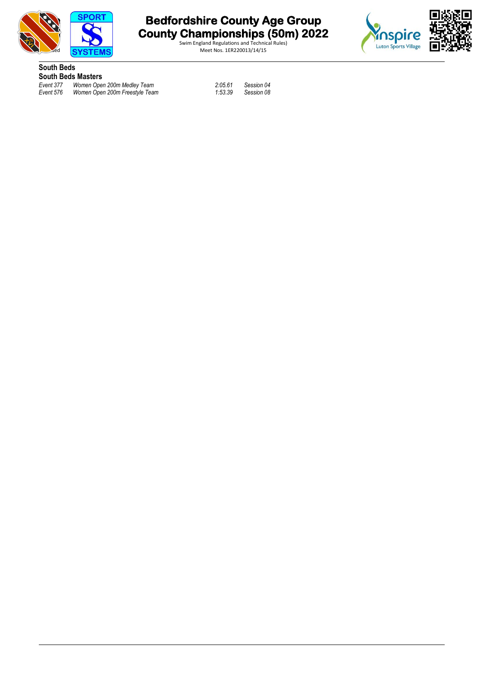



Swim England Regulations and Technical Rules)



**South Beds South Beds Masters**<br>Event 377 Women Oper

*Event 377 Women Open 200m Medley Team 2:05.61 Session 04 Event 576 Women Open 200m Freestyle Team 1:53.39 Session 08*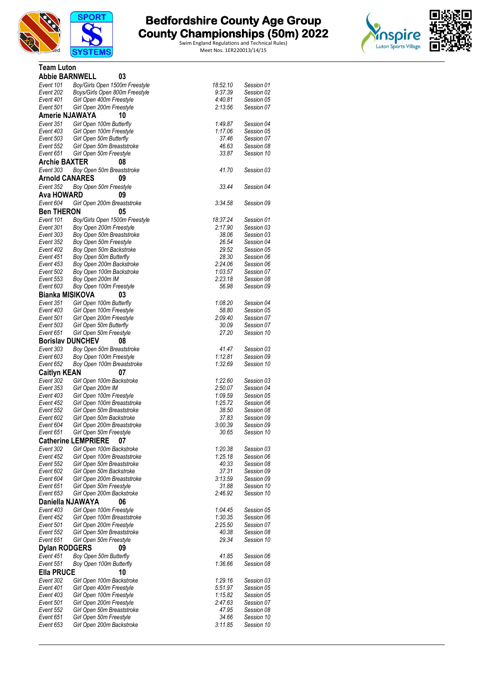



| <b>Team Luton</b>       |                                                         |                    |                          |  |
|-------------------------|---------------------------------------------------------|--------------------|--------------------------|--|
| <b>Abbie BARNWELL</b>   | 03                                                      |                    |                          |  |
| Event 101               | Boy/Girls Open 1500m Freestyle                          | 18:52.10           | Session 01               |  |
| Event 202               | Boys/Girls Open 800m Freestyle                          | 9:37.39            | Session 02               |  |
| Event 401               | Girl Open 400m Freestyle                                | 4:40.81            | Session 05               |  |
| Event 501               | Girl Open 200m Freestyle                                | 2:13.56            | Session 07               |  |
| <b>Amerie NJAWAYA</b>   | 10                                                      |                    |                          |  |
| Event 351               | Girl Open 100m Butterfly                                | 1:49.87            | Session 04               |  |
| Event 403               | Girl Open 100m Freestyle                                | 1:17.06            | Session 05               |  |
| Event 503               | Girl Open 50m Butterfly                                 | 37.46              | Session 07               |  |
| Event 552               | Girl Open 50m Breaststroke                              | 46.63              | Session 08               |  |
| Event 651               | Girl Open 50m Freestyle                                 | 33.87              | Session 10               |  |
| <b>Archie BAXTER</b>    | 08                                                      |                    |                          |  |
| Event 303               | Boy Open 50m Breaststroke                               | 41.70              | Session 03               |  |
| <b>Arnold CANARES</b>   | 09                                                      |                    |                          |  |
| Event 352               | Boy Open 50m Freestyle                                  | 33.44              | Session 04               |  |
| Ava HOWARD              | 09                                                      |                    |                          |  |
|                         |                                                         |                    |                          |  |
| Event 604               | Girl Open 200m Breaststroke                             | 3:34.58            | Session 09               |  |
| <b>Ben THERON</b>       | 05                                                      |                    |                          |  |
| Event 101               | Boy/Girls Open 1500m Freestyle                          | 18:37.24           | Session 01               |  |
| Event 301               | Boy Open 200m Freestyle                                 | 2:17.90            | Session 03               |  |
| Event 303               | Boy Open 50m Breaststroke                               | 38.06              | Session 03               |  |
| Event 352               | Boy Open 50m Freestyle                                  | 26.54              | Session 04               |  |
| Event 402               | Boy Open 50m Backstroke                                 | 29.52              | Session 05               |  |
| Event 451               | Boy Open 50m Butterfly                                  | 28.30              | Session 06               |  |
| Event 453               | Boy Open 200m Backstroke                                | 2:24.06            | Session 06               |  |
| Event 502<br>Event 553  | Boy Open 100m Backstroke                                | 1:03.57<br>2:23.18 | Session 07<br>Session 08 |  |
| Event 603               | Boy Open 200m IM<br>Boy Open 100m Freestyle             | 56.98              | Session 09               |  |
|                         |                                                         |                    |                          |  |
| <b>Bianka MISIKOVA</b>  | 03                                                      |                    |                          |  |
| Event 351               | Girl Open 100m Butterfly                                | 1:08.20            | Session 04               |  |
| Event 403               | Girl Open 100m Freestyle                                | 58.80              | Session 05               |  |
| Event 501               | Girl Open 200m Freestyle                                | 2:09.40            | Session 07               |  |
| Event 503<br>Event 651  | Girl Open 50m Butterfly                                 | 30.09<br>27.20     | Session 07<br>Session 10 |  |
|                         | Girl Open 50m Freestyle                                 |                    |                          |  |
| <b>Borislay DUNCHEV</b> | 08                                                      |                    |                          |  |
| Event 303               | Boy Open 50m Breaststroke                               | 41.47              | Session 03               |  |
| Event 603               | Boy Open 100m Freestyle                                 | 1:12.81            | Session 09               |  |
| Event 652               | Boy Open 100m Breaststroke                              | 1:32.69            | Session 10               |  |
| <b>Caitlyn KEAN</b>     | 07                                                      |                    |                          |  |
| Event 302               | Girl Open 100m Backstroke                               | 1:22.60            | Session 03               |  |
| Event 353               | Girl Open 200m IM                                       | 2:50.07            | Session 04               |  |
| Event 403               | Girl Open 100m Freestyle                                | 1:09.59            | Session 05               |  |
| Event 452               | Girl Open 100m Breaststroke                             | 1:25.72            | Session 06               |  |
| Event 552               | Girl Open 50m Breaststroke                              | 38.50              | Session 08               |  |
| Event 602               | Girl Open 50m Backstroke<br>Girl Open 200m Breaststroke | 37.83<br>3:00.39   | Session 09               |  |
| Event 604<br>Event 651  |                                                         | 30.65              | Session 09<br>Session 10 |  |
|                         | Girl Open 50m Freestyle<br><b>Catherine LEMPRIERE</b>   |                    |                          |  |
|                         | 07                                                      |                    |                          |  |
| Event 302               | Girl Open 100m Backstroke                               | 1:20.38            | Session 03               |  |
| Event 452               | Girl Open 100m Breaststroke                             | 1:25.18            | Session 06<br>Session 08 |  |
| Event 552               | Girl Open 50m Breaststroke                              | 40.33              |                          |  |
| Event 602<br>Event 604  | Girl Open 50m Backstroke<br>Girl Open 200m Breaststroke | 37.31<br>3:13.59   | Session 09<br>Session 09 |  |
| Event 651               | Girl Open 50m Freestyle                                 | 31.88              | Session 10               |  |
| Event 653               | Girl Open 200m Backstroke                               | 2:46.92            | Session 10               |  |
| Daniella NJAWAYA        | 06                                                      |                    |                          |  |
| Event 403               | Girl Open 100m Freestyle                                | 1:04.45            | Session 05               |  |
| Event 452               | Girl Open 100m Breaststroke                             | 1:30.35            | Session 06               |  |
| Event 501               | Girl Open 200m Freestyle                                | 2:25.50            | Session 07               |  |
| Event 552               | Girl Open 50m Breaststroke                              | 40.38              | Session 08               |  |
| Event 651               | Girl Open 50m Freestyle                                 | 29.34              | Session 10               |  |
| <b>Dylan RODGERS</b>    | 09                                                      |                    |                          |  |
| Event 451               | Boy Open 50m Butterfly                                  | 41.85              | Session 06               |  |
| Event 551               | Boy Open 100m Butterfly                                 | 1:36.66            | Session 08               |  |
| <b>Ella PRUCE</b>       | 10                                                      |                    |                          |  |
|                         | Girl Open 100m Backstroke                               | 1:29.16            |                          |  |
| Event 302<br>Event 401  | Girl Open 400m Freestyle                                | 5:51.97            | Session 03<br>Session 05 |  |
| Event 403               | Girl Open 100m Freestyle                                | 1:15.82            | Session 05               |  |
| Event 501               | Girl Open 200m Freestyle                                | 2:47.63            | Session 07               |  |
| Event 552               | Girl Open 50m Breaststroke                              | 47.95              | Session 08               |  |
| Event 651               | Girl Open 50m Freestyle                                 | 34.66              | Session 10               |  |
| Event 653               | Girl Open 200m Backstroke                               | 3:11.85            | Session 10               |  |
|                         |                                                         |                    |                          |  |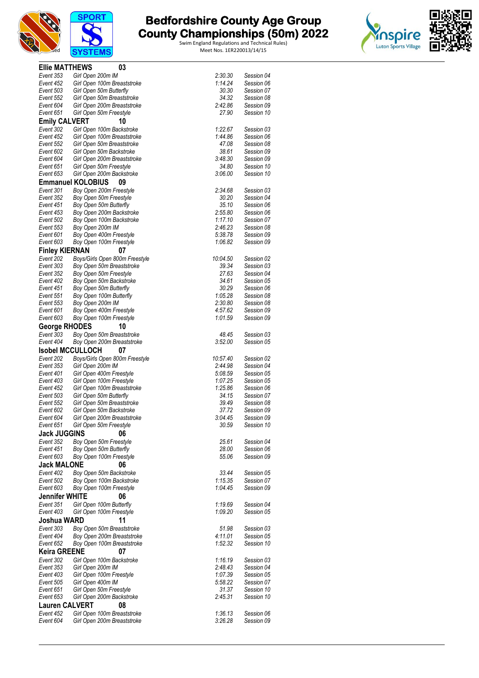



| <b>Ellie MATTHEWS</b>  | 03                                                     |                    |                          |
|------------------------|--------------------------------------------------------|--------------------|--------------------------|
| Event 353              | Girl Open 200m IM                                      | 2:30.30            | Session 04               |
| Event 452              | Girl Open 100m Breaststroke                            | 1:14.24            | Session 06               |
| Event 503              | Girl Open 50m Butterfly                                | 30.30              | Session 07               |
| Event 552              | Girl Open 50m Breaststroke                             | 34.32              | Session 08               |
| Event 604<br>Event 651 | Girl Open 200m Breaststroke<br>Girl Open 50m Freestyle | 2:42.86<br>27.90   | Session 09<br>Session 10 |
| <b>Emily CALVERT</b>   | 10                                                     |                    |                          |
| Event 302              | Girl Open 100m Backstroke                              | 1:22.67            | Session 03               |
| Event 452              | Girl Open 100m Breaststroke                            | 1:44.86            | Session 06               |
| Event 552              | Girl Open 50m Breaststroke                             | 47.08              | Session 08               |
| Event 602              | Girl Open 50m Backstroke                               | 38.61              | Session 09               |
| Event 604              | Girl Open 200m Breaststroke                            | 3:48.30            | Session 09               |
| Event 651              | Girl Open 50m Freestyle                                | 34.80              | Session 10               |
| Event 653              | Girl Open 200m Backstroke                              | 3:06.00            | Session 10               |
|                        | <b>Emmanuel KOLOBIUS</b><br>09                         |                    |                          |
| Event 301              | Boy Open 200m Freestyle                                | 2:34.68            | Session 03               |
| Event 352<br>Event 451 | Boy Open 50m Freestyle                                 | 30.20<br>35.10     | Session 04<br>Session 06 |
| Event 453              | Boy Open 50m Butterfly<br>Boy Open 200m Backstroke     | 2:55.80            | Session 06               |
| Event 502              | Boy Open 100m Backstroke                               | 1:17.10            | Session 07               |
| Event 553              | Boy Open 200m IM                                       | 2:46.23            | Session 08               |
| Event 601              | Boy Open 400m Freestyle                                | 5:38.78            | Session 09               |
| Event 603              | Boy Open 100m Freestyle                                | 1:06.82            | Session 09               |
| <b>Finley KIERNAN</b>  | 07                                                     |                    |                          |
| Event 202              | Boys/Girls Open 800m Freestyle                         | 10:04.50           | Session 02               |
| Event 303              | Boy Open 50m Breaststroke                              | 39.34              | Session 03               |
| Event 352              | Boy Open 50m Freestyle                                 | 27.63              | Session 04               |
| Event 402              | Boy Open 50m Backstroke                                | 34.61              | Session 05               |
| Event 451              | Boy Open 50m Butterfly                                 | 30.29<br>1:05.28   | Session 06               |
| Event 551<br>Event 553 | Boy Open 100m Butterfly<br>Boy Open 200m IM            | 2:30.80            | Session 08<br>Session 08 |
| Event 601              | Boy Open 400m Freestyle                                | 4:57.62            | Session 09               |
| Event 603              | Boy Open 100m Freestyle                                | 1:01.59            | Session 09               |
| <b>George RHODES</b>   | 10                                                     |                    |                          |
| Event 303              | Boy Open 50m Breaststroke                              | 48.45              | Session 03               |
| Event 404              | Boy Open 200m Breaststroke                             | 3:52.00            | Session 05               |
|                        | <b>Isobel MCCULLOCH</b><br>07                          |                    |                          |
| Event 202              | Boys/Girls Open 800m Freestyle                         | 10:57.40           | Session 02               |
| Event 353              | Girl Open 200m IM                                      | 2:44.98            | Session 04               |
| Event 401              | Girl Open 400m Freestyle                               | 5:08.59            | Session 05               |
| Event 403<br>Event 452 | Girl Open 100m Freestyle                               | 1:07.25<br>1:25.86 | Session 05               |
| Event 503              | Girl Open 100m Breaststroke<br>Girl Open 50m Butterfly | 34.15              | Session 06<br>Session 07 |
| Event 552              | Girl Open 50m Breaststroke                             | 39.49              | Session 08               |
| Event 602              | Girl Open 50m Backstroke                               | 37.72              | Session 09               |
| Event 604              | Girl Open 200m Breaststroke                            | 3:04.45            | Session 09               |
| Event 651              | Girl Open 50m Freestyle                                | 30.59              | Session 10               |
| <b>Jack JUGGINS</b>    | 06                                                     |                    |                          |
| Event 352              | Boy Open 50m Freestyle                                 | 25.61              | Session 04               |
| Event 451              | Boy Open 50m Butterfly                                 | 28.00              | Session 06               |
| Event 603              | Boy Open 100m Freestyle                                | 55.06              | Session 09               |
| <b>Jack MALONE</b>     | 06                                                     |                    |                          |
| Event 402<br>Event 502 | Boy Open 50m Backstroke                                | 33.44              | Session 05               |
| Event 603              | Boy Open 100m Backstroke<br>Boy Open 100m Freestyle    | 1:15.35<br>1:04.45 | Session 07<br>Session 09 |
| <b>Jennifer WHITE</b>  | 06                                                     |                    |                          |
| Event 351              | Girl Open 100m Butterfly                               | 1.19.69            | Session 04               |
| Event 403              | Girl Open 100m Freestyle                               | 1:09.20            | Session 05               |
| Joshua WARD            | 11                                                     |                    |                          |
| Event 303              | Boy Open 50m Breaststroke                              | 51.98              | Session 03               |
| Event 404              | Boy Open 200m Breaststroke                             | 4:11.01            | Session 05               |
| Event 652              | Boy Open 100m Breaststroke                             | 1:52.32            | Session 10               |
| <b>Keira GREENE</b>    | 07                                                     |                    |                          |
| Event 302              | Girl Open 100m Backstroke                              | 1:16.19            | Session 03               |
| Event 353              | Girl Open 200m IM                                      | 2:48.43            | Session 04               |
| Event 403              | Girl Open 100m Freestyle                               | 1:07.39            | Session 05               |
| Event 505<br>Event 651 | Girl Open 400m IM<br>Girl Open 50m Freestyle           | 5:58.22<br>31.37   | Session 07<br>Session 10 |
| Event 653              | Girl Open 200m Backstroke                              | 2:45.31            | Session 10               |
| <b>Lauren CALVERT</b>  | 08                                                     |                    |                          |
| Event 452              | Girl Open 100m Breaststroke                            | 1:36.13            | Session 06               |
| Event 604              | Girl Open 200m Breaststroke                            | 3:26.28            | Session 09               |
|                        |                                                        |                    |                          |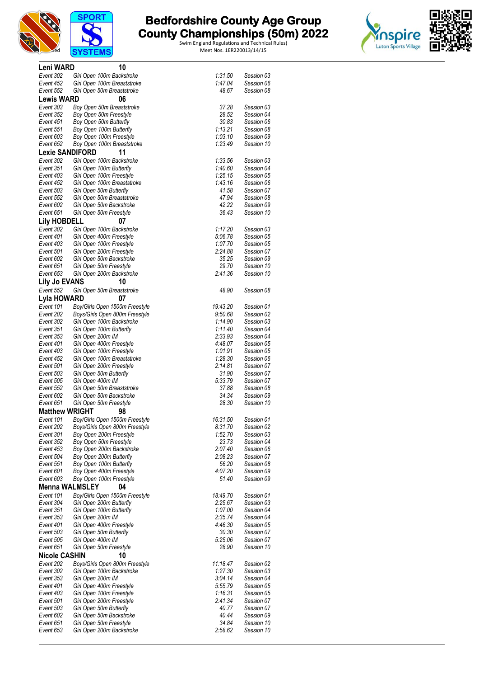





| Leni WARD              |                   | 10                                                     |                    |                          |  |
|------------------------|-------------------|--------------------------------------------------------|--------------------|--------------------------|--|
| Event 302              |                   | Girl Open 100m Backstroke                              | 1:31.50            | Session 03               |  |
| Event 452              |                   | Girl Open 100m Breaststroke                            | 1:47.04            | Session 06               |  |
| Event 552              |                   | Girl Open 50m Breaststroke                             | 48.67              | Session 08               |  |
| <b>Lewis WARD</b>      |                   | 06                                                     |                    |                          |  |
| Event 303              |                   | Boy Open 50m Breaststroke                              | 37.28              | Session 03               |  |
| Event 352<br>Event 451 |                   | Boy Open 50m Freestyle<br>Boy Open 50m Butterfly       | 28.52<br>30.83     | Session 04<br>Session 06 |  |
| Event 551              |                   | Boy Open 100m Butterfly                                | 1:13.21            | Session 08               |  |
| Event 603              |                   | Boy Open 100m Freestyle                                | 1:03.10            | Session 09               |  |
| Event 652              |                   | Boy Open 100m Breaststroke                             | 1:23.49            | Session 10               |  |
| <b>Lexie SANDIFORD</b> |                   | 11                                                     |                    |                          |  |
| Event 302              |                   | Girl Open 100m Backstroke                              | 1:33.56            | Session 03               |  |
| Event 351              |                   | Girl Open 100m Butterfly                               | 1:40.60            | Session 04               |  |
| Event 403              |                   | Girl Open 100m Freestyle                               | 1:25.15            | Session 05               |  |
| Event 452<br>Event 503 |                   | Girl Open 100m Breaststroke<br>Girl Open 50m Butterfly | 1:43.16<br>41.58   | Session 06<br>Session 07 |  |
| Event 552              |                   | Girl Open 50m Breaststroke                             | 47.94              | Session 08               |  |
| Event 602              |                   | Girl Open 50m Backstroke                               | 42.22              | Session 09               |  |
| Event 651              |                   | Girl Open 50m Freestyle                                | 36.43              | Session 10               |  |
| <b>Lily HOBDELL</b>    |                   | 07                                                     |                    |                          |  |
| Event 302              |                   | Girl Open 100m Backstroke                              | 1:17.20            | Session 03               |  |
| Event 401              |                   | Girl Open 400m Freestyle                               | 5:06.78            | Session 05               |  |
| Event 403              |                   | Girl Open 100m Freestyle                               | 1:07.70            | Session 05               |  |
| Event 501              |                   | Girl Open 200m Freestyle                               | 2:24.88            | Session 07               |  |
| Event 602<br>Event 651 |                   | Girl Open 50m Backstroke<br>Girl Open 50m Freestyle    | 35.25<br>29.70     | Session 09<br>Session 10 |  |
| Event 653              |                   | Girl Open 200m Backstroke                              | 2:41.36            | Session 10               |  |
| <b>Lily Jo EVANS</b>   |                   | 10                                                     |                    |                          |  |
| Event 552              |                   | Girl Open 50m Breaststroke                             | 48.90              | Session 08               |  |
| Lyla HOWARD            |                   | 07                                                     |                    |                          |  |
| Event 101              |                   | Boy/Girls Open 1500m Freestyle                         | 19:43.20           | Session 01               |  |
| Event 202              |                   | Boys/Girls Open 800m Freestyle                         | 9:50.68            | Session 02               |  |
| Event 302              |                   | Girl Open 100m Backstroke                              | 1:14.90            | Session 03               |  |
| Event 351              |                   | Girl Open 100m Butterfly                               | 1:11.40            | Session 04               |  |
| Event 353              | Girl Open 200m IM |                                                        | 2:33.93            | Session 04               |  |
| Event 401<br>Event 403 |                   | Girl Open 400m Freestyle<br>Girl Open 100m Freestyle   | 4:48.07<br>1:01.91 | Session 05<br>Session 05 |  |
| Event 452              |                   | Girl Open 100m Breaststroke                            | 1:28.30            | Session 06               |  |
| Event 501              |                   | Girl Open 200m Freestyle                               | 2:14.81            | Session 07               |  |
| Event 503              |                   | Girl Open 50m Butterfly                                | 31.90              | Session 07               |  |
| Event 505              | Girl Open 400m IM |                                                        | 5:33.79            | Session 07               |  |
| Event 552              |                   | Girl Open 50m Breaststroke                             | 37.88              | Session 08               |  |
| Event 602<br>Event 651 |                   | Girl Open 50m Backstroke                               | 34.34<br>28.30     | Session 09               |  |
| <b>Matthew WRIGHT</b>  |                   | Girl Open 50m Freestyle                                |                    | Session 10               |  |
| Event 101              |                   | 98<br>Boy/Girls Open 1500m Freestyle                   | 16:31.50           | Session 01               |  |
| Event 202              |                   | Boys/Girls Open 800m Freestyle                         | 8:31.70            | Session 02               |  |
| Event 301              |                   | Boy Open 200m Freestyle                                | 1:52.70            | Session 03               |  |
| Event 352              |                   | Boy Open 50m Freestyle                                 | 23.73              | Session 04               |  |
| Event 453              |                   | Boy Open 200m Backstroke                               | 2:07.40            | Session 06               |  |
| Event 504              |                   | Boy Open 200m Butterfly                                | 2:08.23            | Session 07               |  |
| Event 551              |                   | Boy Open 100m Butterfly                                | 56.20<br>4:07.20   | Session 08<br>Session 09 |  |
| Event 601<br>Event 603 |                   | Boy Open 400m Freestyle<br>Boy Open 100m Freestyle     | 51.40              | Session 09               |  |
| <b>Menna WALMSLEY</b>  |                   | 04                                                     |                    |                          |  |
| Event 101              |                   | Boy/Girls Open 1500m Freestyle                         | 18:49.70           | Session 01               |  |
| Event 304              |                   | Girl Open 200m Butterfly                               | 2:25.67            | Session 03               |  |
| Event 351              |                   | Girl Open 100m Butterfly                               | 1:07.00            | Session 04               |  |
| Event 353              | Girl Open 200m IM |                                                        | 2:35.74            | Session 04               |  |
| Event 401              |                   | Girl Open 400m Freestyle                               | 4:46.30            | Session 05               |  |
| Event 503              |                   | Girl Open 50m Butterfly                                | 30.30              | Session 07               |  |
| Event 505<br>Event 651 | Girl Open 400m IM | Girl Open 50m Freestyle                                | 5:25.06<br>28.90   | Session 07<br>Session 10 |  |
| <b>Nicole CASHIN</b>   |                   | 10                                                     |                    |                          |  |
| Event 202              |                   | Boys/Girls Open 800m Freestyle                         | 11:18.47           | Session 02               |  |
| Event 302              |                   | Girl Open 100m Backstroke                              | 1:27.30            | Session 03               |  |
| Event 353              | Girl Open 200m IM |                                                        | 3:04.14            | Session 04               |  |
| Event 401              |                   | Girl Open 400m Freestyle                               | 5:55.79            | Session 05               |  |
| Event 403              |                   | Girl Open 100m Freestyle                               | 1:16.31            | Session 05               |  |
| Event 501              |                   | Girl Open 200m Freestyle                               | 2:41.34            | Session 07               |  |
| Event 503              |                   | Girl Open 50m Butterfly                                | 40.77              | Session 07               |  |
| Event 602<br>Event 651 |                   | Girl Open 50m Backstroke<br>Girl Open 50m Freestyle    | 40.44<br>34.84     | Session 09<br>Session 10 |  |
| Event 653              |                   | Girl Open 200m Backstroke                              | 2:58.62            | Session 10               |  |
|                        |                   |                                                        |                    |                          |  |